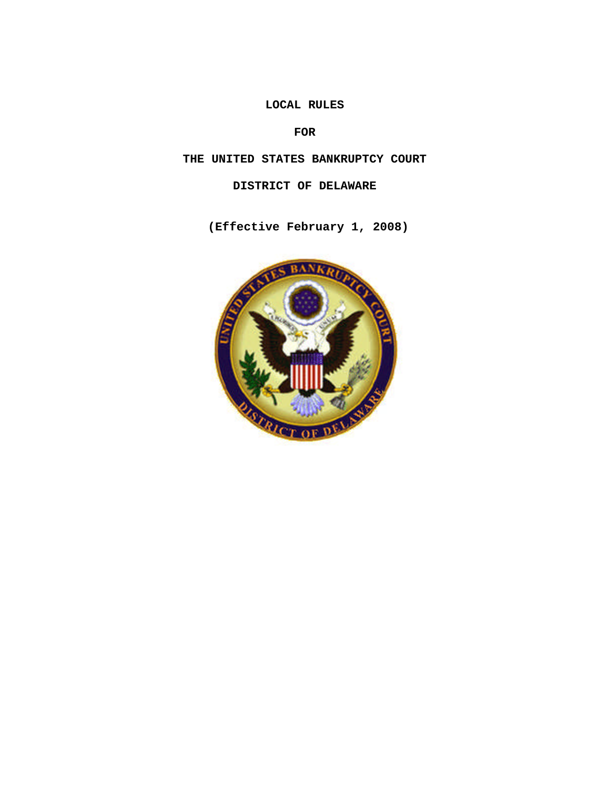**LOCAL RULES**

**FOR**

**THE UNITED STATES BANKRUPTCY COURT**

**DISTRICT OF DELAWARE**

**(Effective February 1, 2008)**

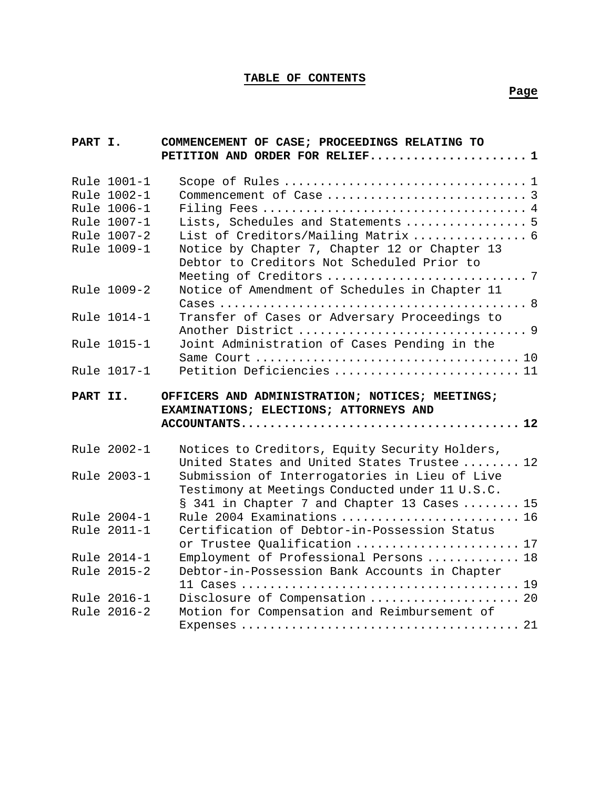# **TABLE OF CONTENTS**

### **Page**

| PART I.  |             | COMMENCEMENT OF CASE; PROCEEDINGS RELATING TO   |
|----------|-------------|-------------------------------------------------|
|          |             | PETITION AND ORDER FOR RELIEF 1                 |
|          | Rule 1001-1 |                                                 |
|          | Rule 1002-1 |                                                 |
|          | Rule 1006-1 |                                                 |
|          | Rule 1007-1 | Lists, Schedules and Statements  5              |
|          | Rule 1007-2 | List of Creditors/Mailing Matrix  6             |
|          | Rule 1009-1 | Notice by Chapter 7, Chapter 12 or Chapter 13   |
|          |             | Debtor to Creditors Not Scheduled Prior to      |
|          |             |                                                 |
|          | Rule 1009-2 | Notice of Amendment of Schedules in Chapter 11  |
|          | Rule 1014-1 | Transfer of Cases or Adversary Proceedings to   |
|          |             |                                                 |
|          | Rule 1015-1 | Joint Administration of Cases Pending in the    |
|          | Rule 1017-1 | Petition Deficiencies  11                       |
|          |             |                                                 |
|          |             |                                                 |
| PART II. |             | OFFICERS AND ADMINISTRATION; NOTICES; MEETINGS; |
|          |             | EXAMINATIONS; ELECTIONS; ATTORNEYS AND          |
|          |             |                                                 |
|          | Rule 2002-1 | Notices to Creditors, Equity Security Holders,  |
|          |             | United States and United States Trustee  12     |
|          | Rule 2003-1 | Submission of Interrogatories in Lieu of Live   |
|          |             | Testimony at Meetings Conducted under 11 U.S.C. |
|          |             | § 341 in Chapter 7 and Chapter 13 Cases  15     |
|          | Rule 2004-1 | Rule 2004 Examinations  16                      |
|          | Rule 2011-1 | Certification of Debtor-in-Possession Status    |
|          |             | or Trustee Qualification  17                    |
|          | Rule 2014-1 | Employment of Professional Persons  18          |
|          | Rule 2015-2 | Debtor-in-Possession Bank Accounts in Chapter   |
|          |             |                                                 |
|          | Rule 2016-1 | Disclosure of Compensation  20                  |
|          | Rule 2016-2 | Motion for Compensation and Reimbursement of    |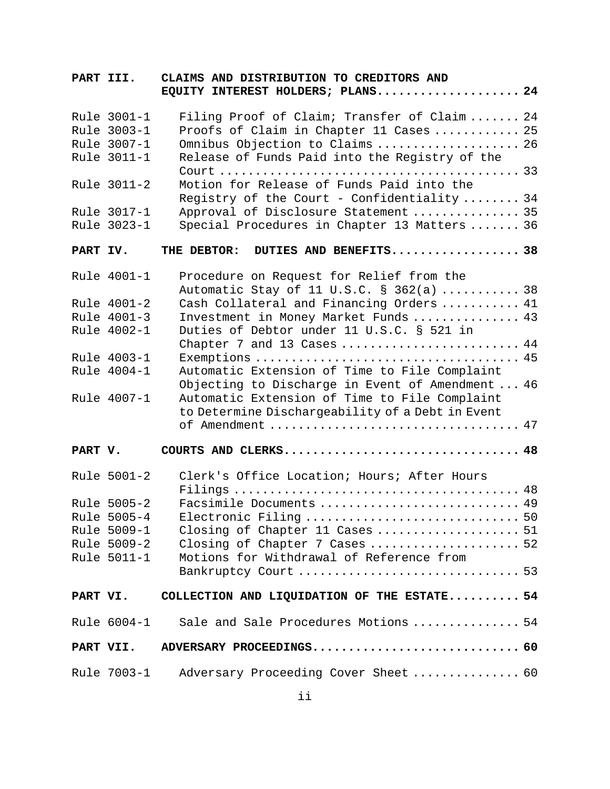|          | PART III.                  | CLAIMS AND DISTRIBUTION TO CREDITORS AND<br>EQUITY INTEREST HOLDERS; PLANS 24           |  |
|----------|----------------------------|-----------------------------------------------------------------------------------------|--|
|          | Rule 3001-1<br>Rule 3003-1 | Filing Proof of Claim; Transfer of Claim  24<br>Proofs of Claim in Chapter 11 Cases  25 |  |
|          | Rule 3007-1                | Omnibus Objection to Claims  26                                                         |  |
|          | Rule 3011-1                | Release of Funds Paid into the Registry of the                                          |  |
|          |                            |                                                                                         |  |
|          | Rule 3011-2                | Motion for Release of Funds Paid into the                                               |  |
|          |                            | Registry of the Court - Confidentiality  34                                             |  |
|          | Rule 3017-1                | Approval of Disclosure Statement  35                                                    |  |
|          | Rule 3023-1                | Special Procedures in Chapter 13 Matters  36                                            |  |
| PART IV. |                            | DUTIES AND BENEFITS 38<br>THE DEBTOR:                                                   |  |
|          | Rule 4001-1                | Procedure on Request for Relief from the                                                |  |
|          |                            | Automatic Stay of 11 U.S.C. § 362(a)  38                                                |  |
|          | Rule 4001-2                | Cash Collateral and Financing Orders  41                                                |  |
|          | Rule 4001-3                | Investment in Money Market Funds  43                                                    |  |
|          | Rule 4002-1                | Duties of Debtor under 11 U.S.C. § 521 in                                               |  |
|          |                            | Chapter 7 and 13 Cases  44                                                              |  |
|          | Rule 4003-1                |                                                                                         |  |
|          | Rule 4004-1                | Automatic Extension of Time to File Complaint                                           |  |
|          |                            | Objecting to Discharge in Event of Amendment  46                                        |  |
|          | Rule 4007-1                | Automatic Extension of Time to File Complaint                                           |  |
|          |                            | to Determine Dischargeability of a Debt in Event                                        |  |
|          |                            | of Amendment  47                                                                        |  |
|          |                            |                                                                                         |  |
| PART V.  |                            | COURTS AND CLERKS 48                                                                    |  |
|          | Rule 5001-2                | Clerk's Office Location; Hours; After Hours                                             |  |
|          |                            |                                                                                         |  |
|          | Rule 5005-2                | Facsimile Documents  49                                                                 |  |
|          | Rule 5005-4                | Electronic Filing  50                                                                   |  |
|          | Rule 5009-1                | Closing of Chapter 11 Cases  51                                                         |  |
|          | Rule 5009-2                | Closing of Chapter 7 Cases  52                                                          |  |
|          | Rule 5011-1                | Motions for Withdrawal of Reference from                                                |  |
|          |                            | Bankruptcy Court  53                                                                    |  |
| PART VI. |                            | COLLECTION AND LIQUIDATION OF THE ESTATE 54                                             |  |
|          | Rule 6004-1                | Sale and Sale Procedures Motions  54                                                    |  |
|          | PART VII.                  |                                                                                         |  |
|          | Rule 7003-1                | Adversary Proceeding Cover Sheet  60                                                    |  |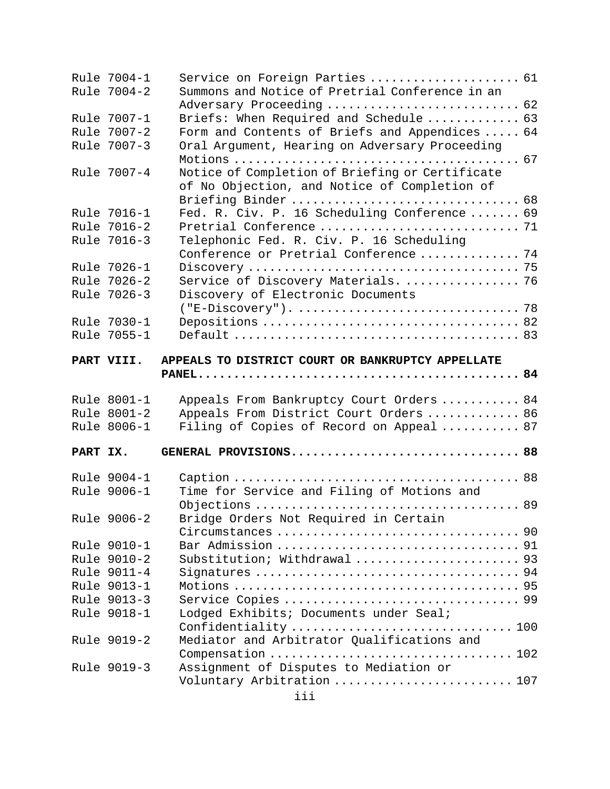|          | Rule 7004-1<br>Rule 7004-2 | Service on Foreign Parties  61<br>Summons and Notice of Pretrial Conference in an               |  |
|----------|----------------------------|-------------------------------------------------------------------------------------------------|--|
|          |                            | Adversary Proceeding  62                                                                        |  |
|          | Rule 7007-1                | Briefs: When Required and Schedule  63                                                          |  |
|          | Rule 7007-2                | Form and Contents of Briefs and Appendices  64                                                  |  |
|          | Rule 7007-3                | Oral Argument, Hearing on Adversary Proceeding                                                  |  |
|          | Rule 7007-4                | Notice of Completion of Briefing or Certificate<br>of No Objection, and Notice of Completion of |  |
|          | Rule 7016-1                | Fed. R. Civ. P. 16 Scheduling Conference  69                                                    |  |
|          | Rule 7016-2                |                                                                                                 |  |
|          | Rule 7016-3                | Telephonic Fed. R. Civ. P. 16 Scheduling                                                        |  |
|          |                            | Conference or Pretrial Conference  74                                                           |  |
|          | Rule 7026-1                |                                                                                                 |  |
|          | Rule 7026-2                | Service of Discovery Materials.  76                                                             |  |
|          | Rule 7026-3                | Discovery of Electronic Documents                                                               |  |
|          |                            |                                                                                                 |  |
|          | Rule 7030-1                |                                                                                                 |  |
|          | Rule 7055-1                |                                                                                                 |  |
|          |                            |                                                                                                 |  |
|          | PART VIII.                 | APPEALS TO DISTRICT COURT OR BANKRUPTCY APPELLATE                                               |  |
|          |                            |                                                                                                 |  |
|          |                            |                                                                                                 |  |
|          | Rule 8001-1                | Appeals From Bankruptcy Court Orders  84                                                        |  |
|          | Rule 8001-2                | Appeals From District Court Orders  86                                                          |  |
|          | Rule 8006-1                | Filing of Copies of Record on Appeal  87                                                        |  |
|          |                            |                                                                                                 |  |
| PART IX. |                            | GENERAL PROVISIONS 88                                                                           |  |
|          | Rule 9004-1                |                                                                                                 |  |
|          | Rule 9006-1                | Time for Service and Filing of Motions and                                                      |  |
|          |                            |                                                                                                 |  |
|          | Rule 9006-2                | Bridge Orders Not Required in Certain                                                           |  |
|          |                            |                                                                                                 |  |
|          | Rule 9010-1                |                                                                                                 |  |
|          | Rule 9010-2                | Substitution; Withdrawal  93                                                                    |  |
|          | Rule 9011-4                |                                                                                                 |  |
|          | Rule 9013-1                |                                                                                                 |  |
|          | Rule 9013-3                |                                                                                                 |  |
|          | Rule 9018-1                | Lodged Exhibits; Documents under Seal;                                                          |  |
|          |                            | Confidentiality  100                                                                            |  |
|          | Rule 9019-2                | Mediator and Arbitrator Qualifications and                                                      |  |
|          |                            | Compensation  102                                                                               |  |
|          | Rule 9019-3                | Assignment of Disputes to Mediation or<br>Voluntary Arbitration  107                            |  |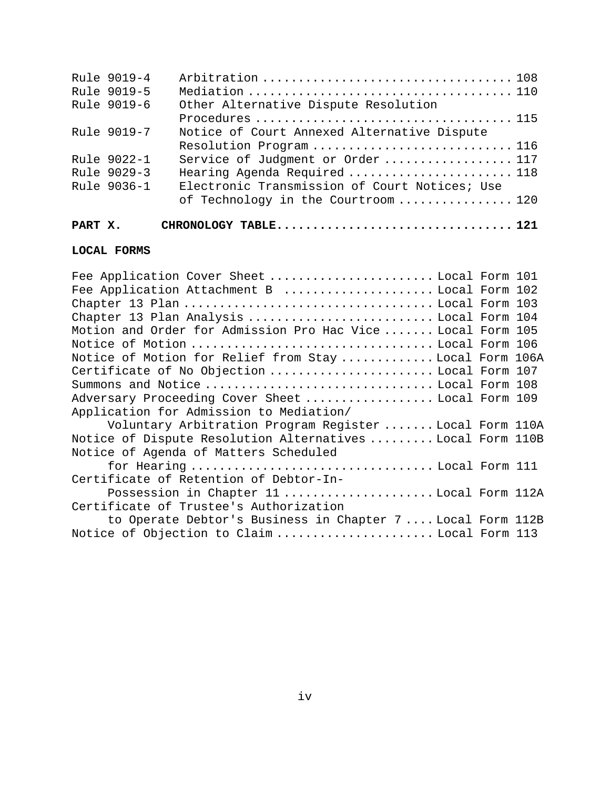| Rule 9019-4 | Arbitration  108                              |  |
|-------------|-----------------------------------------------|--|
| Rule 9019-5 |                                               |  |
| Rule 9019-6 | Other Alternative Dispute Resolution          |  |
|             |                                               |  |
| Rule 9019-7 | Notice of Court Annexed Alternative Dispute   |  |
|             | Resolution Program  116                       |  |
| Rule 9022-1 | Service of Judgment or Order  117             |  |
| Rule 9029-3 | Hearing Agenda Required  118                  |  |
| Rule 9036-1 | Electronic Transmission of Court Notices; Use |  |
|             | of Technology in the Courtroom  120           |  |
|             |                                               |  |
|             |                                               |  |

# **PART X. CHRONOLOGY TABLE................................. 121**

# **LOCAL FORMS**

| Fee Application Cover Sheet Local Form 101                  |  |
|-------------------------------------------------------------|--|
| Fee Application Attachment B  Local Form 102                |  |
|                                                             |  |
| Chapter 13 Plan Analysis  Local Form 104                    |  |
| Motion and Order for Admission Pro Hac Vice  Local Form 105 |  |
| Notice of Motion  Local Form 106                            |  |
| Notice of Motion for Relief from Stay Local Form 106A       |  |
| Certificate of No Objection  Local Form 107                 |  |
| Summons and Notice  Local Form 108                          |  |
| Adversary Proceeding Cover Sheet  Local Form 109            |  |
| Application for Admission to Mediation/                     |  |
| Voluntary Arbitration Program Register  Local Form 110A     |  |
| Notice of Dispute Resolution Alternatives  Local Form 110B  |  |
| Notice of Agenda of Matters Scheduled                       |  |
| for Hearing  Local Form 111                                 |  |
| Certificate of Retention of Debtor-In-                      |  |
| Possession in Chapter 11 Local Form 112A                    |  |
| Certificate of Trustee's Authorization                      |  |
| to Operate Debtor's Business in Chapter 7 Local Form 112B   |  |
| Notice of Objection to Claim  Local Form 113                |  |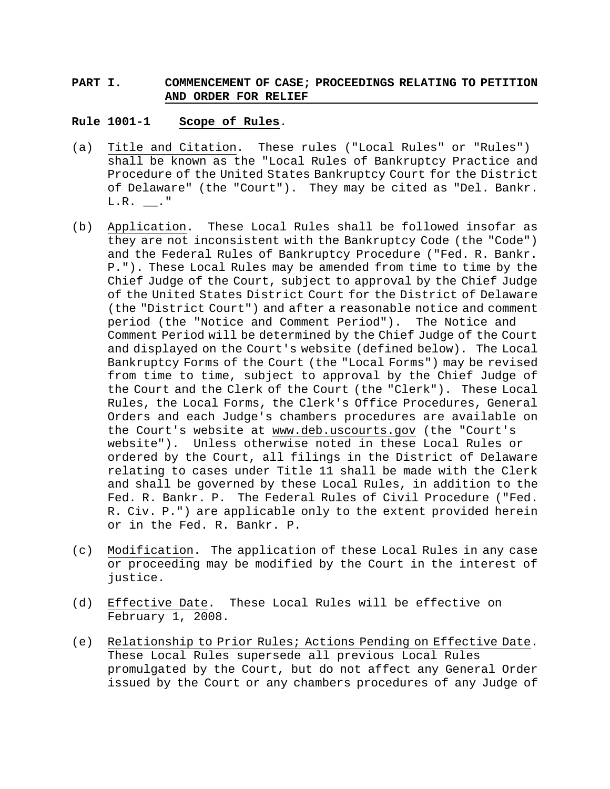### **PART I. COMMENCEMENT OF CASE; PROCEEDINGS RELATING TO PETITION AND ORDER FOR RELIEF**

### **Rule 1001-1 Scope of Rules**.

- (a) Title and Citation. These rules ("Local Rules" or "Rules") shall be known as the "Local Rules of Bankruptcy Practice and Procedure of the United States Bankruptcy Court for the District of Delaware" (the "Court"). They may be cited as "Del. Bankr.  $L.R.$   $\_\_\_\_\$ ."
- (b) Application. These Local Rules shall be followed insofar as they are not inconsistent with the Bankruptcy Code (the "Code") and the Federal Rules of Bankruptcy Procedure ("Fed. R. Bankr. P."). These Local Rules may be amended from time to time by the Chief Judge of the Court, subject to approval by the Chief Judge of the United States District Court for the District of Delaware (the "District Court") and after a reasonable notice and comment period (the "Notice and Comment Period"). The Notice and Comment Period will be determined by the Chief Judge of the Court and displayed on the Court's website (defined below). The Local Bankruptcy Forms of the Court (the "Local Forms") may be revised from time to time, subject to approval by the Chief Judge of the Court and the Clerk of the Court (the "Clerk"). These Local Rules, the Local Forms, the Clerk's Office Procedures, General Orders and each Judge's chambers procedures are available on the Court's website at www.deb.uscourts.gov (the "Court's website"). Unless otherwise noted in these Local Rules or ordered by the Court, all filings in the District of Delaware relating to cases under Title 11 shall be made with the Clerk and shall be governed by these Local Rules, in addition to the Fed. R. Bankr. P. The Federal Rules of Civil Procedure ("Fed. R. Civ. P.") are applicable only to the extent provided herein or in the Fed. R. Bankr. P.
- (c) Modification. The application of these Local Rules in any case or proceeding may be modified by the Court in the interest of justice.
- (d) Effective Date. These Local Rules will be effective on February 1, 2008.
- (e) Relationship to Prior Rules; Actions Pending on Effective Date. These Local Rules supersede all previous Local Rules promulgated by the Court, but do not affect any General Order issued by the Court or any chambers procedures of any Judge of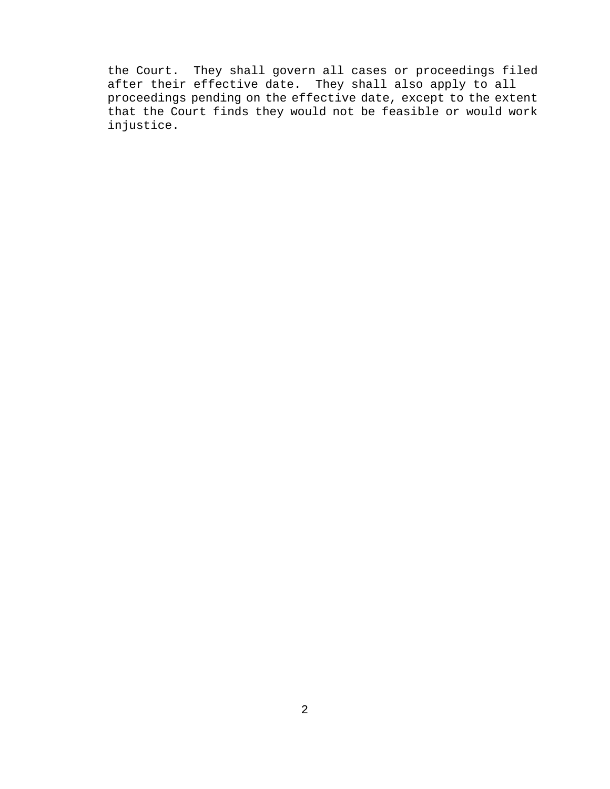the Court. They shall govern all cases or proceedings filed after their effective date. They shall also apply to all proceedings pending on the effective date, except to the extent that the Court finds they would not be feasible or would work injustice.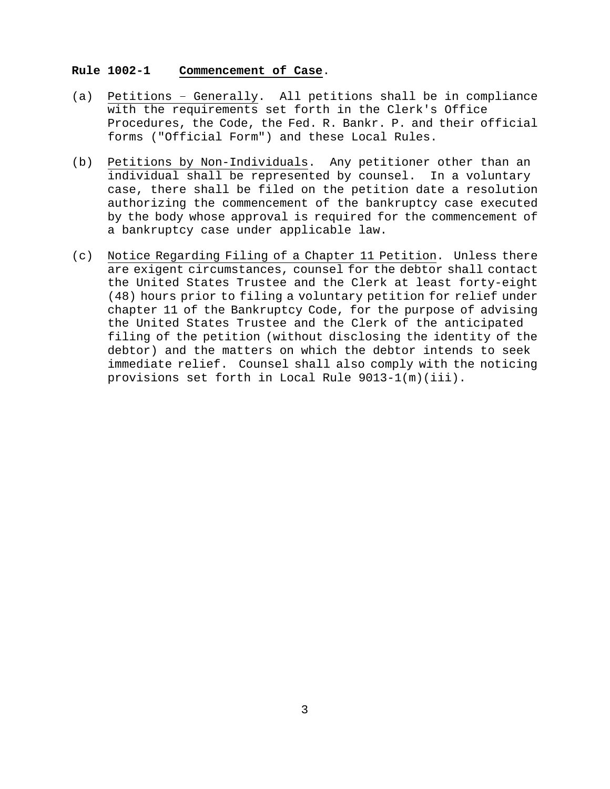#### **Rule 1002-1 Commencement of Case**.

- (a) Petitions Generally. All petitions shall be in compliance with the requirements set forth in the Clerk's Office Procedures, the Code, the Fed. R. Bankr. P. and their official forms ("Official Form") and these Local Rules.
- (b) Petitions by Non-Individuals. Any petitioner other than an individual shall be represented by counsel. In a voluntary case, there shall be filed on the petition date a resolution authorizing the commencement of the bankruptcy case executed by the body whose approval is required for the commencement of a bankruptcy case under applicable law.
- (c) Notice Regarding Filing of a Chapter 11 Petition. Unless there are exigent circumstances, counsel for the debtor shall contact the United States Trustee and the Clerk at least forty-eight (48) hours prior to filing a voluntary petition for relief under chapter 11 of the Bankruptcy Code, for the purpose of advising the United States Trustee and the Clerk of the anticipated filing of the petition (without disclosing the identity of the debtor) and the matters on which the debtor intends to seek immediate relief. Counsel shall also comply with the noticing provisions set forth in Local Rule 9013-1(m)(iii).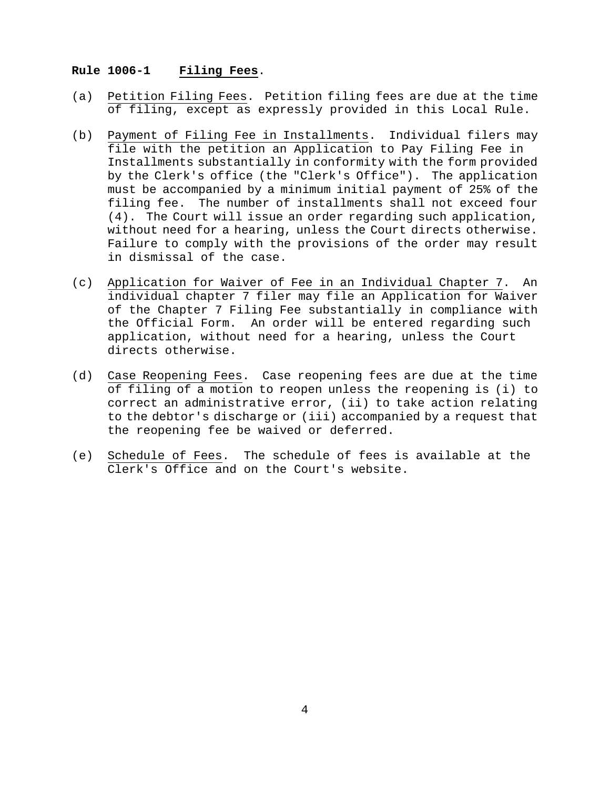### **Rule 1006-1 Filing Fees**.

- (a) Petition Filing Fees. Petition filing fees are due at the time of filing, except as expressly provided in this Local Rule.
- (b) Payment of Filing Fee in Installments. Individual filers may file with the petition an Application to Pay Filing Fee in Installments substantially in conformity with the form provided by the Clerk's office (the "Clerk's Office"). The application must be accompanied by a minimum initial payment of 25% of the filing fee. The number of installments shall not exceed four (4). The Court will issue an order regarding such application, without need for a hearing, unless the Court directs otherwise. Failure to comply with the provisions of the order may result in dismissal of the case.
- (c) Application for Waiver of Fee in an Individual Chapter 7. An individual chapter 7 filer may file an Application for Waiver of the Chapter 7 Filing Fee substantially in compliance with the Official Form. An order will be entered regarding such application, without need for a hearing, unless the Court directs otherwise.
- (d) Case Reopening Fees. Case reopening fees are due at the time of filing of a motion to reopen unless the reopening is (i) to correct an administrative error, (ii) to take action relating to the debtor's discharge or (iii) accompanied by a request that the reopening fee be waived or deferred.
- (e) Schedule of Fees. The schedule of fees is available at the Clerk's Office and on the Court's website.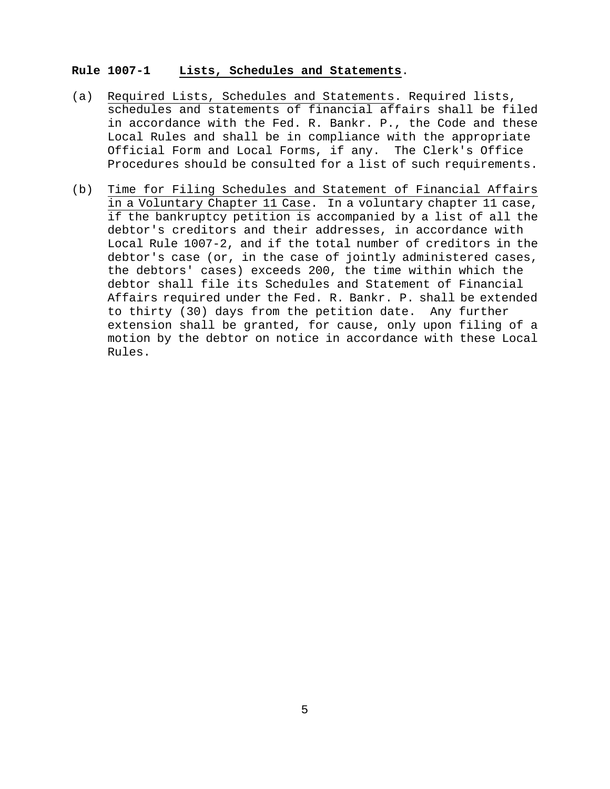### **Rule 1007-1 Lists, Schedules and Statements**.

- (a) Required Lists, Schedules and Statements. Required lists, schedules and statements of financial affairs shall be filed in accordance with the Fed. R. Bankr. P., the Code and these Local Rules and shall be in compliance with the appropriate Official Form and Local Forms, if any. The Clerk's Office Procedures should be consulted for a list of such requirements.
- (b) Time for Filing Schedules and Statement of Financial Affairs in a Voluntary Chapter 11 Case. In a voluntary chapter 11 case, if the bankruptcy petition is accompanied by a list of all the debtor's creditors and their addresses, in accordance with Local Rule 1007-2, and if the total number of creditors in the debtor's case (or, in the case of jointly administered cases, the debtors' cases) exceeds 200, the time within which the debtor shall file its Schedules and Statement of Financial Affairs required under the Fed. R. Bankr. P. shall be extended to thirty (30) days from the petition date. Any further extension shall be granted, for cause, only upon filing of a motion by the debtor on notice in accordance with these Local Rules.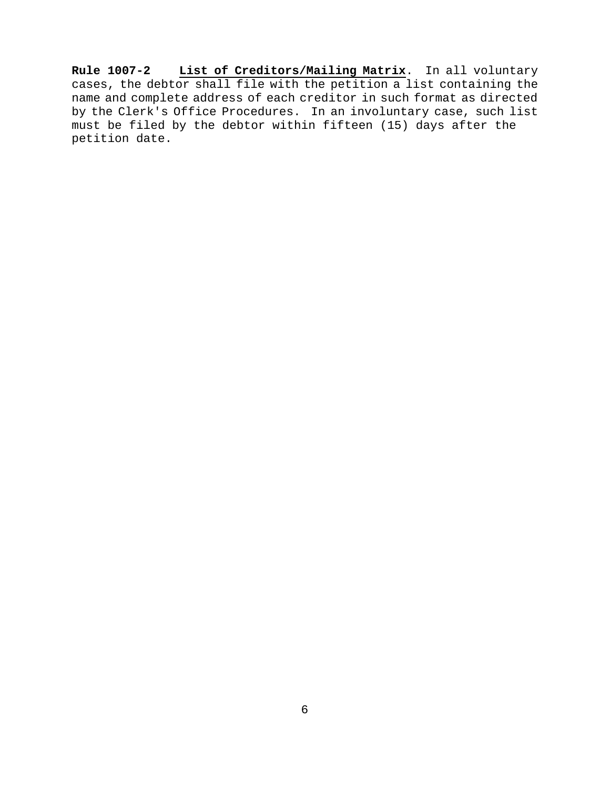**Rule 1007-2 List of Creditors/Mailing Matrix**. In all voluntary cases, the debtor shall file with the petition a list containing the name and complete address of each creditor in such format as directed by the Clerk's Office Procedures. In an involuntary case, such list must be filed by the debtor within fifteen (15) days after the petition date.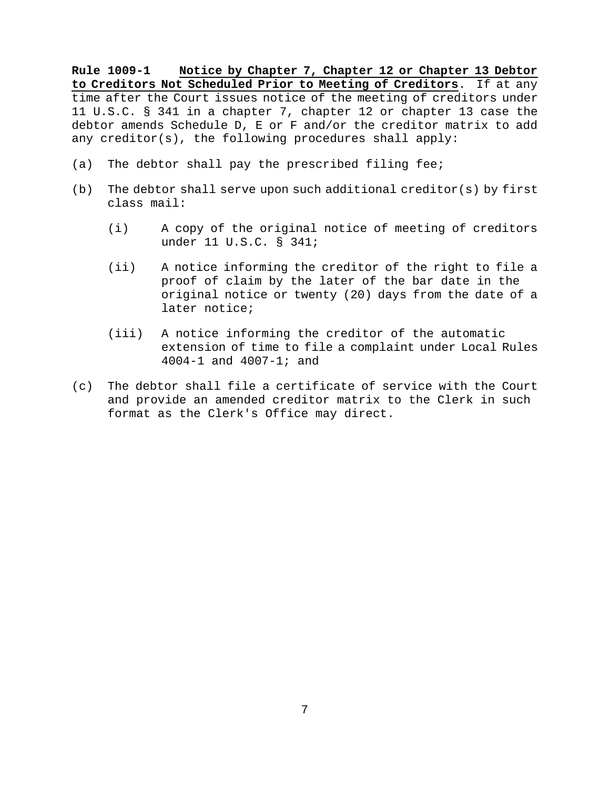**Rule 1009-1 Notice by Chapter 7, Chapter 12 or Chapter 13 Debtor to Creditors Not Scheduled Prior to Meeting of Creditors**. If at any time after the Court issues notice of the meeting of creditors under 11 U.S.C. § 341 in a chapter 7, chapter 12 or chapter 13 case the debtor amends Schedule D, E or F and/or the creditor matrix to add any creditor(s), the following procedures shall apply:

- (a) The debtor shall pay the prescribed filing fee;
- (b) The debtor shall serve upon such additional creditor(s) by first class mail:
	- (i) A copy of the original notice of meeting of creditors under 11 U.S.C. § 341;
	- (ii) A notice informing the creditor of the right to file a proof of claim by the later of the bar date in the original notice or twenty (20) days from the date of a later notice;
	- (iii) A notice informing the creditor of the automatic extension of time to file a complaint under Local Rules 4004-1 and 4007-1; and
- (c) The debtor shall file a certificate of service with the Court and provide an amended creditor matrix to the Clerk in such format as the Clerk's Office may direct.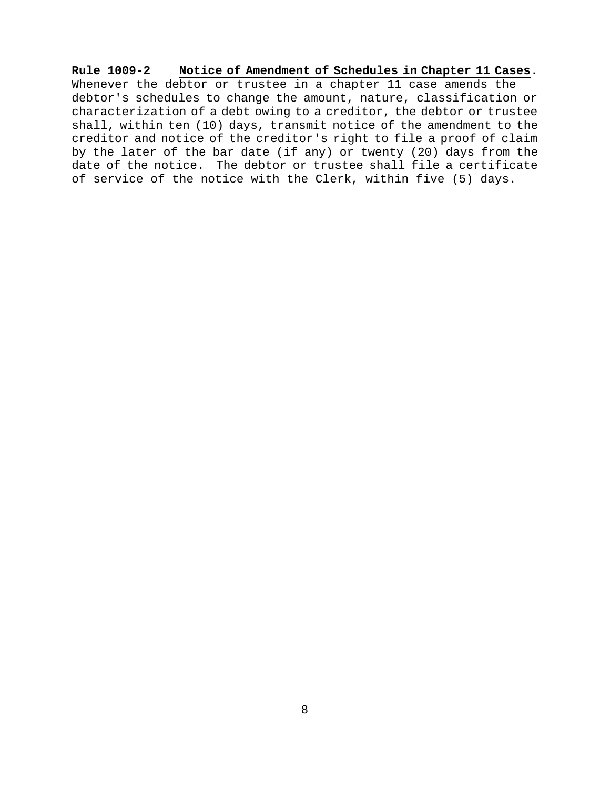**Rule 1009-2 Notice of Amendment of Schedules in Chapter 11 Cases**. Whenever the debtor or trustee in a chapter 11 case amends the debtor's schedules to change the amount, nature, classification or characterization of a debt owing to a creditor, the debtor or trustee shall, within ten (10) days, transmit notice of the amendment to the creditor and notice of the creditor's right to file a proof of claim by the later of the bar date (if any) or twenty (20) days from the date of the notice. The debtor or trustee shall file a certificate of service of the notice with the Clerk, within five (5) days.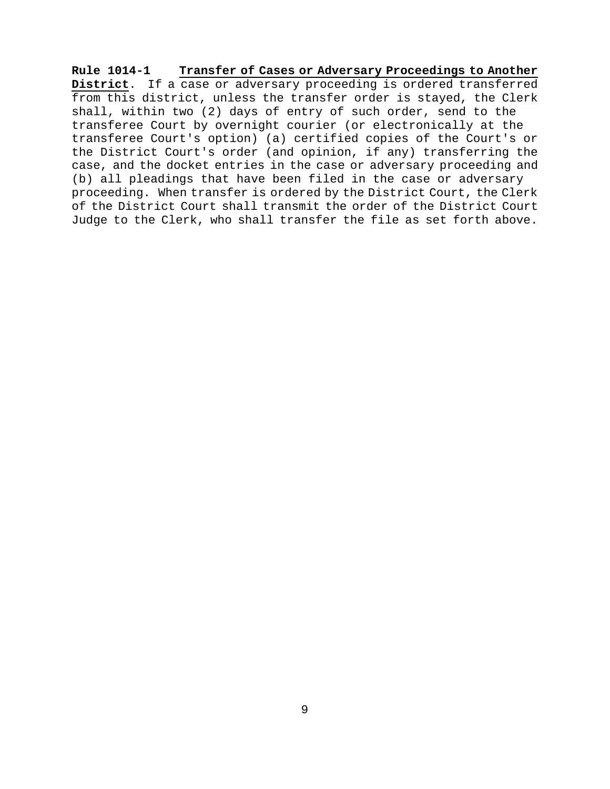**Rule 1014-1 Transfer of Cases or Adversary Proceedings to Another District**. If a case or adversary proceeding is ordered transferred from this district, unless the transfer order is stayed, the Clerk shall, within two (2) days of entry of such order, send to the transferee Court by overnight courier (or electronically at the transferee Court's option) (a) certified copies of the Court's or the District Court's order (and opinion, if any) transferring the case, and the docket entries in the case or adversary proceeding and (b) all pleadings that have been filed in the case or adversary proceeding. When transfer is ordered by the District Court, the Clerk of the District Court shall transmit the order of the District Court Judge to the Clerk, who shall transfer the file as set forth above.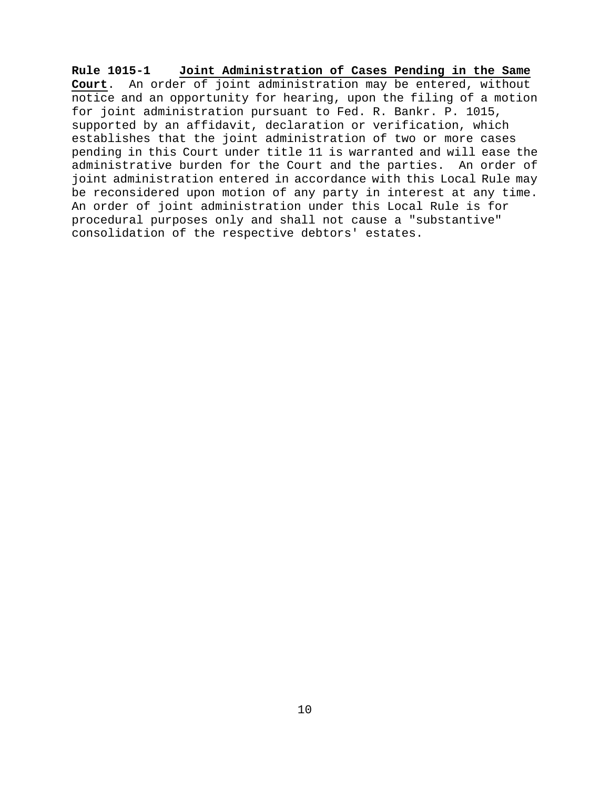**Rule 1015-1 Joint Administration of Cases Pending in the Same Court**. An order of joint administration may be entered, without notice and an opportunity for hearing, upon the filing of a motion for joint administration pursuant to Fed. R. Bankr. P. 1015, supported by an affidavit, declaration or verification, which establishes that the joint administration of two or more cases pending in this Court under title 11 is warranted and will ease the administrative burden for the Court and the parties. An order of joint administration entered in accordance with this Local Rule may be reconsidered upon motion of any party in interest at any time. An order of joint administration under this Local Rule is for procedural purposes only and shall not cause a "substantive" consolidation of the respective debtors' estates.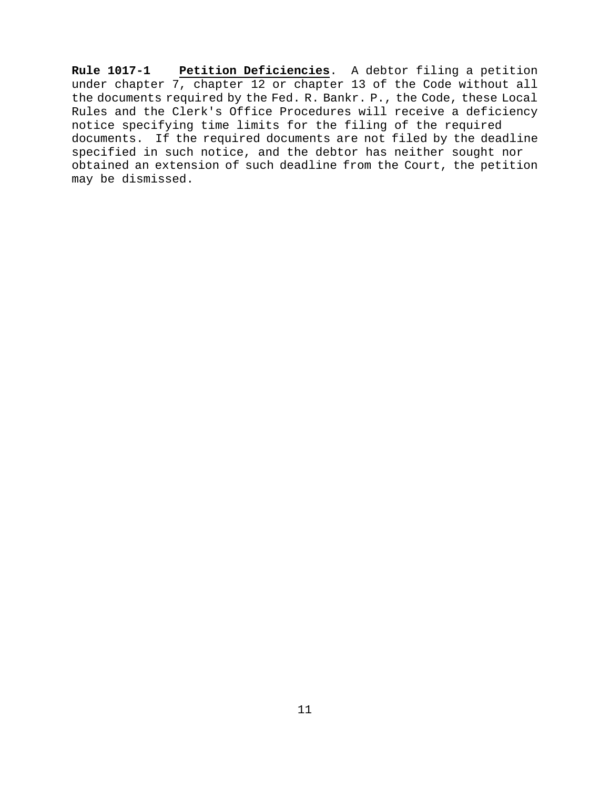**Rule 1017-1 Petition Deficiencies**. A debtor filing a petition under chapter 7, chapter 12 or chapter 13 of the Code without all the documents required by the Fed. R. Bankr. P., the Code, these Local Rules and the Clerk's Office Procedures will receive a deficiency notice specifying time limits for the filing of the required documents. If the required documents are not filed by the deadline specified in such notice, and the debtor has neither sought nor obtained an extension of such deadline from the Court, the petition may be dismissed.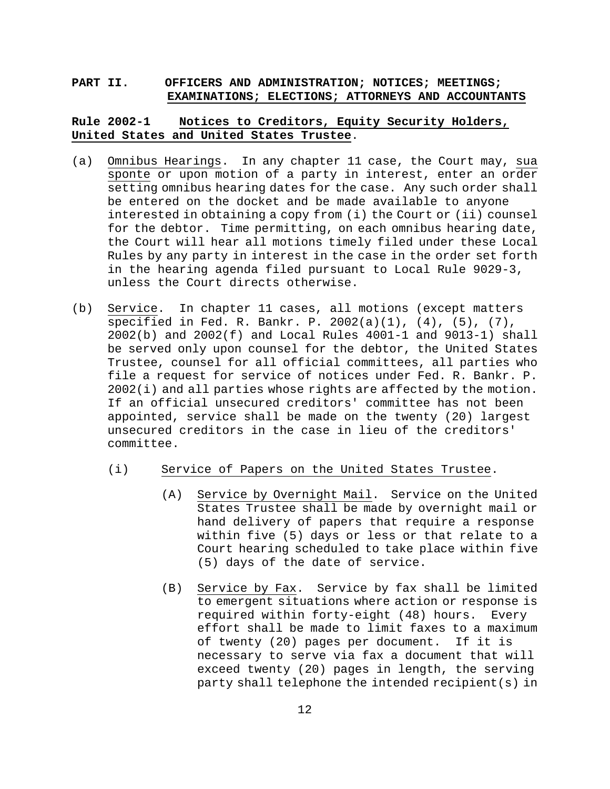### **PART II. OFFICERS AND ADMINISTRATION; NOTICES; MEETINGS; EXAMINATIONS; ELECTIONS; ATTORNEYS AND ACCOUNTANTS**

# **Rule 2002-1 Notices to Creditors, Equity Security Holders, United States and United States Trustee**.

- (a) Omnibus Hearings. In any chapter 11 case, the Court may, sua sponte or upon motion of a party in interest, enter an order setting omnibus hearing dates for the case. Any such order shall be entered on the docket and be made available to anyone interested in obtaining a copy from (i) the Court or (ii) counsel for the debtor. Time permitting, on each omnibus hearing date, the Court will hear all motions timely filed under these Local Rules by any party in interest in the case in the order set forth in the hearing agenda filed pursuant to Local Rule 9029-3, unless the Court directs otherwise.
- (b) Service. In chapter 11 cases, all motions (except matters specified in Fed. R. Bankr. P. 2002(a)(1), (4), (5), (7), 2002(b) and 2002(f) and Local Rules 4001-1 and 9013-1) shall be served only upon counsel for the debtor, the United States Trustee, counsel for all official committees, all parties who file a request for service of notices under Fed. R. Bankr. P. 2002(i) and all parties whose rights are affected by the motion. If an official unsecured creditors' committee has not been appointed, service shall be made on the twenty (20) largest unsecured creditors in the case in lieu of the creditors' committee.
	- (i) Service of Papers on the United States Trustee.
		- (A) Service by Overnight Mail. Service on the United States Trustee shall be made by overnight mail or hand delivery of papers that require a response within five (5) days or less or that relate to a Court hearing scheduled to take place within five (5) days of the date of service.
		- (B) Service by Fax. Service by fax shall be limited to emergent situations where action or response is required within forty-eight (48) hours. Every effort shall be made to limit faxes to a maximum of twenty (20) pages per document. If it is necessary to serve via fax a document that will exceed twenty (20) pages in length, the serving party shall telephone the intended recipient(s) in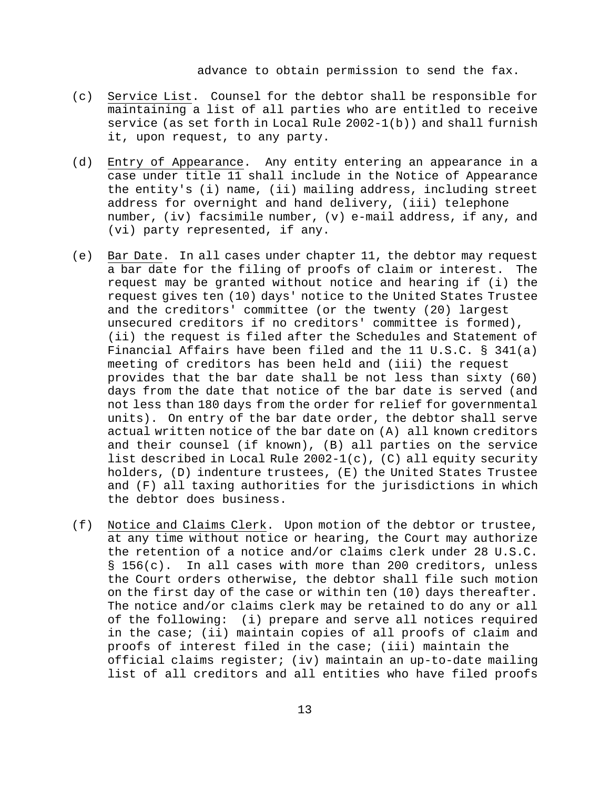#### advance to obtain permission to send the fax.

- (c) Service List. Counsel for the debtor shall be responsible for maintaining a list of all parties who are entitled to receive service (as set forth in Local Rule 2002-1(b)) and shall furnish it, upon request, to any party.
- (d) Entry of Appearance. Any entity entering an appearance in a case under title 11 shall include in the Notice of Appearance the entity's (i) name, (ii) mailing address, including street address for overnight and hand delivery, (iii) telephone number, (iv) facsimile number, (v) e-mail address, if any, and (vi) party represented, if any.
- (e) Bar Date. In all cases under chapter 11, the debtor may request a bar date for the filing of proofs of claim or interest. The request may be granted without notice and hearing if (i) the request gives ten (10) days' notice to the United States Trustee and the creditors' committee (or the twenty (20) largest unsecured creditors if no creditors' committee is formed), (ii) the request is filed after the Schedules and Statement of Financial Affairs have been filed and the 11 U.S.C. § 341(a) meeting of creditors has been held and (iii) the request provides that the bar date shall be not less than sixty (60) days from the date that notice of the bar date is served (and not less than 180 days from the order for relief for governmental units). On entry of the bar date order, the debtor shall serve actual written notice of the bar date on (A) all known creditors and their counsel (if known), (B) all parties on the service list described in Local Rule 2002-1(c), (C) all equity security holders, (D) indenture trustees, (E) the United States Trustee and (F) all taxing authorities for the jurisdictions in which the debtor does business.
- (f) Notice and Claims Clerk. Upon motion of the debtor or trustee, at any time without notice or hearing, the Court may authorize the retention of a notice and/or claims clerk under 28 U.S.C. § 156(c). In all cases with more than 200 creditors, unless the Court orders otherwise, the debtor shall file such motion on the first day of the case or within ten (10) days thereafter. The notice and/or claims clerk may be retained to do any or all of the following: (i) prepare and serve all notices required in the case; (ii) maintain copies of all proofs of claim and proofs of interest filed in the case; (iii) maintain the official claims register; (iv) maintain an up-to-date mailing list of all creditors and all entities who have filed proofs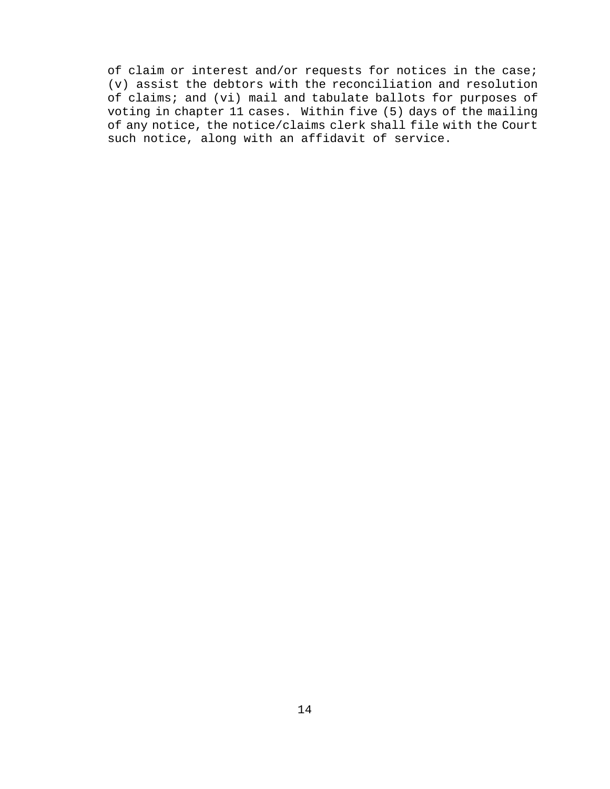of claim or interest and/or requests for notices in the case; (v) assist the debtors with the reconciliation and resolution of claims; and (vi) mail and tabulate ballots for purposes of voting in chapter 11 cases. Within five (5) days of the mailing of any notice, the notice/claims clerk shall file with the Court such notice, along with an affidavit of service.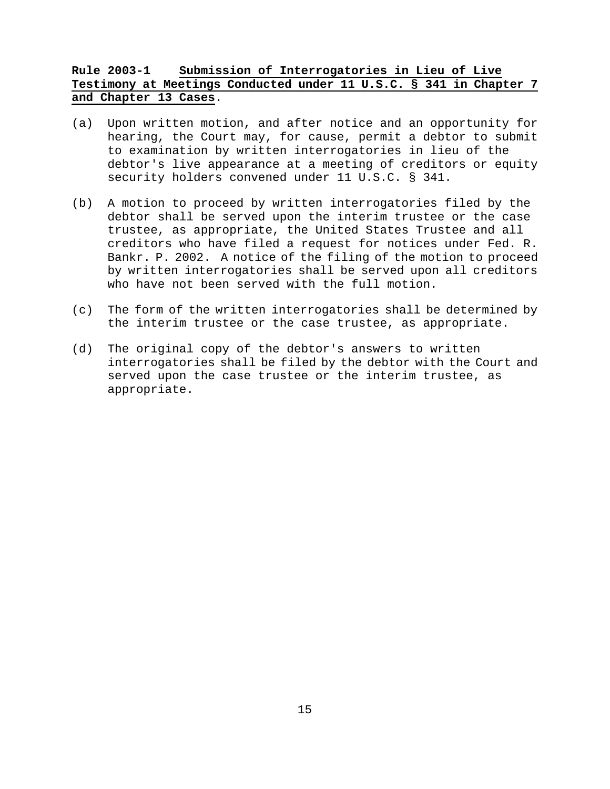# **Rule 2003-1 Submission of Interrogatories in Lieu of Live Testimony at Meetings Conducted under 11 U.S.C. § 341 in Chapter 7 and Chapter 13 Cases**.

- (a) Upon written motion, and after notice and an opportunity for hearing, the Court may, for cause, permit a debtor to submit to examination by written interrogatories in lieu of the debtor's live appearance at a meeting of creditors or equity security holders convened under 11 U.S.C. § 341.
- (b) A motion to proceed by written interrogatories filed by the debtor shall be served upon the interim trustee or the case trustee, as appropriate, the United States Trustee and all creditors who have filed a request for notices under Fed. R. Bankr. P. 2002. A notice of the filing of the motion to proceed by written interrogatories shall be served upon all creditors who have not been served with the full motion.
- (c) The form of the written interrogatories shall be determined by the interim trustee or the case trustee, as appropriate.
- (d) The original copy of the debtor's answers to written interrogatories shall be filed by the debtor with the Court and served upon the case trustee or the interim trustee, as appropriate.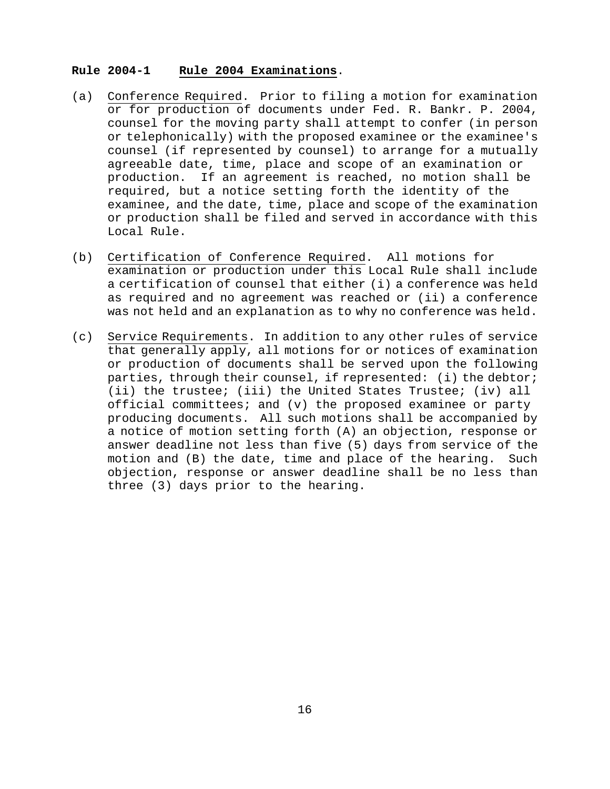#### **Rule 2004-1 Rule 2004 Examinations**.

- (a) Conference Required. Prior to filing a motion for examination or for production of documents under Fed. R. Bankr. P. 2004, counsel for the moving party shall attempt to confer (in person or telephonically) with the proposed examinee or the examinee's counsel (if represented by counsel) to arrange for a mutually agreeable date, time, place and scope of an examination or production. If an agreement is reached, no motion shall be required, but a notice setting forth the identity of the examinee, and the date, time, place and scope of the examination or production shall be filed and served in accordance with this Local Rule.
- (b) Certification of Conference Required. All motions for examination or production under this Local Rule shall include a certification of counsel that either (i) a conference was held as required and no agreement was reached or (ii) a conference was not held and an explanation as to why no conference was held.
- (c) Service Requirements. In addition to any other rules of service that generally apply, all motions for or notices of examination or production of documents shall be served upon the following parties, through their counsel, if represented: (i) the debtor; (ii) the trustee; (iii) the United States Trustee; (iv) all official committees; and (v) the proposed examinee or party producing documents. All such motions shall be accompanied by a notice of motion setting forth (A) an objection, response or answer deadline not less than five (5) days from service of the motion and (B) the date, time and place of the hearing. Such objection, response or answer deadline shall be no less than three (3) days prior to the hearing.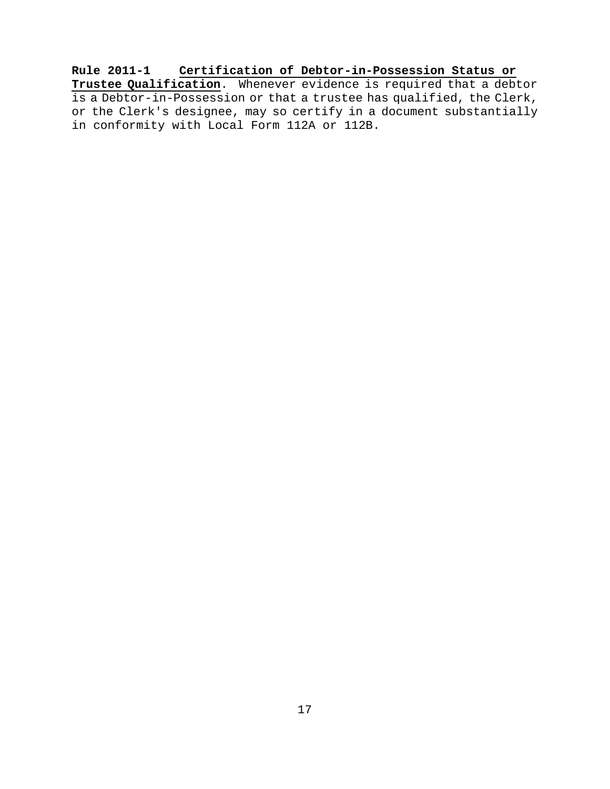**Rule 2011-1 Certification of Debtor-in-Possession Status or Trustee Qualification**. Whenever evidence is required that a debtor is a Debtor-in-Possession or that a trustee has qualified, the Clerk, or the Clerk's designee, may so certify in a document substantially in conformity with Local Form 112A or 112B.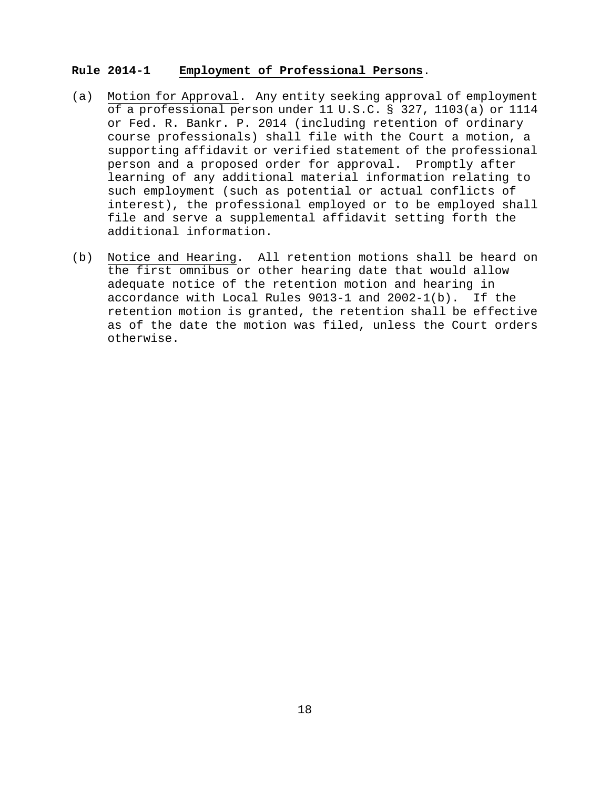#### **Rule 2014-1 Employment of Professional Persons**.

- (a) Motion for Approval. Any entity seeking approval of employment of a professional person under 11 U.S.C. § 327, 1103(a) or 1114 or Fed. R. Bankr. P. 2014 (including retention of ordinary course professionals) shall file with the Court a motion, a supporting affidavit or verified statement of the professional person and a proposed order for approval. Promptly after learning of any additional material information relating to such employment (such as potential or actual conflicts of interest), the professional employed or to be employed shall file and serve a supplemental affidavit setting forth the additional information.
- (b) Notice and Hearing. All retention motions shall be heard on the first omnibus or other hearing date that would allow adequate notice of the retention motion and hearing in accordance with Local Rules 9013-1 and 2002-1(b). If the retention motion is granted, the retention shall be effective as of the date the motion was filed, unless the Court orders otherwise.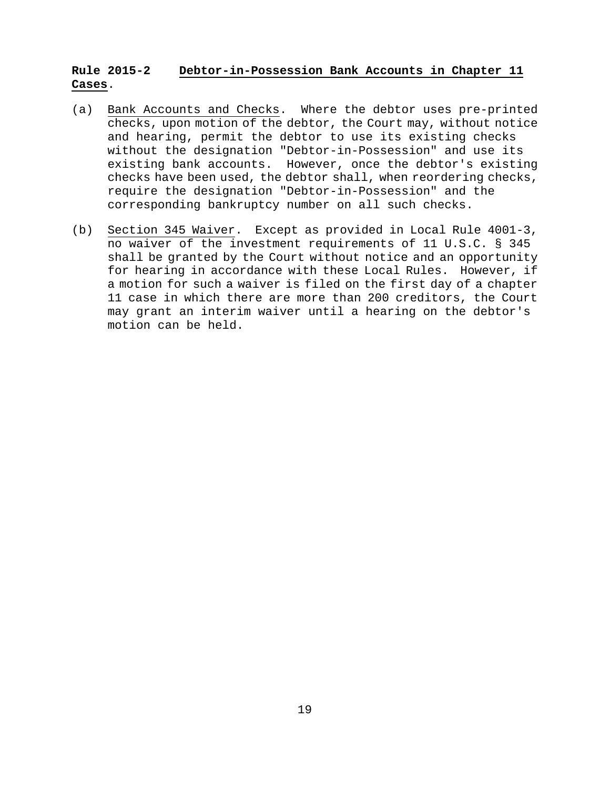# **Rule 2015-2 Debtor-in-Possession Bank Accounts in Chapter 11 Cases**.

- (a) Bank Accounts and Checks. Where the debtor uses pre-printed checks, upon motion of the debtor, the Court may, without notice and hearing, permit the debtor to use its existing checks without the designation "Debtor-in-Possession" and use its existing bank accounts. However, once the debtor's existing checks have been used, the debtor shall, when reordering checks, require the designation "Debtor-in-Possession" and the corresponding bankruptcy number on all such checks.
- (b) Section 345 Waiver. Except as provided in Local Rule 4001-3, no waiver of the investment requirements of 11 U.S.C. § 345 shall be granted by the Court without notice and an opportunity for hearing in accordance with these Local Rules. However, if a motion for such a waiver is filed on the first day of a chapter 11 case in which there are more than 200 creditors, the Court may grant an interim waiver until a hearing on the debtor's motion can be held.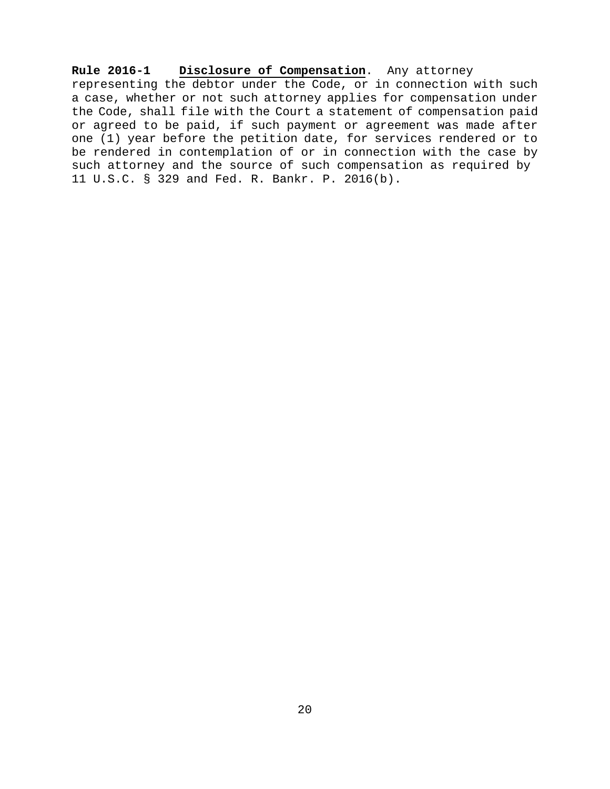**Rule 2016-1 Disclosure of Compensation**. Any attorney representing the debtor under the Code, or in connection with such a case, whether or not such attorney applies for compensation under the Code, shall file with the Court a statement of compensation paid or agreed to be paid, if such payment or agreement was made after one (1) year before the petition date, for services rendered or to be rendered in contemplation of or in connection with the case by such attorney and the source of such compensation as required by 11 U.S.C. § 329 and Fed. R. Bankr. P. 2016(b).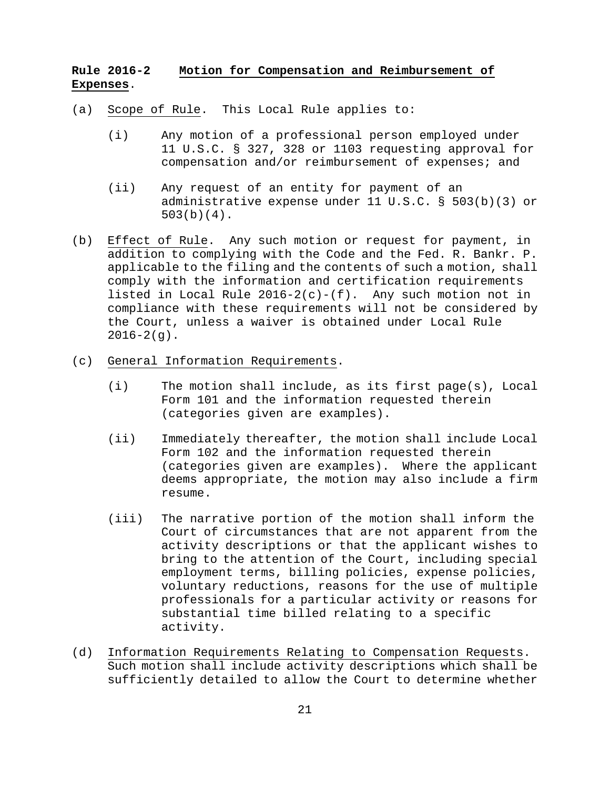## **Rule 2016-2 Motion for Compensation and Reimbursement of Expenses**.

- (a) Scope of Rule. This Local Rule applies to:
	- (i) Any motion of a professional person employed under 11 U.S.C. § 327, 328 or 1103 requesting approval for compensation and/or reimbursement of expenses; and
	- (ii) Any request of an entity for payment of an administrative expense under 11 U.S.C. § 503(b)(3) or 503(b)(4).
- (b) Effect of Rule. Any such motion or request for payment, in addition to complying with the Code and the Fed. R. Bankr. P. applicable to the filing and the contents of such a motion, shall comply with the information and certification requirements listed in Local Rule  $2016-2(c)-(f)$ . Any such motion not in compliance with these requirements will not be considered by the Court, unless a waiver is obtained under Local Rule  $2016-2(q)$ .
- (c) General Information Requirements.
	- (i) The motion shall include, as its first page(s), Local Form 101 and the information requested therein (categories given are examples).
	- (ii) Immediately thereafter, the motion shall include Local Form 102 and the information requested therein (categories given are examples). Where the applicant deems appropriate, the motion may also include a firm resume.
	- (iii) The narrative portion of the motion shall inform the Court of circumstances that are not apparent from the activity descriptions or that the applicant wishes to bring to the attention of the Court, including special employment terms, billing policies, expense policies, voluntary reductions, reasons for the use of multiple professionals for a particular activity or reasons for substantial time billed relating to a specific activity.
- (d) Information Requirements Relating to Compensation Requests. Such motion shall include activity descriptions which shall be sufficiently detailed to allow the Court to determine whether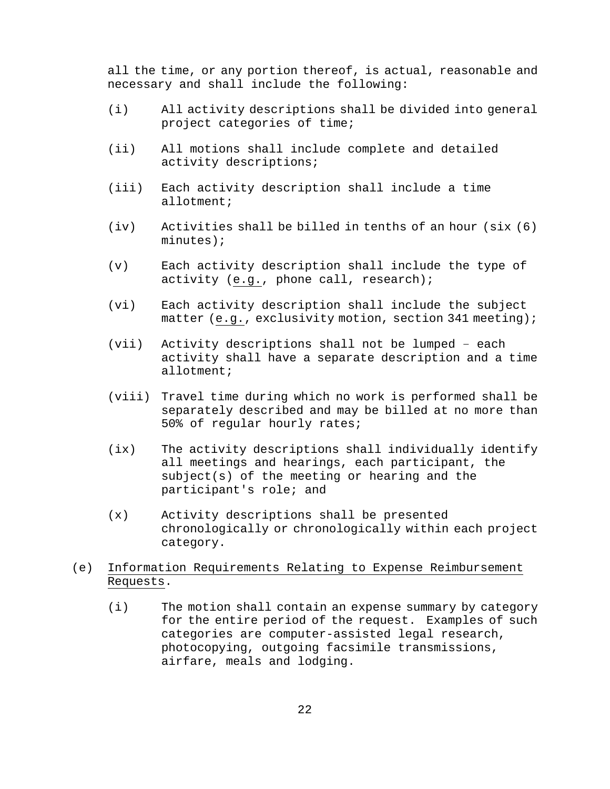all the time, or any portion thereof, is actual, reasonable and necessary and shall include the following:

- (i) All activity descriptions shall be divided into general project categories of time;
- (ii) All motions shall include complete and detailed activity descriptions;
- (iii) Each activity description shall include a time allotment;
- (iv) Activities shall be billed in tenths of an hour (six (6) minutes);
- (v) Each activity description shall include the type of activity (e.g., phone call, research);
- (vi) Each activity description shall include the subject matter (e.g., exclusivity motion, section 341 meeting);
- (vii) Activity descriptions shall not be lumped each activity shall have a separate description and a time allotment;
- (viii) Travel time during which no work is performed shall be separately described and may be billed at no more than 50% of regular hourly rates;
- (ix) The activity descriptions shall individually identify all meetings and hearings, each participant, the subject(s) of the meeting or hearing and the participant's role; and
- (x) Activity descriptions shall be presented chronologically or chronologically within each project category.
- (e) Information Requirements Relating to Expense Reimbursement Requests.
	- (i) The motion shall contain an expense summary by category for the entire period of the request. Examples of such categories are computer-assisted legal research, photocopying, outgoing facsimile transmissions, airfare, meals and lodging.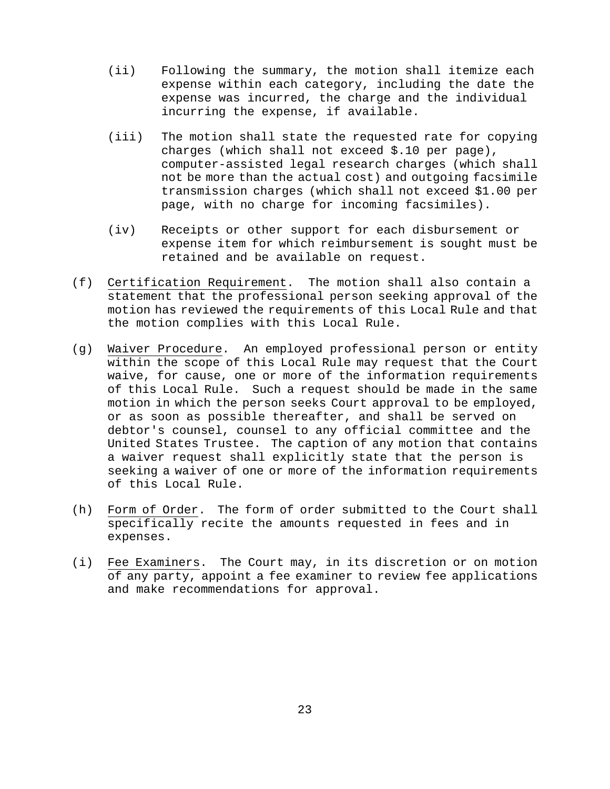- (ii) Following the summary, the motion shall itemize each expense within each category, including the date the expense was incurred, the charge and the individual incurring the expense, if available.
- (iii) The motion shall state the requested rate for copying charges (which shall not exceed \$.10 per page), computer-assisted legal research charges (which shall not be more than the actual cost) and outgoing facsimile transmission charges (which shall not exceed \$1.00 per page, with no charge for incoming facsimiles).
- (iv) Receipts or other support for each disbursement or expense item for which reimbursement is sought must be retained and be available on request.
- (f) Certification Requirement. The motion shall also contain a statement that the professional person seeking approval of the motion has reviewed the requirements of this Local Rule and that the motion complies with this Local Rule.
- (g) Waiver Procedure. An employed professional person or entity within the scope of this Local Rule may request that the Court waive, for cause, one or more of the information requirements of this Local Rule. Such a request should be made in the same motion in which the person seeks Court approval to be employed, or as soon as possible thereafter, and shall be served on debtor's counsel, counsel to any official committee and the United States Trustee. The caption of any motion that contains a waiver request shall explicitly state that the person is seeking a waiver of one or more of the information requirements of this Local Rule.
- (h) Form of Order. The form of order submitted to the Court shall specifically recite the amounts requested in fees and in expenses.
- (i) Fee Examiners. The Court may, in its discretion or on motion of any party, appoint a fee examiner to review fee applications and make recommendations for approval.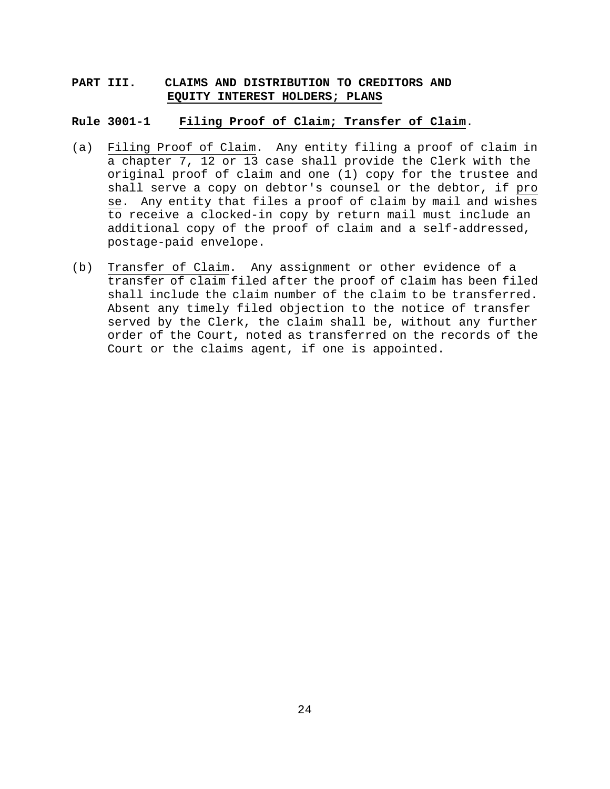### **PART III. CLAIMS AND DISTRIBUTION TO CREDITORS AND EQUITY INTEREST HOLDERS; PLANS**

#### **Rule 3001-1 Filing Proof of Claim; Transfer of Claim**.

- (a) Filing Proof of Claim. Any entity filing a proof of claim in a chapter 7, 12 or 13 case shall provide the Clerk with the original proof of claim and one (1) copy for the trustee and shall serve a copy on debtor's counsel or the debtor, if pro se. Any entity that files a proof of claim by mail and wishes to receive a clocked-in copy by return mail must include an additional copy of the proof of claim and a self-addressed, postage-paid envelope.
- (b) Transfer of Claim. Any assignment or other evidence of a transfer of claim filed after the proof of claim has been filed shall include the claim number of the claim to be transferred. Absent any timely filed objection to the notice of transfer served by the Clerk, the claim shall be, without any further order of the Court, noted as transferred on the records of the Court or the claims agent, if one is appointed.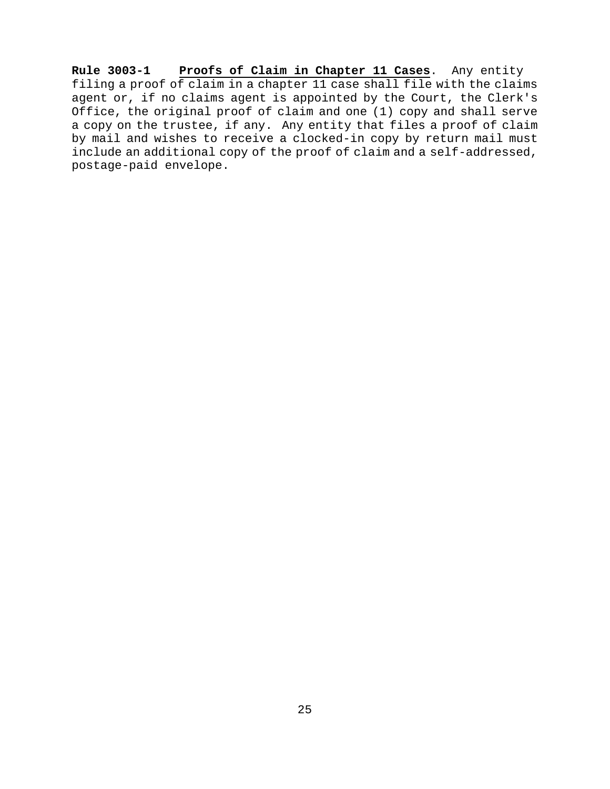**Rule 3003-1 Proofs of Claim in Chapter 11 Cases**. Any entity filing a proof of claim in a chapter 11 case shall file with the claims agent or, if no claims agent is appointed by the Court, the Clerk's Office, the original proof of claim and one (1) copy and shall serve a copy on the trustee, if any. Any entity that files a proof of claim by mail and wishes to receive a clocked-in copy by return mail must include an additional copy of the proof of claim and a self-addressed, postage-paid envelope.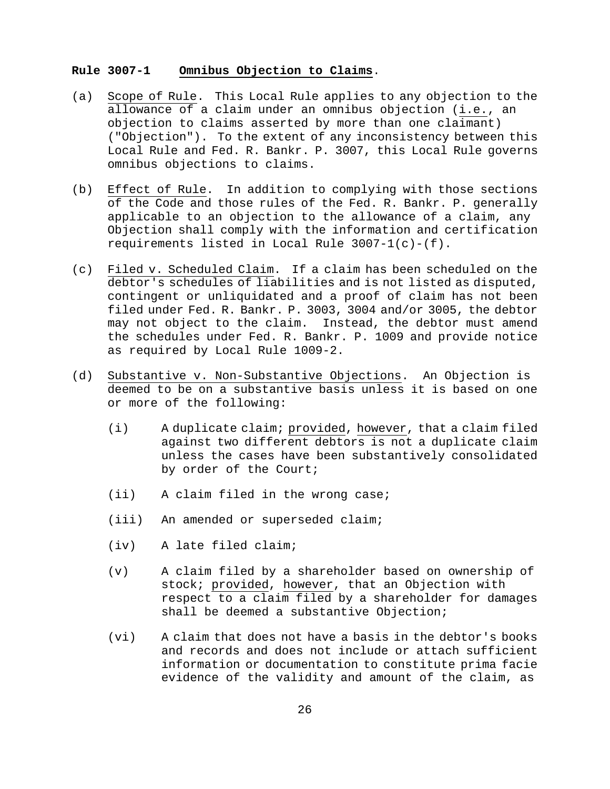#### **Rule 3007-1 Omnibus Objection to Claims**.

- (a) Scope of Rule. This Local Rule applies to any objection to the allowance of a claim under an omnibus objection (i.e., an objection to claims asserted by more than one claimant) ("Objection"). To the extent of any inconsistency between this Local Rule and Fed. R. Bankr. P. 3007, this Local Rule governs omnibus objections to claims.
- (b) Effect of Rule. In addition to complying with those sections of the Code and those rules of the Fed. R. Bankr. P. generally applicable to an objection to the allowance of a claim, any Objection shall comply with the information and certification requirements listed in Local Rule 3007-1(c)-(f).
- (c) Filed v. Scheduled Claim. If a claim has been scheduled on the debtor's schedules of liabilities and is not listed as disputed, contingent or unliquidated and a proof of claim has not been filed under Fed. R. Bankr. P. 3003, 3004 and/or 3005, the debtor may not object to the claim. Instead, the debtor must amend the schedules under Fed. R. Bankr. P. 1009 and provide notice as required by Local Rule 1009-2.
- (d) Substantive v. Non-Substantive Objections. An Objection is deemed to be on a substantive basis unless it is based on one or more of the following:
	- (i) A duplicate claim; provided, however, that a claim filed against two different debtors is not a duplicate claim unless the cases have been substantively consolidated by order of the Court;
	- (ii) A claim filed in the wrong case;
	- (iii) An amended or superseded claim;
	- (iv) A late filed claim;
	- (v) A claim filed by a shareholder based on ownership of stock; provided, however, that an Objection with respect to a claim filed by a shareholder for damages shall be deemed a substantive Objection;
	- (vi) A claim that does not have a basis in the debtor's books and records and does not include or attach sufficient information or documentation to constitute prima facie evidence of the validity and amount of the claim, as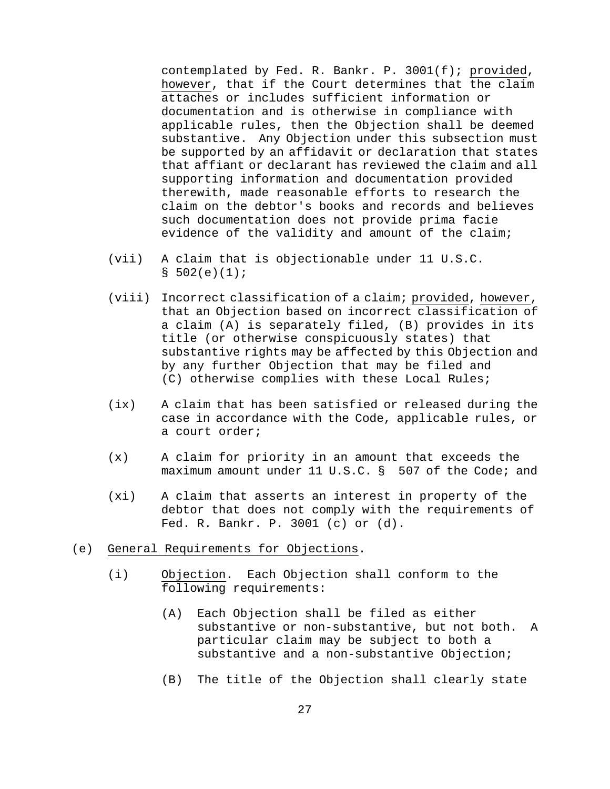contemplated by Fed. R. Bankr. P. 3001(f); provided, however, that if the Court determines that the claim attaches or includes sufficient information or documentation and is otherwise in compliance with applicable rules, then the Objection shall be deemed substantive. Any Objection under this subsection must be supported by an affidavit or declaration that states that affiant or declarant has reviewed the claim and all supporting information and documentation provided therewith, made reasonable efforts to research the claim on the debtor's books and records and believes such documentation does not provide prima facie evidence of the validity and amount of the claim;

- (vii) A claim that is objectionable under 11 U.S.C.  $$502(e)(1);$
- (viii) Incorrect classification of a claim; provided, however, that an Objection based on incorrect classification of a claim (A) is separately filed, (B) provides in its title (or otherwise conspicuously states) that substantive rights may be affected by this Objection and by any further Objection that may be filed and (C) otherwise complies with these Local Rules;
- (ix) A claim that has been satisfied or released during the case in accordance with the Code, applicable rules, or a court order;
- (x) A claim for priority in an amount that exceeds the maximum amount under 11 U.S.C. § 507 of the Code; and
- (xi) A claim that asserts an interest in property of the debtor that does not comply with the requirements of Fed. R. Bankr. P. 3001 (c) or (d).
- (e) General Requirements for Objections.
	- (i) Objection. Each Objection shall conform to the following requirements:
		- (A) Each Objection shall be filed as either substantive or non-substantive, but not both. A particular claim may be subject to both a substantive and a non-substantive Objection;
		- (B) The title of the Objection shall clearly state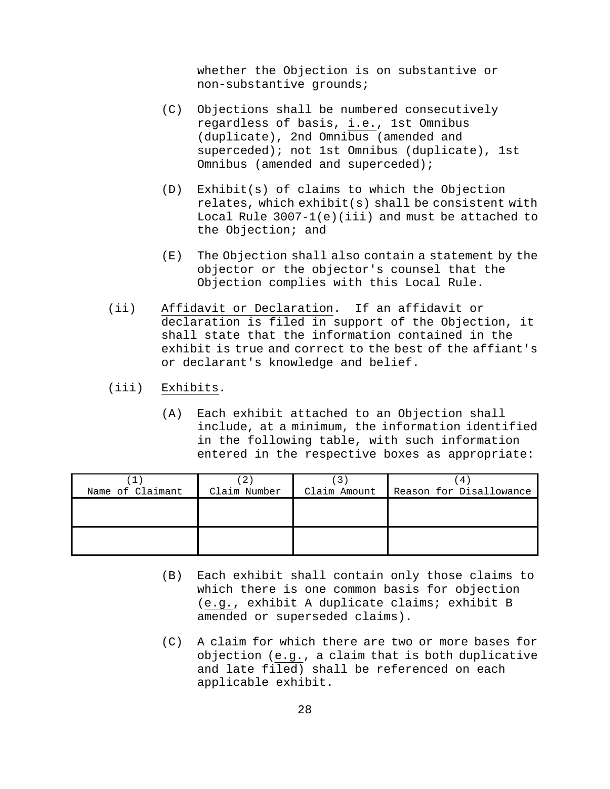whether the Objection is on substantive or non-substantive grounds;

- (C) Objections shall be numbered consecutively regardless of basis, i.e., 1st Omnibus (duplicate), 2nd Omnibus (amended and superceded); not 1st Omnibus (duplicate), 1st Omnibus (amended and superceded);
- (D) Exhibit(s) of claims to which the Objection relates, which exhibit(s) shall be consistent with Local Rule 3007-1(e)(iii) and must be attached to the Objection; and
- (E) The Objection shall also contain a statement by the objector or the objector's counsel that the Objection complies with this Local Rule.
- (ii) Affidavit or Declaration. If an affidavit or declaration is filed in support of the Objection, it shall state that the information contained in the exhibit is true and correct to the best of the affiant's or declarant's knowledge and belief.
- (iii) Exhibits.
	- (A) Each exhibit attached to an Objection shall include, at a minimum, the information identified in the following table, with such information entered in the respective boxes as appropriate:

|                  | $2^{\circ}$  |              | 4                       |
|------------------|--------------|--------------|-------------------------|
| Name of Claimant | Claim Number | Claim Amount | Reason for Disallowance |
|                  |              |              |                         |
|                  |              |              |                         |
|                  |              |              |                         |
|                  |              |              |                         |
|                  |              |              |                         |

- (B) Each exhibit shall contain only those claims to which there is one common basis for objection (e.g*.*, exhibit A duplicate claims; exhibit B amended or superseded claims).
- (C) A claim for which there are two or more bases for objection (e.g., a claim that is both duplicative and late filed) shall be referenced on each applicable exhibit.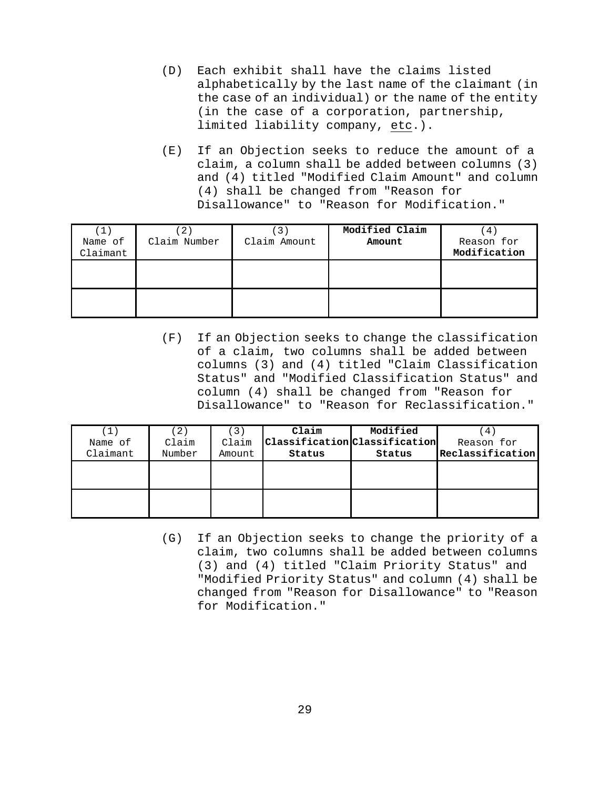- (D) Each exhibit shall have the claims listed alphabetically by the last name of the claimant (in the case of an individual) or the name of the entity (in the case of a corporation, partnership, limited liability company, etc.).
- (E) If an Objection seeks to reduce the amount of a claim, a column shall be added between columns (3) and (4) titled "Modified Claim Amount" and column (4) shall be changed from "Reason for Disallowance" to "Reason for Modification."

| Name of<br>Claimant | 2<br>Claim Number | Claim Amount | Modified Claim<br>Amount | 4 <sub>1</sub><br>Reason for<br>Modification |
|---------------------|-------------------|--------------|--------------------------|----------------------------------------------|
|                     |                   |              |                          |                                              |
|                     |                   |              |                          |                                              |

(F) If an Objection seeks to change the classification of a claim, two columns shall be added between columns (3) and (4) titled "Claim Classification Status" and "Modified Classification Status" and column (4) shall be changed from "Reason for Disallowance" to "Reason for Reclassification."

| (1)      | 2)     | $\overline{3}$ | Claim                         | Modified | 4                |
|----------|--------|----------------|-------------------------------|----------|------------------|
| Name of  | Claim  | Claim          | Classification Classification |          | Reason for       |
| Claimant | Number | Amount         | Status                        | Status   | Reclassification |
|          |        |                |                               |          |                  |
|          |        |                |                               |          |                  |
|          |        |                |                               |          |                  |
|          |        |                |                               |          |                  |

(G) If an Objection seeks to change the priority of a claim, two columns shall be added between columns (3) and (4) titled "Claim Priority Status" and "Modified Priority Status" and column (4) shall be changed from "Reason for Disallowance" to "Reason for Modification."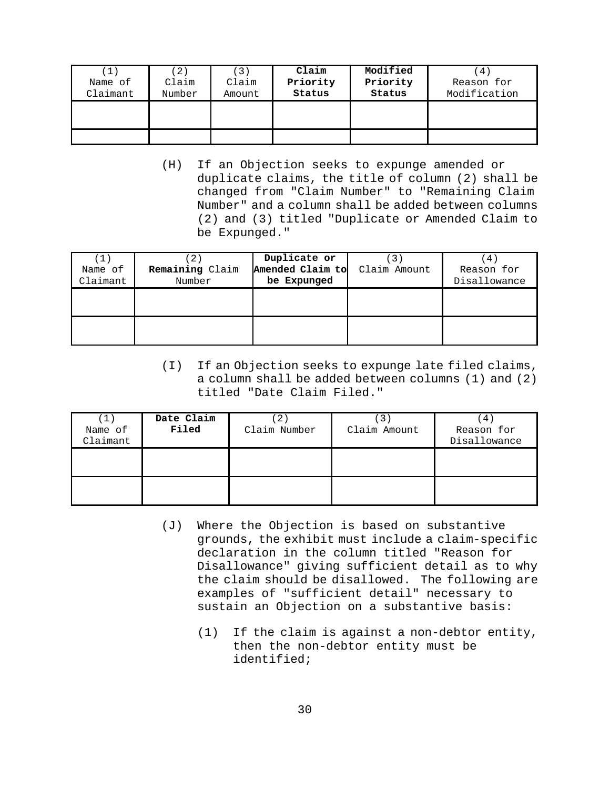| (1)      | 2)     |        | Claim    | Modified | 4            |
|----------|--------|--------|----------|----------|--------------|
| Name of  | Claim  | Claim  | Priority | Priority | Reason for   |
| Claimant | Number | Amount | Status   | Status   | Modification |
|          |        |        |          |          |              |
|          |        |        |          |          |              |
|          |        |        |          |          |              |
|          |        |        |          |          |              |

(H) If an Objection seeks to expunge amended or duplicate claims, the title of column (2) shall be changed from "Claim Number" to "Remaining Claim Number" and a column shall be added between columns (2) and (3) titled "Duplicate or Amended Claim to be Expunged."

| (1)      |                 | Duplicate or     |              | $4^{\circ}$  |
|----------|-----------------|------------------|--------------|--------------|
| Name of  | Remaining Claim | Amended Claim to | Claim Amount | Reason for   |
| Claimant | Number          | be Expunged      |              | Disallowance |
|          |                 |                  |              |              |
|          |                 |                  |              |              |
|          |                 |                  |              |              |
|          |                 |                  |              |              |
|          |                 |                  |              |              |

(I) If an Objection seeks to expunge late filed claims, a column shall be added between columns (1) and (2) titled "Date Claim Filed."

| Name of<br>Claimant | Date Claim<br>Filed | 2<br>Claim Number | $3^{\circ}$<br>Claim Amount | $4^{\circ}$<br>Reason for<br>Disallowance |
|---------------------|---------------------|-------------------|-----------------------------|-------------------------------------------|
|                     |                     |                   |                             |                                           |
|                     |                     |                   |                             |                                           |

- (J) Where the Objection is based on substantive grounds, the exhibit must include a claim-specific declaration in the column titled "Reason for Disallowance" giving sufficient detail as to why the claim should be disallowed. The following are examples of "sufficient detail" necessary to sustain an Objection on a substantive basis:
	- (1) If the claim is against a non-debtor entity, then the non-debtor entity must be identified;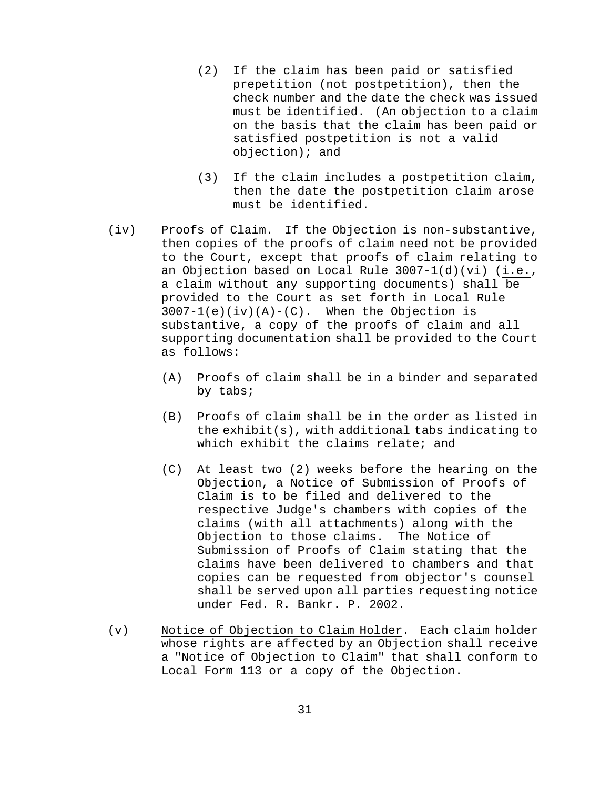- (2) If the claim has been paid or satisfied prepetition (not postpetition), then the check number and the date the check was issued must be identified. (An objection to a claim on the basis that the claim has been paid or satisfied postpetition is not a valid objection); and
- (3) If the claim includes a postpetition claim, then the date the postpetition claim arose must be identified.
- (iv) Proofs of Claim. If the Objection is non-substantive, then copies of the proofs of claim need not be provided to the Court, except that proofs of claim relating to an Objection based on Local Rule 3007-1(d)(vi) (i.e., a claim without any supporting documents) shall be provided to the Court as set forth in Local Rule  $3007-1(e)(iv)(A)-(C)$ . When the Objection is substantive, a copy of the proofs of claim and all supporting documentation shall be provided to the Court as follows:
	- (A) Proofs of claim shall be in a binder and separated by tabs;
	- (B) Proofs of claim shall be in the order as listed in the exhibit(s), with additional tabs indicating to which exhibit the claims relate; and
	- (C) At least two (2) weeks before the hearing on the Objection, a Notice of Submission of Proofs of Claim is to be filed and delivered to the respective Judge's chambers with copies of the claims (with all attachments) along with the Objection to those claims. The Notice of Submission of Proofs of Claim stating that the claims have been delivered to chambers and that copies can be requested from objector's counsel shall be served upon all parties requesting notice under Fed. R. Bankr. P. 2002.
- (v) Notice of Objection to Claim Holder. Each claim holder whose rights are affected by an Objection shall receive a "Notice of Objection to Claim" that shall conform to Local Form 113 or a copy of the Objection.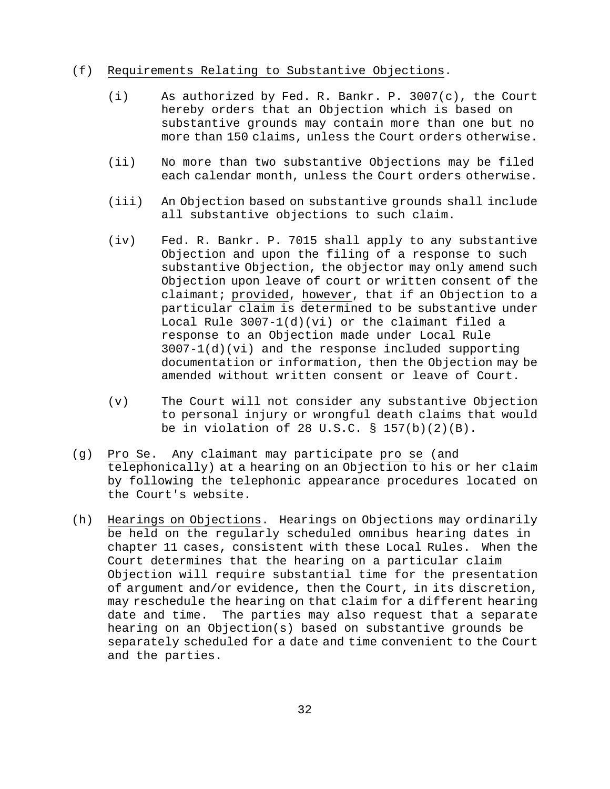## (f) Requirements Relating to Substantive Objections.

- (i) As authorized by Fed. R. Bankr. P. 3007(c), the Court hereby orders that an Objection which is based on substantive grounds may contain more than one but no more than 150 claims, unless the Court orders otherwise.
- (ii) No more than two substantive Objections may be filed each calendar month, unless the Court orders otherwise.
- (iii) An Objection based on substantive grounds shall include all substantive objections to such claim.
- (iv) Fed. R. Bankr. P. 7015 shall apply to any substantive Objection and upon the filing of a response to such substantive Objection, the objector may only amend such Objection upon leave of court or written consent of the claimant; provided, however, that if an Objection to a particular claim is determined to be substantive under Local Rule 3007-1(d)(vi) or the claimant filed a response to an Objection made under Local Rule 3007-1(d)(vi) and the response included supporting documentation or information, then the Objection may be amended without written consent or leave of Court.
- (v) The Court will not consider any substantive Objection to personal injury or wrongful death claims that would be in violation of 28 U.S.C. § 157(b)(2)(B).
- (g) Pro Se. Any claimant may participate pro se (and telephonically) at a hearing on an Objection to his or her claim by following the telephonic appearance procedures located on the Court's website.
- (h) Hearings on Objections. Hearings on Objections may ordinarily be held on the regularly scheduled omnibus hearing dates in chapter 11 cases, consistent with these Local Rules. When the Court determines that the hearing on a particular claim Objection will require substantial time for the presentation of argument and/or evidence, then the Court, in its discretion, may reschedule the hearing on that claim for a different hearing date and time. The parties may also request that a separate hearing on an Objection(s) based on substantive grounds be separately scheduled for a date and time convenient to the Court and the parties.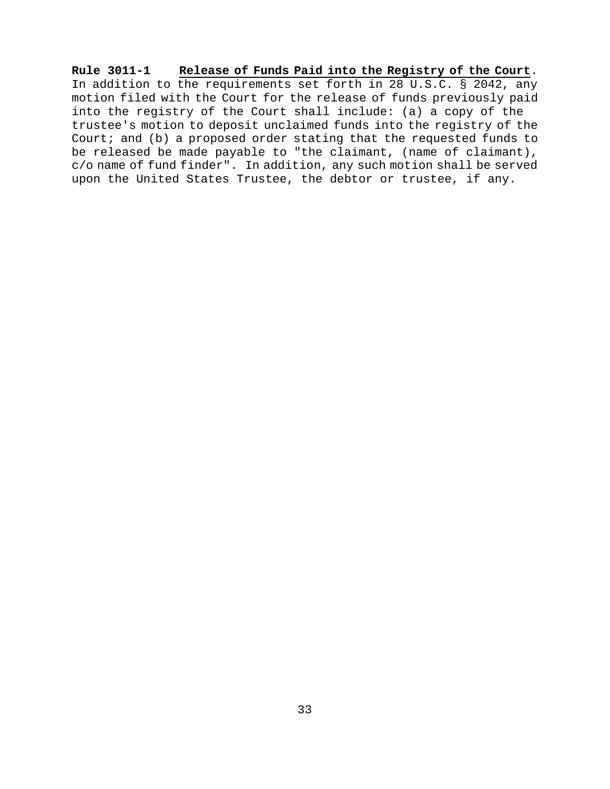**Rule 3011-1 Release of Funds Paid into the Registry of the Court**. In addition to the requirements set forth in 28 U.S.C. § 2042, any motion filed with the Court for the release of funds previously paid into the registry of the Court shall include: (a) a copy of the trustee's motion to deposit unclaimed funds into the registry of the Court; and (b) a proposed order stating that the requested funds to be released be made payable to "the claimant, (name of claimant), c/o name of fund finder". In addition, any such motion shall be served upon the United States Trustee, the debtor or trustee, if any.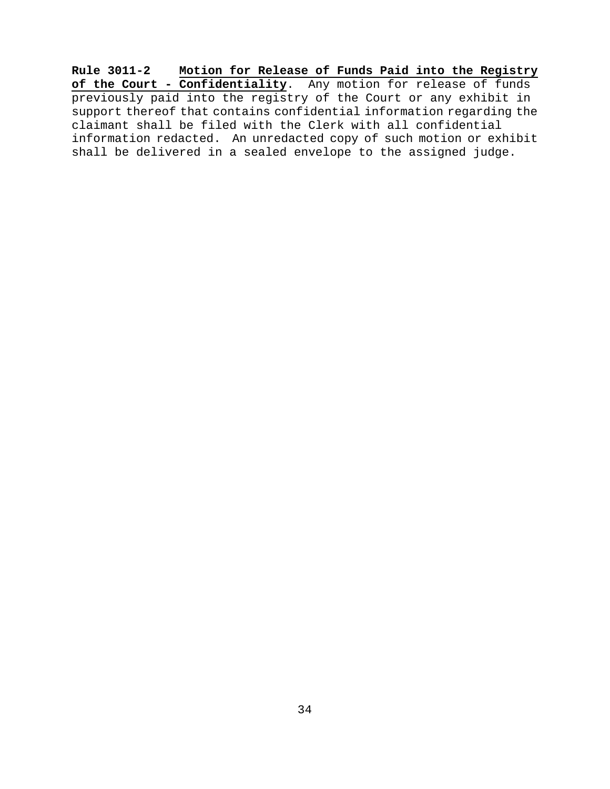**Rule 3011-2 Motion for Release of Funds Paid into the Registry of the Court - Confidentiality**. Any motion for release of funds previously paid into the registry of the Court or any exhibit in support thereof that contains confidential information regarding the claimant shall be filed with the Clerk with all confidential information redacted. An unredacted copy of such motion or exhibit shall be delivered in a sealed envelope to the assigned judge.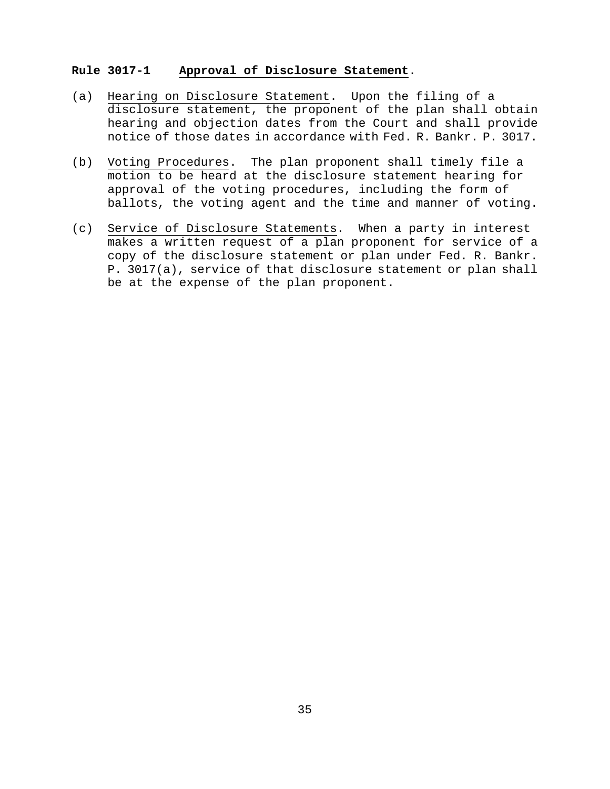## **Rule 3017-1 Approval of Disclosure Statement**.

- (a) Hearing on Disclosure Statement. Upon the filing of a disclosure statement, the proponent of the plan shall obtain hearing and objection dates from the Court and shall provide notice of those dates in accordance with Fed. R. Bankr. P. 3017.
- (b) Voting Procedures. The plan proponent shall timely file a motion to be heard at the disclosure statement hearing for approval of the voting procedures, including the form of ballots, the voting agent and the time and manner of voting.
- (c) Service of Disclosure Statements. When a party in interest makes a written request of a plan proponent for service of a copy of the disclosure statement or plan under Fed. R. Bankr. P. 3017(a), service of that disclosure statement or plan shall be at the expense of the plan proponent.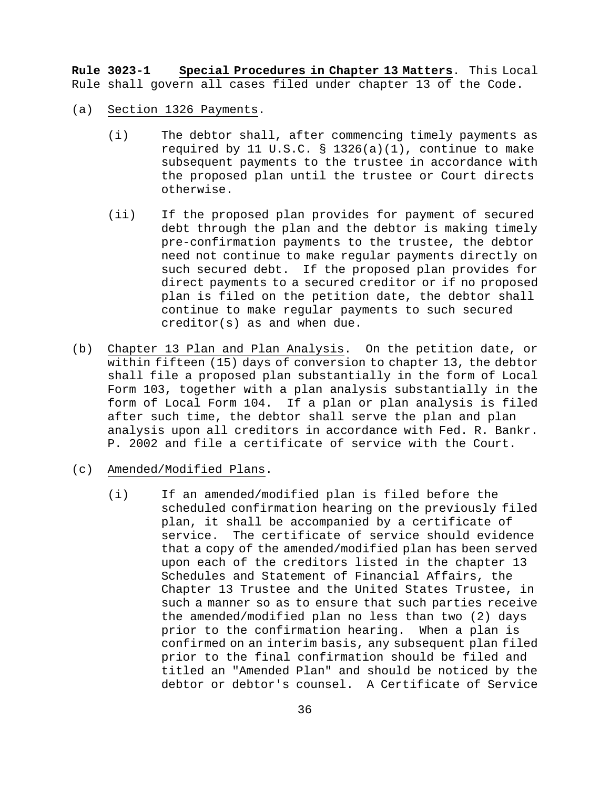**Rule 3023-1 Special Procedures in Chapter 13 Matters**. This Local Rule shall govern all cases filed under chapter 13 of the Code.

- (a) Section 1326 Payments.
	- (i) The debtor shall, after commencing timely payments as required by 11 U.S.C. § 1326(a)(1), continue to make subsequent payments to the trustee in accordance with the proposed plan until the trustee or Court directs otherwise.
	- (ii) If the proposed plan provides for payment of secured debt through the plan and the debtor is making timely pre-confirmation payments to the trustee, the debtor need not continue to make regular payments directly on such secured debt. If the proposed plan provides for direct payments to a secured creditor or if no proposed plan is filed on the petition date, the debtor shall continue to make regular payments to such secured creditor(s) as and when due.
- (b) Chapter 13 Plan and Plan Analysis. On the petition date, or within fifteen (15) days of conversion to chapter 13, the debtor shall file a proposed plan substantially in the form of Local Form 103, together with a plan analysis substantially in the form of Local Form 104. If a plan or plan analysis is filed after such time, the debtor shall serve the plan and plan analysis upon all creditors in accordance with Fed. R. Bankr. P. 2002 and file a certificate of service with the Court.
- (c) Amended/Modified Plans.
	- (i) If an amended/modified plan is filed before the scheduled confirmation hearing on the previously filed plan, it shall be accompanied by a certificate of service. The certificate of service should evidence that a copy of the amended/modified plan has been served upon each of the creditors listed in the chapter 13 Schedules and Statement of Financial Affairs, the Chapter 13 Trustee and the United States Trustee, in such a manner so as to ensure that such parties receive the amended/modified plan no less than two (2) days prior to the confirmation hearing. When a plan is confirmed on an interim basis, any subsequent plan filed prior to the final confirmation should be filed and titled an "Amended Plan" and should be noticed by the debtor or debtor's counsel. A Certificate of Service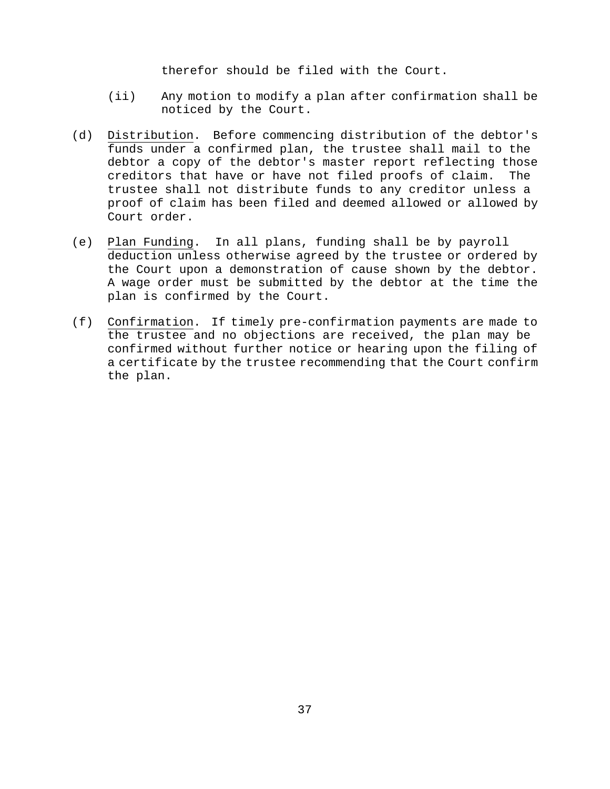therefor should be filed with the Court.

- (ii) Any motion to modify a plan after confirmation shall be noticed by the Court.
- (d) Distribution. Before commencing distribution of the debtor's funds under a confirmed plan, the trustee shall mail to the debtor a copy of the debtor's master report reflecting those creditors that have or have not filed proofs of claim. The trustee shall not distribute funds to any creditor unless a proof of claim has been filed and deemed allowed or allowed by Court order.
- (e) Plan Funding. In all plans, funding shall be by payroll deduction unless otherwise agreed by the trustee or ordered by the Court upon a demonstration of cause shown by the debtor. A wage order must be submitted by the debtor at the time the plan is confirmed by the Court.
- (f) Confirmation. If timely pre-confirmation payments are made to the trustee and no objections are received, the plan may be confirmed without further notice or hearing upon the filing of a certificate by the trustee recommending that the Court confirm the plan.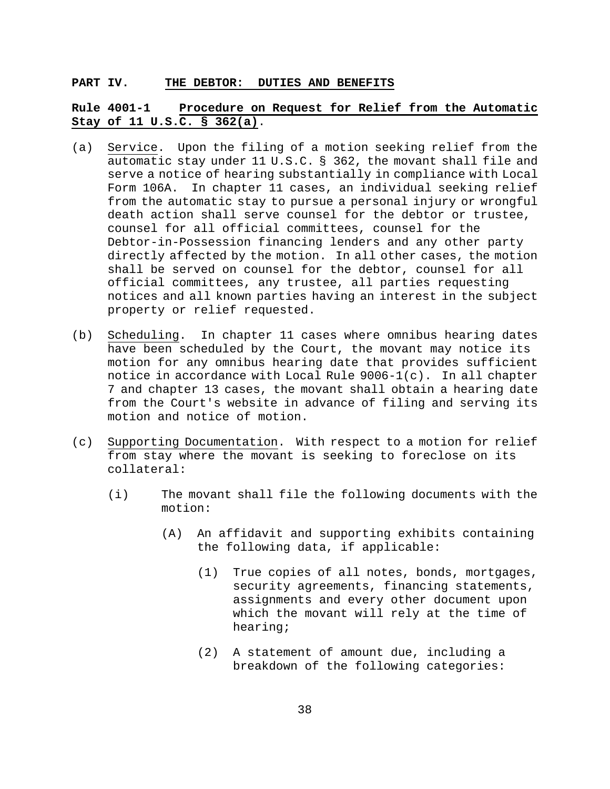## **PART IV. THE DEBTOR: DUTIES AND BENEFITS**

## **Rule 4001-1 Procedure on Request for Relief from the Automatic Stay of 11 U.S.C. § 362(a)**.

- (a) Service. Upon the filing of a motion seeking relief from the automatic stay under 11 U.S.C. § 362, the movant shall file and serve a notice of hearing substantially in compliance with Local Form 106A. In chapter 11 cases, an individual seeking relief from the automatic stay to pursue a personal injury or wrongful death action shall serve counsel for the debtor or trustee, counsel for all official committees, counsel for the Debtor-in-Possession financing lenders and any other party directly affected by the motion. In all other cases, the motion shall be served on counsel for the debtor, counsel for all official committees, any trustee, all parties requesting notices and all known parties having an interest in the subject property or relief requested.
- (b) Scheduling. In chapter 11 cases where omnibus hearing dates have been scheduled by the Court, the movant may notice its motion for any omnibus hearing date that provides sufficient notice in accordance with Local Rule 9006-1(c). In all chapter 7 and chapter 13 cases, the movant shall obtain a hearing date from the Court's website in advance of filing and serving its motion and notice of motion.
- (c) Supporting Documentation. With respect to a motion for relief from stay where the movant is seeking to foreclose on its collateral:
	- (i) The movant shall file the following documents with the motion:
		- (A) An affidavit and supporting exhibits containing the following data, if applicable:
			- (1) True copies of all notes, bonds, mortgages, security agreements, financing statements, assignments and every other document upon which the movant will rely at the time of hearing;
			- (2) A statement of amount due, including a breakdown of the following categories: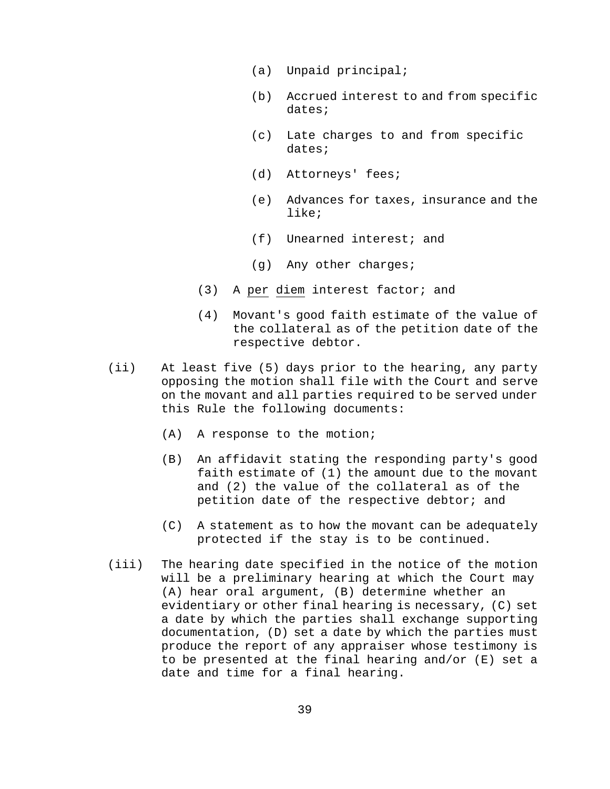- (a) Unpaid principal;
- (b) Accrued interest to and from specific dates;
- (c) Late charges to and from specific dates;
- (d) Attorneys' fees;
- (e) Advances for taxes, insurance and the like;
- (f) Unearned interest; and
- (g) Any other charges;
- (3) A per diem interest factor; and
- (4) Movant's good faith estimate of the value of the collateral as of the petition date of the respective debtor.
- (ii) At least five (5) days prior to the hearing, any party opposing the motion shall file with the Court and serve on the movant and all parties required to be served under this Rule the following documents:
	- (A) A response to the motion;
	- (B) An affidavit stating the responding party's good faith estimate of (1) the amount due to the movant and (2) the value of the collateral as of the petition date of the respective debtor; and
	- (C) A statement as to how the movant can be adequately protected if the stay is to be continued.
- (iii) The hearing date specified in the notice of the motion will be a preliminary hearing at which the Court may (A) hear oral argument, (B) determine whether an evidentiary or other final hearing is necessary, (C) set a date by which the parties shall exchange supporting documentation, (D) set a date by which the parties must produce the report of any appraiser whose testimony is to be presented at the final hearing and/or (E) set a date and time for a final hearing.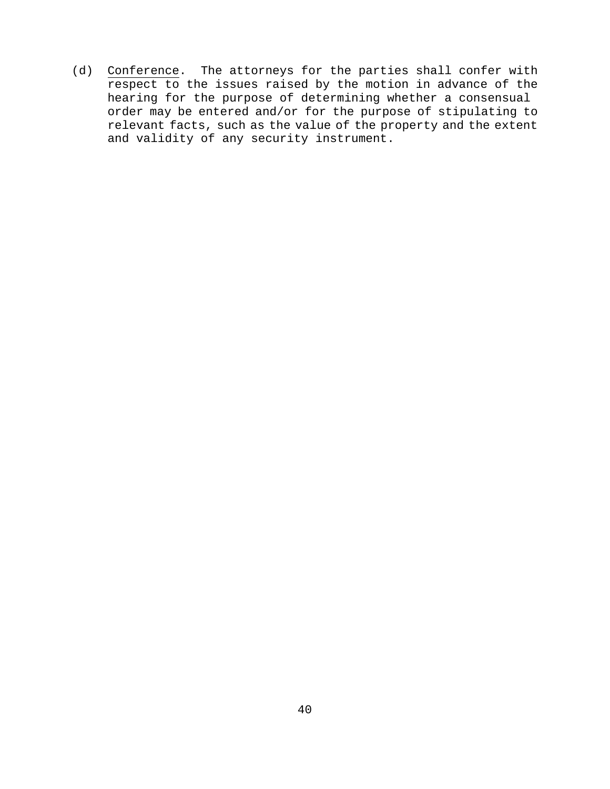(d) Conference. The attorneys for the parties shall confer with respect to the issues raised by the motion in advance of the hearing for the purpose of determining whether a consensual order may be entered and/or for the purpose of stipulating to relevant facts, such as the value of the property and the extent and validity of any security instrument.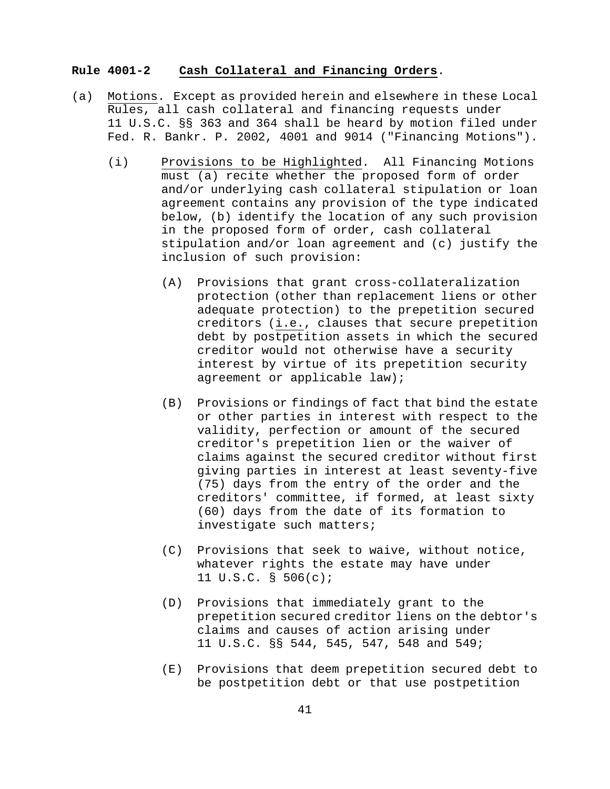### **Rule 4001-2 Cash Collateral and Financing Orders**.

- (a) Motions. Except as provided herein and elsewhere in these Local Rules, all cash collateral and financing requests under 11 U.S.C. §§ 363 and 364 shall be heard by motion filed under Fed. R. Bankr. P. 2002, 4001 and 9014 ("Financing Motions").
	- (i) Provisions to be Highlighted. All Financing Motions must (a) recite whether the proposed form of order and/or underlying cash collateral stipulation or loan agreement contains any provision of the type indicated below, (b) identify the location of any such provision in the proposed form of order, cash collateral stipulation and/or loan agreement and (c) justify the inclusion of such provision:
		- (A) Provisions that grant cross-collateralization protection (other than replacement liens or other adequate protection) to the prepetition secured creditors (i.e., clauses that secure prepetition debt by postpetition assets in which the secured creditor would not otherwise have a security interest by virtue of its prepetition security agreement or applicable law);
		- (B) Provisions or findings of fact that bind the estate or other parties in interest with respect to the validity, perfection or amount of the secured creditor's prepetition lien or the waiver of claims against the secured creditor without first giving parties in interest at least seventy-five (75) days from the entry of the order and the creditors' committee, if formed, at least sixty (60) days from the date of its formation to investigate such matters;
		- (C) Provisions that seek to waive, without notice, whatever rights the estate may have under 11 U.S.C. § 506(c);
		- (D) Provisions that immediately grant to the prepetition secured creditor liens on the debtor's claims and causes of action arising under 11 U.S.C. §§ 544, 545, 547, 548 and 549;
		- (E) Provisions that deem prepetition secured debt to be postpetition debt or that use postpetition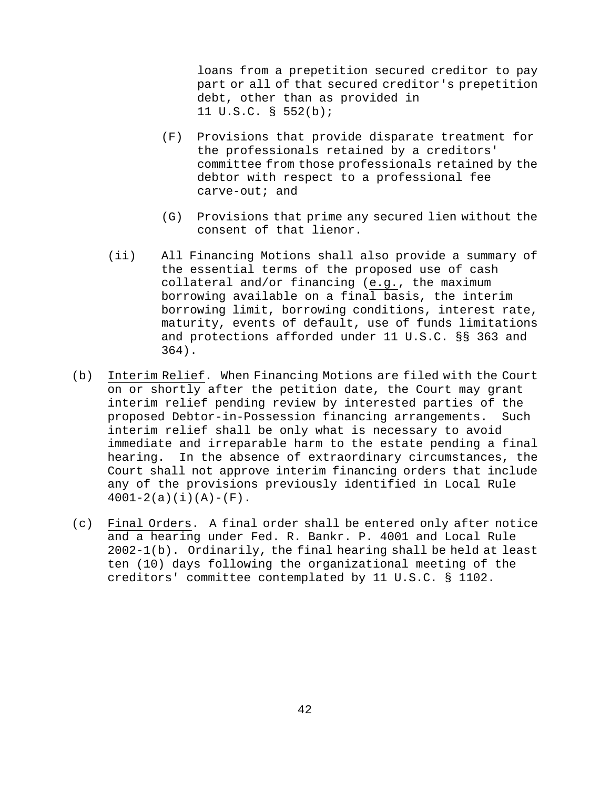loans from a prepetition secured creditor to pay part or all of that secured creditor's prepetition debt, other than as provided in 11 U.S.C. § 552(b);

- (F) Provisions that provide disparate treatment for the professionals retained by a creditors' committee from those professionals retained by the debtor with respect to a professional fee carve-out; and
- (G) Provisions that prime any secured lien without the consent of that lienor.
- (ii) All Financing Motions shall also provide a summary of the essential terms of the proposed use of cash collateral and/or financing (e.g., the maximum borrowing available on a final basis, the interim borrowing limit, borrowing conditions, interest rate, maturity, events of default, use of funds limitations and protections afforded under 11 U.S.C. §§ 363 and 364).
- (b) Interim Relief. When Financing Motions are filed with the Court on or shortly after the petition date, the Court may grant interim relief pending review by interested parties of the proposed Debtor-in-Possession financing arrangements. Such interim relief shall be only what is necessary to avoid immediate and irreparable harm to the estate pending a final hearing. In the absence of extraordinary circumstances, the Court shall not approve interim financing orders that include any of the provisions previously identified in Local Rule  $4001-2(a)(i)(A)-(F)$ .
- (c) Final Orders. A final order shall be entered only after notice and a hearing under Fed. R. Bankr. P. 4001 and Local Rule 2002-1(b). Ordinarily, the final hearing shall be held at least ten (10) days following the organizational meeting of the creditors' committee contemplated by 11 U.S.C. § 1102.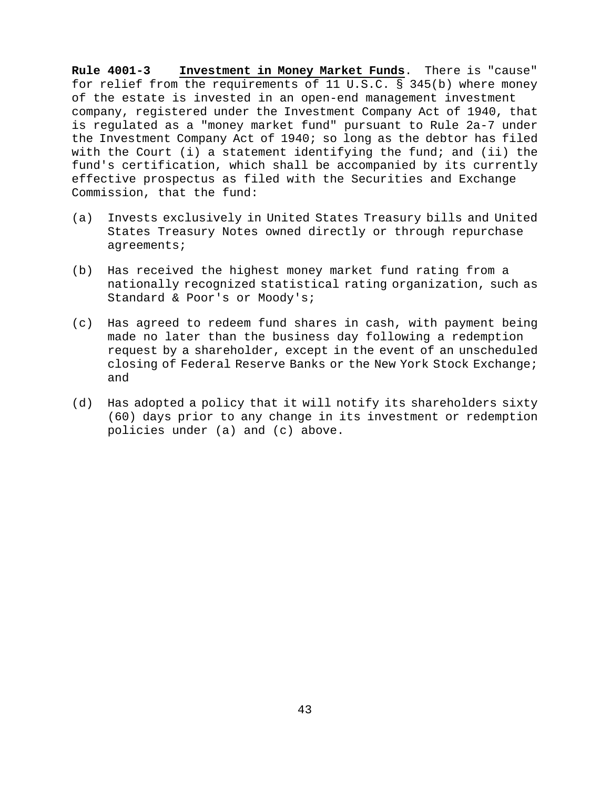**Rule 4001-3 Investment in Money Market Funds**. There is "cause" for relief from the requirements of 11 U.S.C. § 345(b) where money of the estate is invested in an open-end management investment company, registered under the Investment Company Act of 1940, that is regulated as a "money market fund" pursuant to Rule 2a-7 under the Investment Company Act of 1940; so long as the debtor has filed with the Court (i) a statement identifying the fund; and (ii) the fund's certification, which shall be accompanied by its currently effective prospectus as filed with the Securities and Exchange Commission, that the fund:

- (a) Invests exclusively in United States Treasury bills and United States Treasury Notes owned directly or through repurchase agreements;
- (b) Has received the highest money market fund rating from a nationally recognized statistical rating organization, such as Standard & Poor's or Moody's;
- (c) Has agreed to redeem fund shares in cash, with payment being made no later than the business day following a redemption request by a shareholder, except in the event of an unscheduled closing of Federal Reserve Banks or the New York Stock Exchange; and
- (d) Has adopted a policy that it will notify its shareholders sixty (60) days prior to any change in its investment or redemption policies under (a) and (c) above.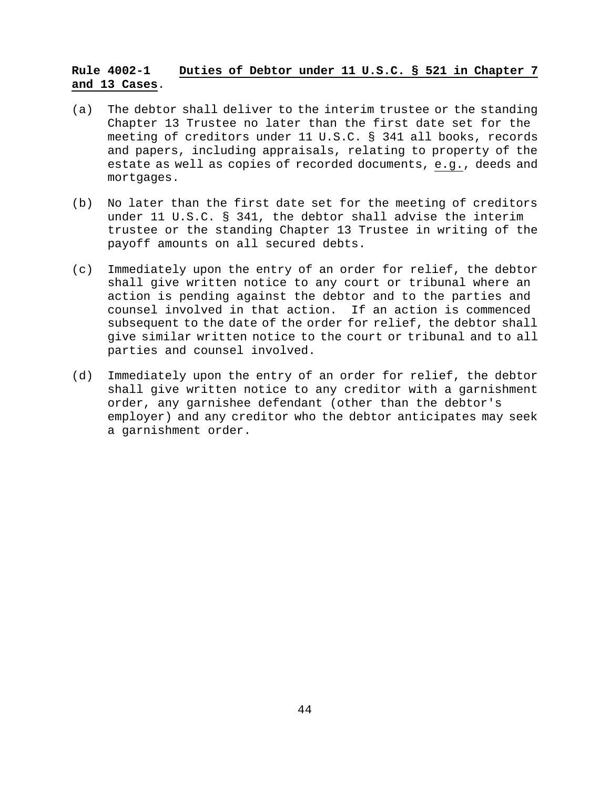## **Rule 4002-1 Duties of Debtor under 11 U.S.C. § 521 in Chapter 7 and 13 Cases**.

- (a) The debtor shall deliver to the interim trustee or the standing Chapter 13 Trustee no later than the first date set for the meeting of creditors under 11 U.S.C. § 341 all books, records and papers, including appraisals, relating to property of the estate as well as copies of recorded documents, e.g., deeds and mortgages.
- (b) No later than the first date set for the meeting of creditors under 11 U.S.C. § 341, the debtor shall advise the interim trustee or the standing Chapter 13 Trustee in writing of the payoff amounts on all secured debts.
- (c) Immediately upon the entry of an order for relief, the debtor shall give written notice to any court or tribunal where an action is pending against the debtor and to the parties and counsel involved in that action. If an action is commenced subsequent to the date of the order for relief, the debtor shall give similar written notice to the court or tribunal and to all parties and counsel involved.
- (d) Immediately upon the entry of an order for relief, the debtor shall give written notice to any creditor with a garnishment order, any garnishee defendant (other than the debtor's employer) and any creditor who the debtor anticipates may seek a garnishment order.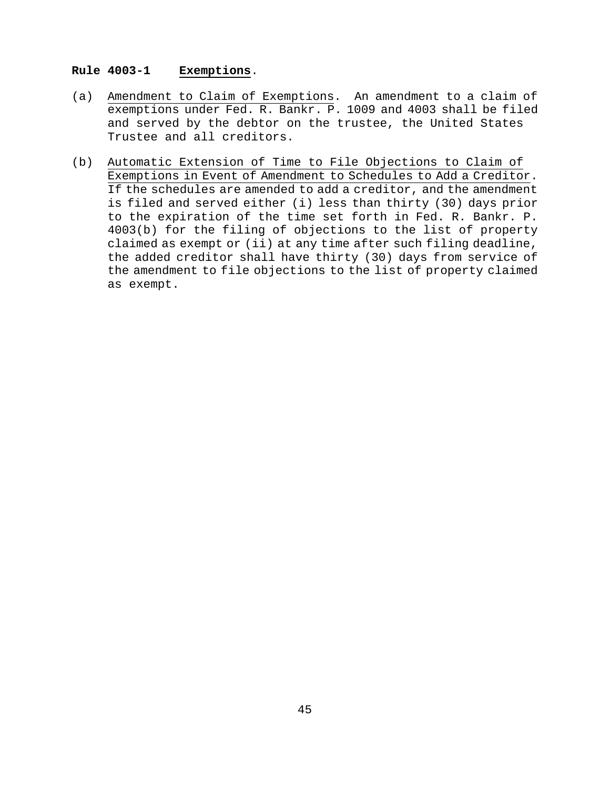## **Rule 4003-1 Exemptions**.

- (a) Amendment to Claim of Exemptions. An amendment to a claim of exemptions under Fed. R. Bankr. P. 1009 and 4003 shall be filed and served by the debtor on the trustee, the United States Trustee and all creditors.
- (b) Automatic Extension of Time to File Objections to Claim of Exemptions in Event of Amendment to Schedules to Add a Creditor. If the schedules are amended to add a creditor, and the amendment is filed and served either (i) less than thirty (30) days prior to the expiration of the time set forth in Fed. R. Bankr. P. 4003(b) for the filing of objections to the list of property claimed as exempt or (ii) at any time after such filing deadline, the added creditor shall have thirty (30) days from service of the amendment to file objections to the list of property claimed as exempt.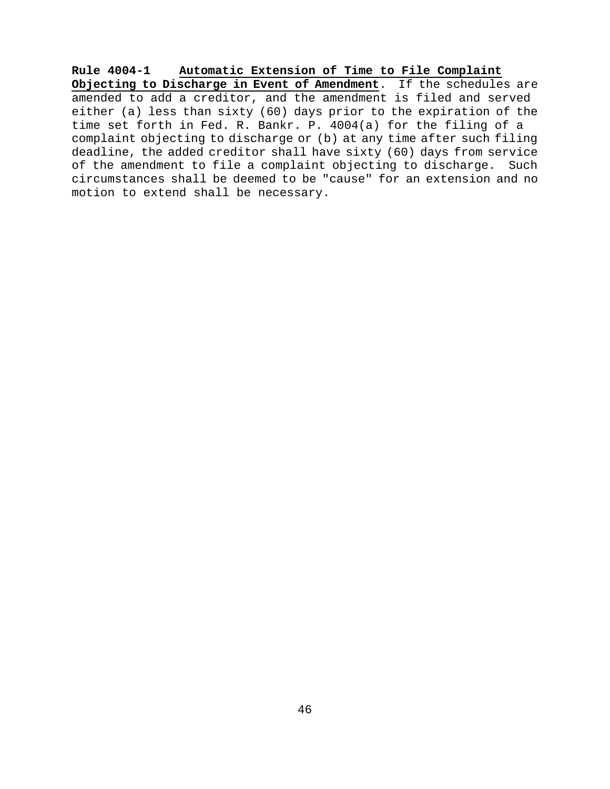**Rule 4004-1 Automatic Extension of Time to File Complaint Objecting to Discharge in Event of Amendment**. If the schedules are amended to add a creditor, and the amendment is filed and served either (a) less than sixty (60) days prior to the expiration of the time set forth in Fed. R. Bankr. P. 4004(a) for the filing of a complaint objecting to discharge or (b) at any time after such filing deadline, the added creditor shall have sixty (60) days from service of the amendment to file a complaint objecting to discharge. Such circumstances shall be deemed to be "cause" for an extension and no motion to extend shall be necessary.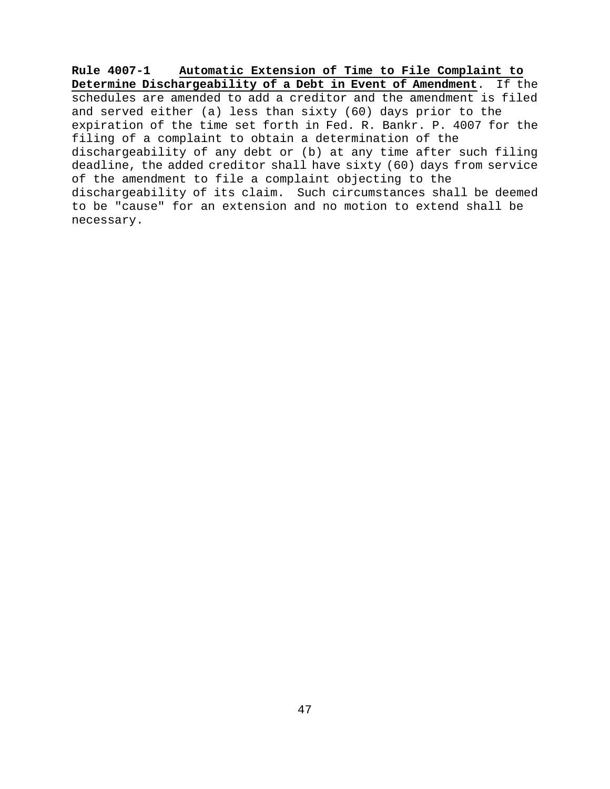**Rule 4007-1 Automatic Extension of Time to File Complaint to Determine Dischargeability of a Debt in Event of Amendment**. If the schedules are amended to add a creditor and the amendment is filed and served either (a) less than sixty (60) days prior to the expiration of the time set forth in Fed. R. Bankr. P. 4007 for the filing of a complaint to obtain a determination of the dischargeability of any debt or (b) at any time after such filing deadline, the added creditor shall have sixty (60) days from service of the amendment to file a complaint objecting to the dischargeability of its claim. Such circumstances shall be deemed to be "cause" for an extension and no motion to extend shall be necessary.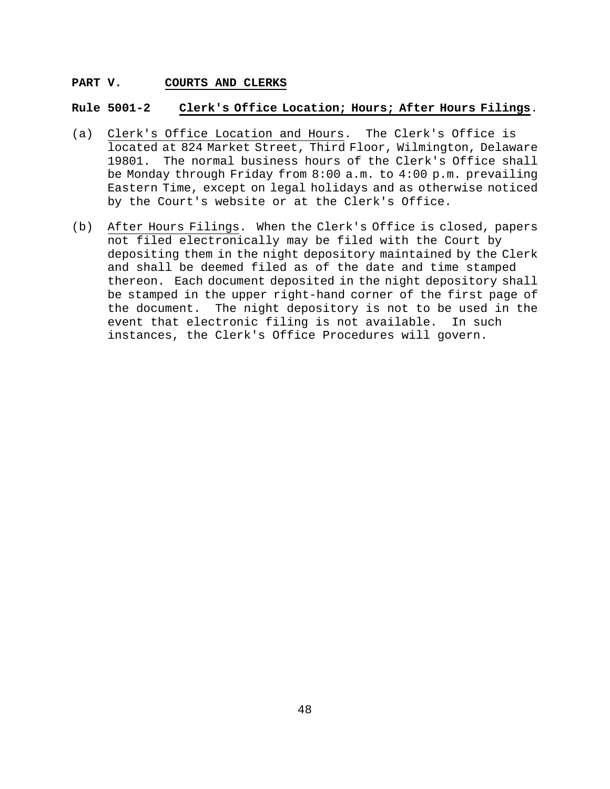## **PART V. COURTS AND CLERKS**

#### **Rule 5001-2 Clerk's Office Location; Hours; After Hours Filings**.

- (a) Clerk's Office Location and Hours. The Clerk's Office is located at 824 Market Street, Third Floor, Wilmington, Delaware 19801. The normal business hours of the Clerk's Office shall be Monday through Friday from 8:00 a.m. to 4:00 p.m. prevailing Eastern Time, except on legal holidays and as otherwise noticed by the Court's website or at the Clerk's Office.
- (b) After Hours Filings. When the Clerk's Office is closed, papers not filed electronically may be filed with the Court by depositing them in the night depository maintained by the Clerk and shall be deemed filed as of the date and time stamped thereon. Each document deposited in the night depository shall be stamped in the upper right-hand corner of the first page of the document. The night depository is not to be used in the event that electronic filing is not available. In such instances, the Clerk's Office Procedures will govern.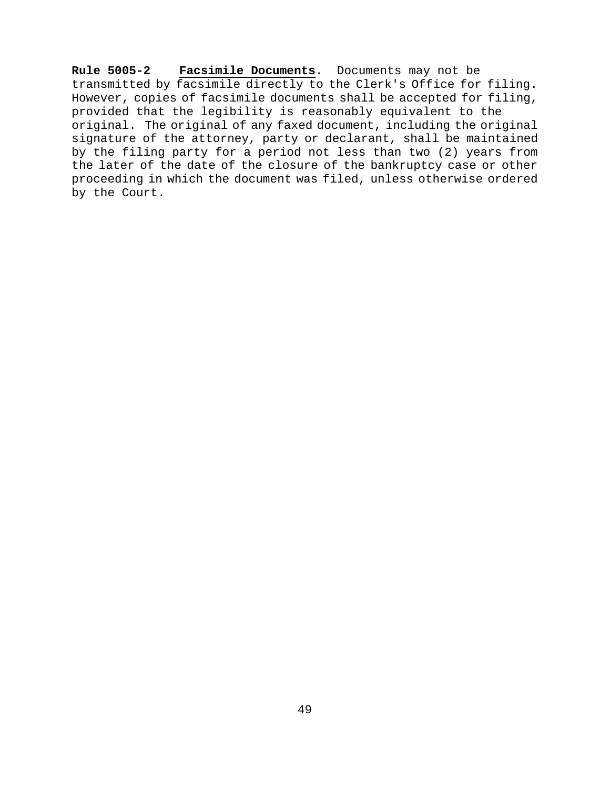**Rule 5005-2 Facsimile Documents**. Documents may not be transmitted by facsimile directly to the Clerk's Office for filing. However, copies of facsimile documents shall be accepted for filing, provided that the legibility is reasonably equivalent to the original. The original of any faxed document, including the original signature of the attorney, party or declarant, shall be maintained by the filing party for a period not less than two (2) years from the later of the date of the closure of the bankruptcy case or other proceeding in which the document was filed, unless otherwise ordered by the Court.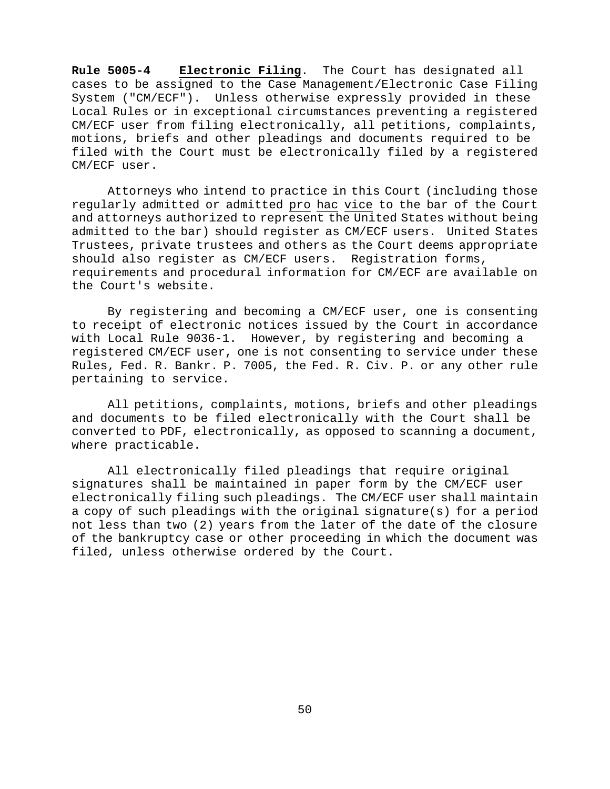**Rule 5005-4 Electronic Filing**. The Court has designated all cases to be assigned to the Case Management/Electronic Case Filing System ("CM/ECF"). Unless otherwise expressly provided in these Local Rules or in exceptional circumstances preventing a registered CM/ECF user from filing electronically, all petitions, complaints, motions, briefs and other pleadings and documents required to be filed with the Court must be electronically filed by a registered CM/ECF user.

Attorneys who intend to practice in this Court (including those regularly admitted or admitted pro hac vice to the bar of the Court and attorneys authorized to represent the United States without being admitted to the bar) should register as CM/ECF users. United States Trustees, private trustees and others as the Court deems appropriate should also register as CM/ECF users. Registration forms, requirements and procedural information for CM/ECF are available on the Court's website.

By registering and becoming a CM/ECF user, one is consenting to receipt of electronic notices issued by the Court in accordance with Local Rule 9036-1. However, by registering and becoming a registered CM/ECF user, one is not consenting to service under these Rules, Fed. R. Bankr. P. 7005, the Fed. R. Civ. P. or any other rule pertaining to service.

All petitions, complaints, motions, briefs and other pleadings and documents to be filed electronically with the Court shall be converted to PDF, electronically, as opposed to scanning a document, where practicable.

All electronically filed pleadings that require original signatures shall be maintained in paper form by the CM/ECF user electronically filing such pleadings. The CM/ECF user shall maintain a copy of such pleadings with the original signature(s) for a period not less than two (2) years from the later of the date of the closure of the bankruptcy case or other proceeding in which the document was filed, unless otherwise ordered by the Court.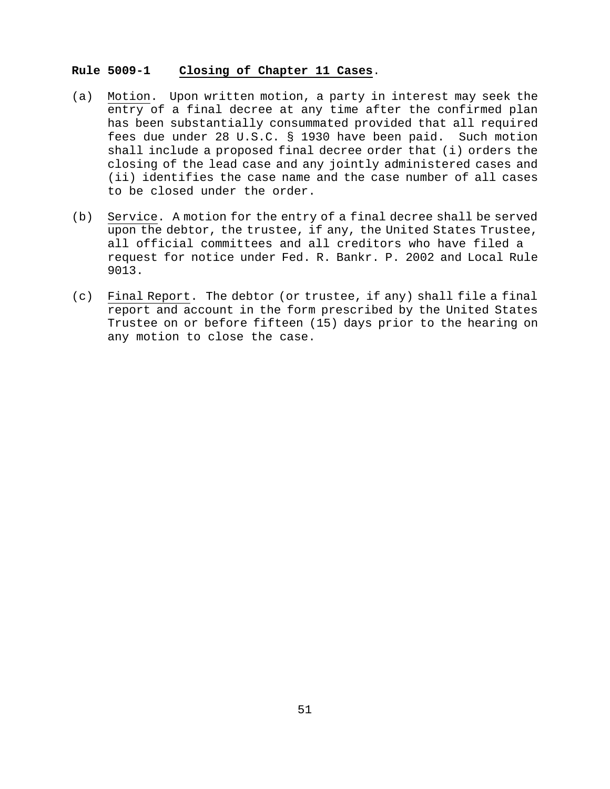### **Rule 5009-1 Closing of Chapter 11 Cases**.

- (a) Motion. Upon written motion, a party in interest may seek the entry of a final decree at any time after the confirmed plan has been substantially consummated provided that all required fees due under 28 U.S.C. § 1930 have been paid. Such motion shall include a proposed final decree order that (i) orders the closing of the lead case and any jointly administered cases and (ii) identifies the case name and the case number of all cases to be closed under the order.
- (b) Service. A motion for the entry of a final decree shall be served upon the debtor, the trustee, if any, the United States Trustee, all official committees and all creditors who have filed a request for notice under Fed. R. Bankr. P. 2002 and Local Rule 9013.
- (c) Final Report. The debtor (or trustee, if any) shall file a final report and account in the form prescribed by the United States Trustee on or before fifteen (15) days prior to the hearing on any motion to close the case.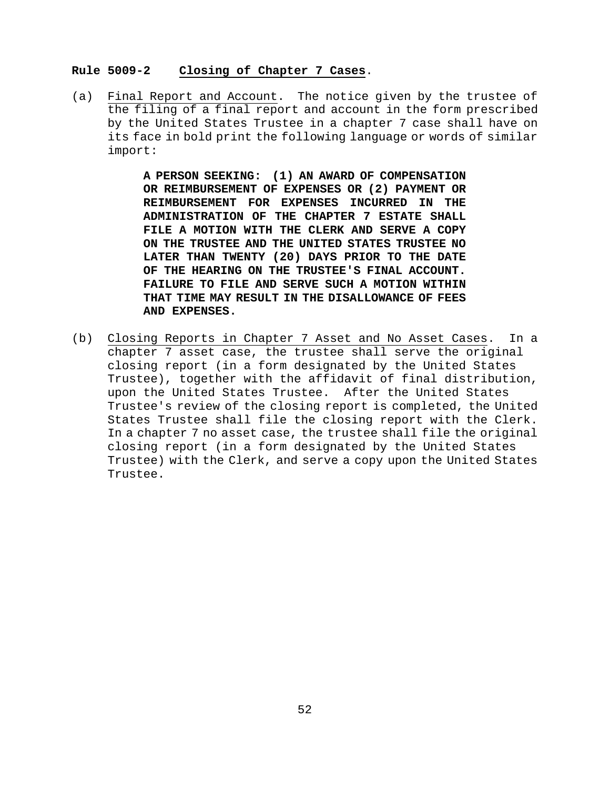## **Rule 5009-2 Closing of Chapter 7 Cases**.

(a) Final Report and Account. The notice given by the trustee of the filing of a final report and account in the form prescribed by the United States Trustee in a chapter 7 case shall have on its face in bold print the following language or words of similar import:

> **A PERSON SEEKING: (1) AN AWARD OF COMPENSATION OR REIMBURSEMENT OF EXPENSES OR (2) PAYMENT OR REIMBURSEMENT FOR EXPENSES INCURRED IN THE ADMINISTRATION OF THE CHAPTER 7 ESTATE SHALL FILE A MOTION WITH THE CLERK AND SERVE A COPY ON THE TRUSTEE AND THE UNITED STATES TRUSTEE NO LATER THAN TWENTY (20) DAYS PRIOR TO THE DATE OF THE HEARING ON THE TRUSTEE'S FINAL ACCOUNT. FAILURE TO FILE AND SERVE SUCH A MOTION WITHIN THAT TIME MAY RESULT IN THE DISALLOWANCE OF FEES AND EXPENSES.**

(b) Closing Reports in Chapter 7 Asset and No Asset Cases. In a chapter 7 asset case, the trustee shall serve the original closing report (in a form designated by the United States Trustee), together with the affidavit of final distribution, upon the United States Trustee. After the United States Trustee's review of the closing report is completed, the United States Trustee shall file the closing report with the Clerk. In a chapter 7 no asset case, the trustee shall file the original closing report (in a form designated by the United States Trustee) with the Clerk, and serve a copy upon the United States Trustee.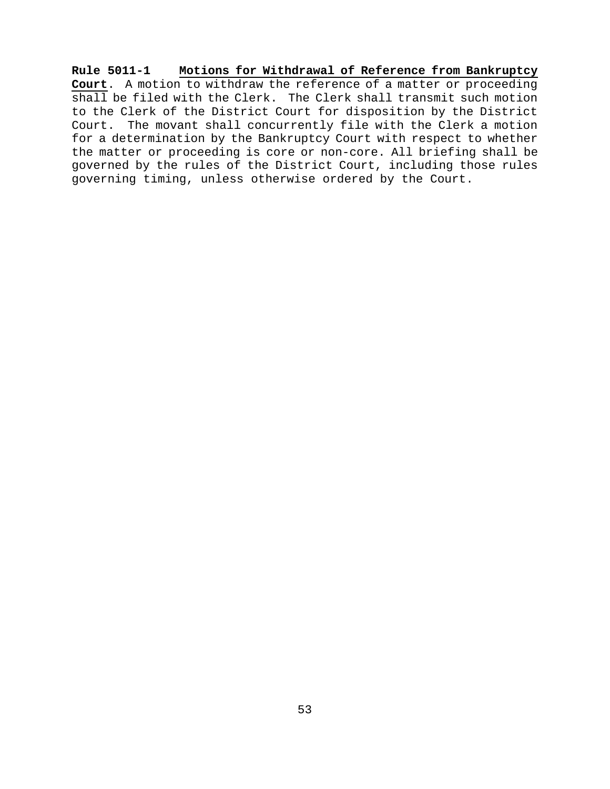**Rule 5011-1 Motions for Withdrawal of Reference from Bankruptcy Court**. A motion to withdraw the reference of a matter or proceeding shall be filed with the Clerk. The Clerk shall transmit such motion to the Clerk of the District Court for disposition by the District Court. The movant shall concurrently file with the Clerk a motion for a determination by the Bankruptcy Court with respect to whether the matter or proceeding is core or non-core. All briefing shall be governed by the rules of the District Court, including those rules governing timing, unless otherwise ordered by the Court.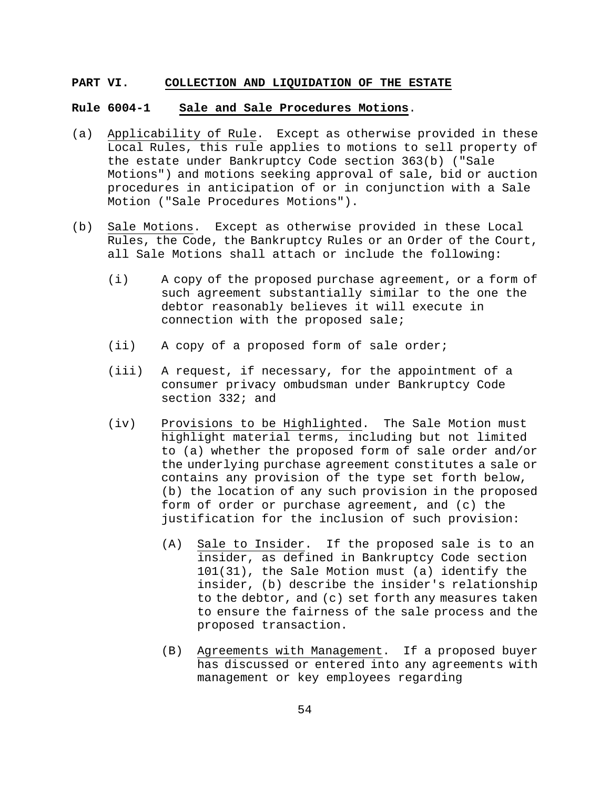#### **PART VI. COLLECTION AND LIQUIDATION OF THE ESTATE**

#### **Rule 6004-1 Sale and Sale Procedures Motions**.

- (a) Applicability of Rule. Except as otherwise provided in these Local Rules, this rule applies to motions to sell property of the estate under Bankruptcy Code section 363(b) ("Sale Motions") and motions seeking approval of sale, bid or auction procedures in anticipation of or in conjunction with a Sale Motion ("Sale Procedures Motions").
- (b) Sale Motions. Except as otherwise provided in these Local Rules, the Code, the Bankruptcy Rules or an Order of the Court, all Sale Motions shall attach or include the following:
	- (i) A copy of the proposed purchase agreement, or a form of such agreement substantially similar to the one the debtor reasonably believes it will execute in connection with the proposed sale;
	- (ii) A copy of a proposed form of sale order;
	- (iii) A request, if necessary, for the appointment of a consumer privacy ombudsman under Bankruptcy Code section 332; and
	- (iv) Provisions to be Highlighted. The Sale Motion must highlight material terms, including but not limited to (a) whether the proposed form of sale order and/or the underlying purchase agreement constitutes a sale or contains any provision of the type set forth below, (b) the location of any such provision in the proposed form of order or purchase agreement, and (c) the justification for the inclusion of such provision:
		- (A) Sale to Insider. If the proposed sale is to an insider, as defined in Bankruptcy Code section 101(31), the Sale Motion must (a) identify the insider, (b) describe the insider's relationship to the debtor, and (c) set forth any measures taken to ensure the fairness of the sale process and the proposed transaction.
		- (B) Agreements with Management. If a proposed buyer has discussed or entered into any agreements with management or key employees regarding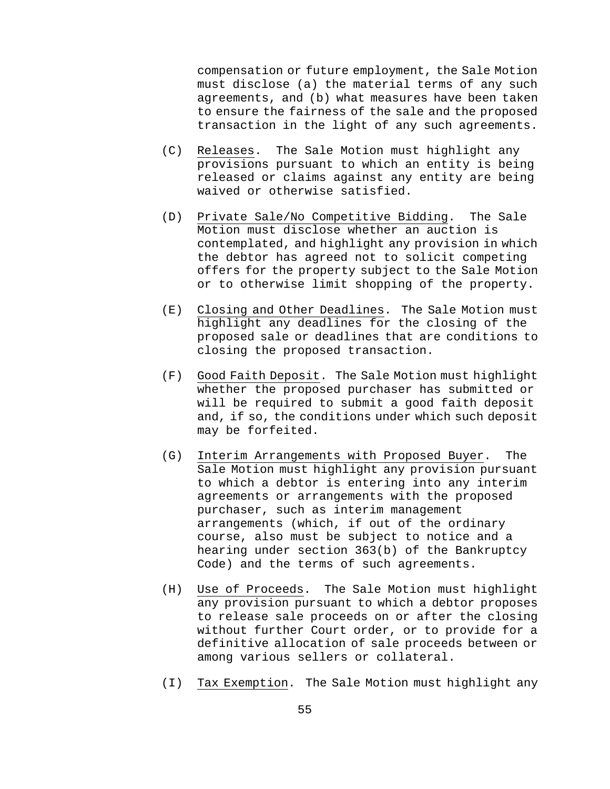compensation or future employment, the Sale Motion must disclose (a) the material terms of any such agreements, and (b) what measures have been taken to ensure the fairness of the sale and the proposed transaction in the light of any such agreements.

- (C) Releases. The Sale Motion must highlight any provisions pursuant to which an entity is being released or claims against any entity are being waived or otherwise satisfied.
- (D) Private Sale/No Competitive Bidding. The Sale Motion must disclose whether an auction is contemplated, and highlight any provision in which the debtor has agreed not to solicit competing offers for the property subject to the Sale Motion or to otherwise limit shopping of the property.
- (E) Closing and Other Deadlines. The Sale Motion must highlight any deadlines for the closing of the proposed sale or deadlines that are conditions to closing the proposed transaction.
- (F) Good Faith Deposit. The Sale Motion must highlight whether the proposed purchaser has submitted or will be required to submit a good faith deposit and, if so, the conditions under which such deposit may be forfeited.
- (G) Interim Arrangements with Proposed Buyer. The Sale Motion must highlight any provision pursuant to which a debtor is entering into any interim agreements or arrangements with the proposed purchaser, such as interim management arrangements (which, if out of the ordinary course, also must be subject to notice and a hearing under section 363(b) of the Bankruptcy Code) and the terms of such agreements.
- (H) Use of Proceeds. The Sale Motion must highlight any provision pursuant to which a debtor proposes to release sale proceeds on or after the closing without further Court order, or to provide for a definitive allocation of sale proceeds between or among various sellers or collateral.
- (I) Tax Exemption. The Sale Motion must highlight any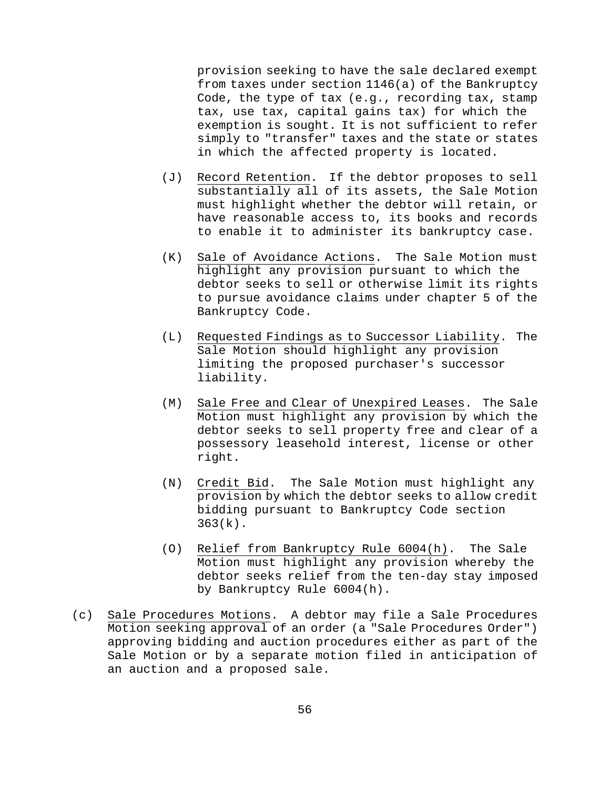provision seeking to have the sale declared exempt from taxes under section 1146(a) of the Bankruptcy Code, the type of tax (e.g., recording tax, stamp tax, use tax, capital gains tax) for which the exemption is sought. It is not sufficient to refer simply to "transfer" taxes and the state or states in which the affected property is located.

- (J) Record Retention. If the debtor proposes to sell substantially all of its assets, the Sale Motion must highlight whether the debtor will retain, or have reasonable access to, its books and records to enable it to administer its bankruptcy case.
- (K) Sale of Avoidance Actions. The Sale Motion must highlight any provision pursuant to which the debtor seeks to sell or otherwise limit its rights to pursue avoidance claims under chapter 5 of the Bankruptcy Code.
- (L) Requested Findings as to Successor Liability. The Sale Motion should highlight any provision limiting the proposed purchaser's successor liability.
- (M) Sale Free and Clear of Unexpired Leases. The Sale Motion must highlight any provision by which the debtor seeks to sell property free and clear of a possessory leasehold interest, license or other right.
- (N) Credit Bid. The Sale Motion must highlight any provision by which the debtor seeks to allow credit bidding pursuant to Bankruptcy Code section 363(k).
- (O) Relief from Bankruptcy Rule 6004(h). The Sale Motion must highlight any provision whereby the debtor seeks relief from the ten-day stay imposed by Bankruptcy Rule 6004(h).
- (c) Sale Procedures Motions. A debtor may file a Sale Procedures Motion seeking approval of an order (a "Sale Procedures Order") approving bidding and auction procedures either as part of the Sale Motion or by a separate motion filed in anticipation of an auction and a proposed sale.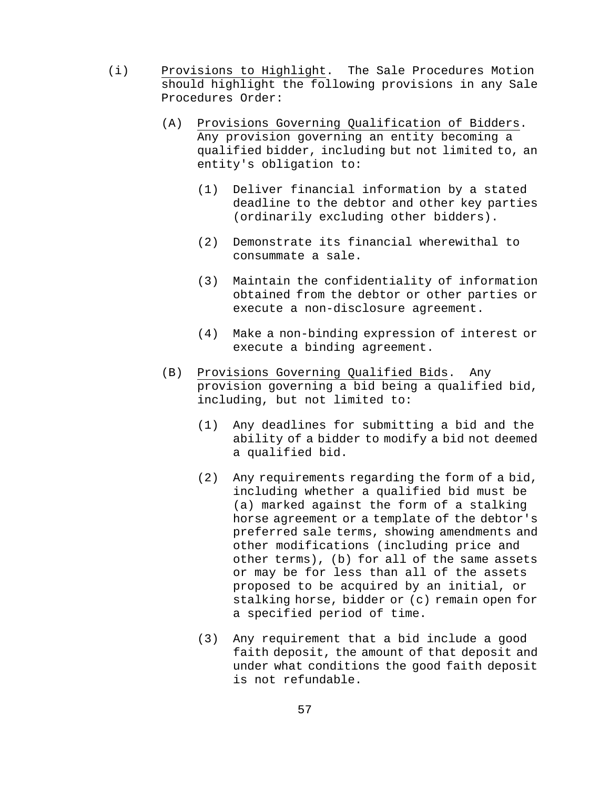- (i) Provisions to Highlight. The Sale Procedures Motion should highlight the following provisions in any Sale Procedures Order:
	- (A) Provisions Governing Qualification of Bidders. Any provision governing an entity becoming a qualified bidder, including but not limited to, an entity's obligation to:
		- (1) Deliver financial information by a stated deadline to the debtor and other key parties (ordinarily excluding other bidders).
		- (2) Demonstrate its financial wherewithal to consummate a sale.
		- (3) Maintain the confidentiality of information obtained from the debtor or other parties or execute a non-disclosure agreement.
		- (4) Make a non-binding expression of interest or execute a binding agreement.
	- (B) Provisions Governing Qualified Bids. Any provision governing a bid being a qualified bid, including, but not limited to:
		- (1) Any deadlines for submitting a bid and the ability of a bidder to modify a bid not deemed a qualified bid.
		- (2) Any requirements regarding the form of a bid, including whether a qualified bid must be (a) marked against the form of a stalking horse agreement or a template of the debtor's preferred sale terms, showing amendments and other modifications (including price and other terms), (b) for all of the same assets or may be for less than all of the assets proposed to be acquired by an initial, or stalking horse, bidder or (c) remain open for a specified period of time.
		- (3) Any requirement that a bid include a good faith deposit, the amount of that deposit and under what conditions the good faith deposit is not refundable.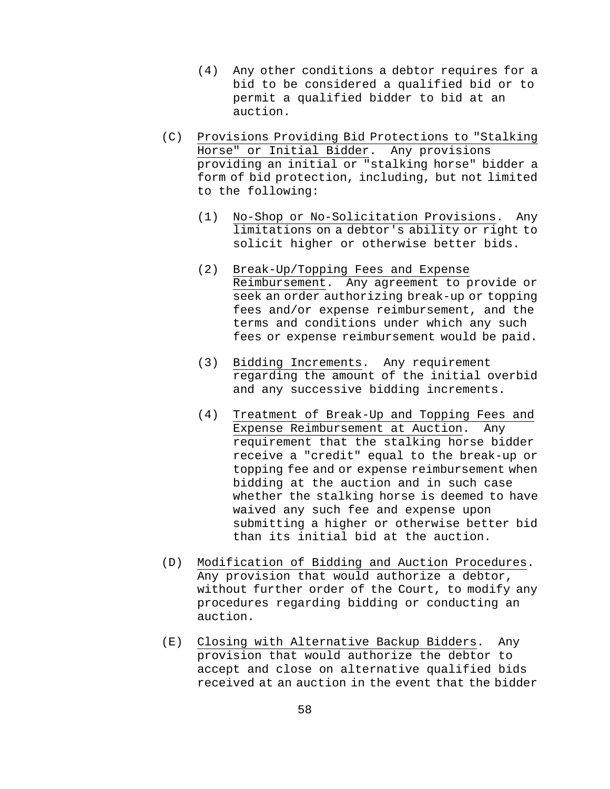- (4) Any other conditions a debtor requires for a bid to be considered a qualified bid or to permit a qualified bidder to bid at an auction.
- (C) Provisions Providing Bid Protections to "Stalking Horse" or Initial Bidder. Any provisions providing an initial or "stalking horse" bidder a form of bid protection, including, but not limited to the following:
	- (1) No-Shop or No-Solicitation Provisions. Any limitations on a debtor's ability or right to solicit higher or otherwise better bids.
	- (2) Break-Up/Topping Fees and Expense Reimbursement. Any agreement to provide or seek an order authorizing break-up or topping fees and/or expense reimbursement, and the terms and conditions under which any such fees or expense reimbursement would be paid.
	- (3) Bidding Increments. Any requirement regarding the amount of the initial overbid and any successive bidding increments.
	- (4) Treatment of Break-Up and Topping Fees and Expense Reimbursement at Auction. Any requirement that the stalking horse bidder receive a "credit" equal to the break-up or topping fee and or expense reimbursement when bidding at the auction and in such case whether the stalking horse is deemed to have waived any such fee and expense upon submitting a higher or otherwise better bid than its initial bid at the auction.
- (D) Modification of Bidding and Auction Procedures. Any provision that would authorize a debtor, without further order of the Court, to modify any procedures regarding bidding or conducting an auction.
- (E) Closing with Alternative Backup Bidders. Any provision that would authorize the debtor to accept and close on alternative qualified bids received at an auction in the event that the bidder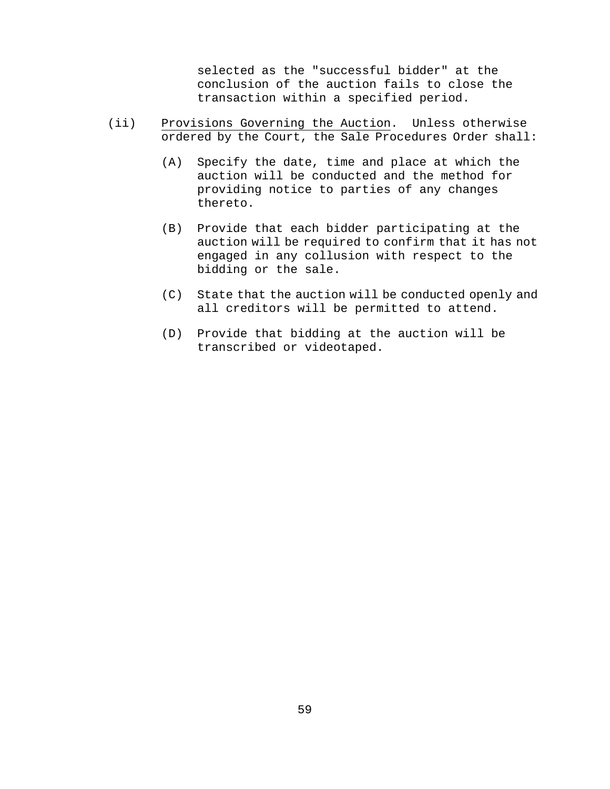selected as the "successful bidder" at the conclusion of the auction fails to close the transaction within a specified period.

- (ii) Provisions Governing the Auction. Unless otherwise ordered by the Court, the Sale Procedures Order shall:
	- (A) Specify the date, time and place at which the auction will be conducted and the method for providing notice to parties of any changes thereto.
	- (B) Provide that each bidder participating at the auction will be required to confirm that it has not engaged in any collusion with respect to the bidding or the sale.
	- (C) State that the auction will be conducted openly and all creditors will be permitted to attend.
	- (D) Provide that bidding at the auction will be transcribed or videotaped.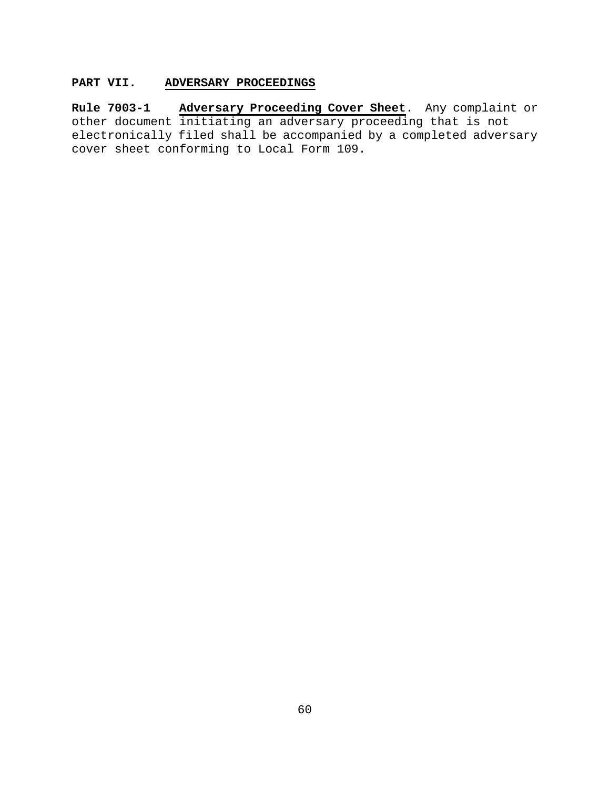# **PART VII. ADVERSARY PROCEEDINGS**

**Rule 7003-1 Adversary Proceeding Cover Sheet**. Any complaint or other document initiating an adversary proceeding that is not electronically filed shall be accompanied by a completed adversary cover sheet conforming to Local Form 109.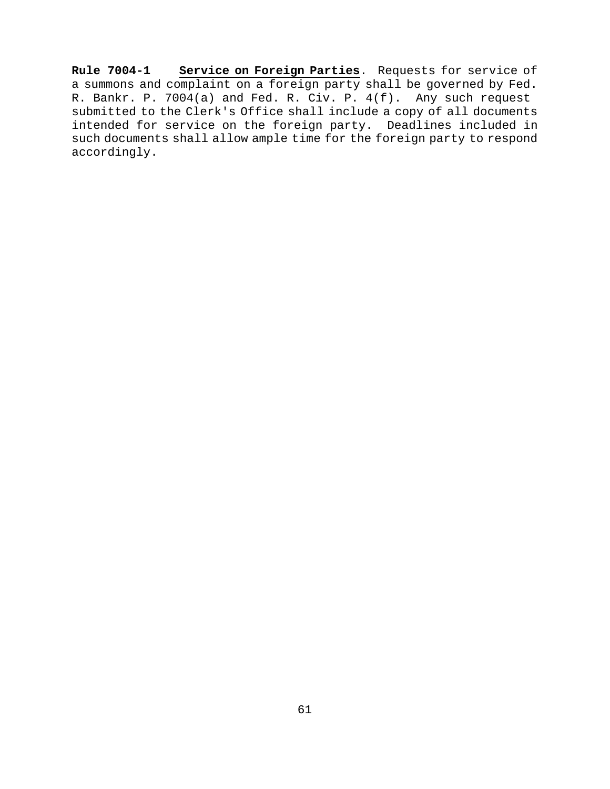**Rule 7004-1 Service on Foreign Parties**. Requests for service of a summons and complaint on a foreign party shall be governed by Fed. R. Bankr. P. 7004(a) and Fed. R. Civ. P. 4(f). Any such request submitted to the Clerk's Office shall include a copy of all documents intended for service on the foreign party. Deadlines included in such documents shall allow ample time for the foreign party to respond accordingly.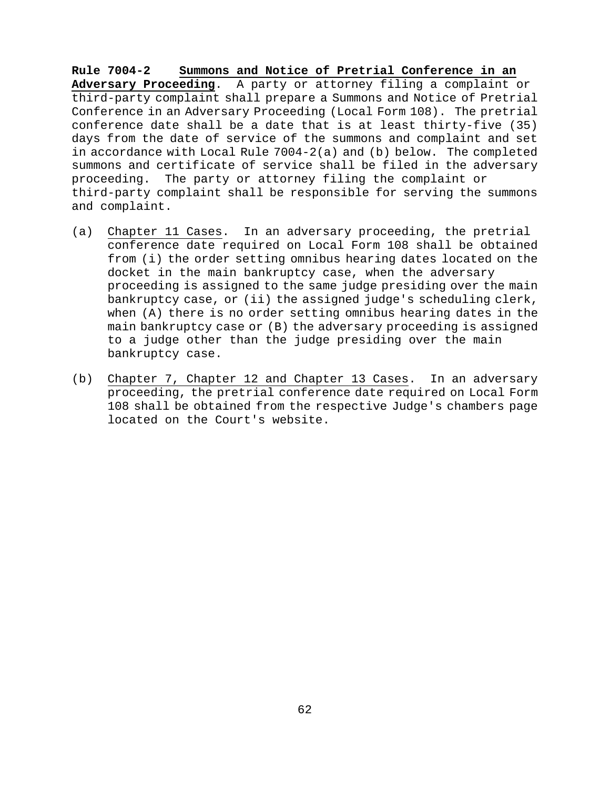**Rule 7004-2 Summons and Notice of Pretrial Conference in an Adversary Proceeding**. A party or attorney filing a complaint or third-party complaint shall prepare a Summons and Notice of Pretrial Conference in an Adversary Proceeding (Local Form 108). The pretrial conference date shall be a date that is at least thirty-five (35) days from the date of service of the summons and complaint and set in accordance with Local Rule 7004-2(a) and (b) below. The completed summons and certificate of service shall be filed in the adversary proceeding. The party or attorney filing the complaint or third-party complaint shall be responsible for serving the summons and complaint.

- (a) Chapter 11 Cases. In an adversary proceeding, the pretrial conference date required on Local Form 108 shall be obtained from (i) the order setting omnibus hearing dates located on the docket in the main bankruptcy case, when the adversary proceeding is assigned to the same judge presiding over the main bankruptcy case, or (ii) the assigned judge's scheduling clerk, when (A) there is no order setting omnibus hearing dates in the main bankruptcy case or (B) the adversary proceeding is assigned to a judge other than the judge presiding over the main bankruptcy case.
- (b) Chapter 7, Chapter 12 and Chapter 13 Cases. In an adversary proceeding, the pretrial conference date required on Local Form 108 shall be obtained from the respective Judge's chambers page located on the Court's website.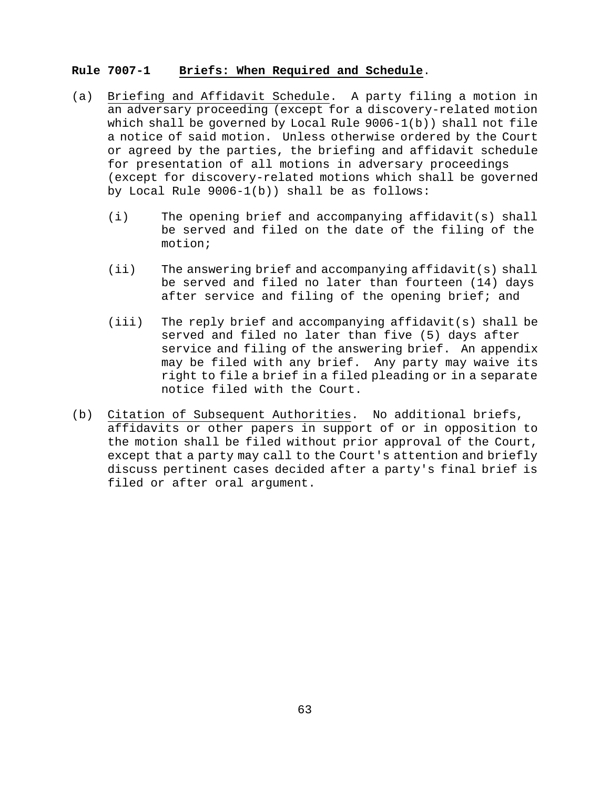## **Rule 7007-1 Briefs: When Required and Schedule**.

- (a) Briefing and Affidavit Schedule. A party filing a motion in an adversary proceeding (except for a discovery-related motion which shall be governed by Local Rule 9006-1(b)) shall not file a notice of said motion. Unless otherwise ordered by the Court or agreed by the parties, the briefing and affidavit schedule for presentation of all motions in adversary proceedings (except for discovery-related motions which shall be governed by Local Rule 9006-1(b)) shall be as follows:
	- (i) The opening brief and accompanying affidavit(s) shall be served and filed on the date of the filing of the motion;
	- (ii) The answering brief and accompanying affidavit(s) shall be served and filed no later than fourteen (14) days after service and filing of the opening brief; and
	- (iii) The reply brief and accompanying affidavit(s) shall be served and filed no later than five (5) days after service and filing of the answering brief. An appendix may be filed with any brief. Any party may waive its right to file a brief in a filed pleading or in a separate notice filed with the Court.
- (b) Citation of Subsequent Authorities. No additional briefs, affidavits or other papers in support of or in opposition to the motion shall be filed without prior approval of the Court, except that a party may call to the Court's attention and briefly discuss pertinent cases decided after a party's final brief is filed or after oral argument.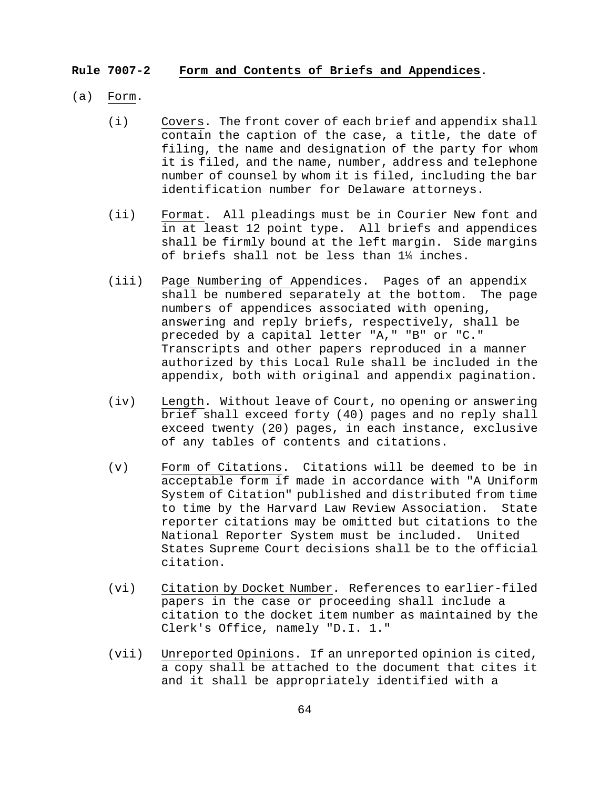## **Rule 7007-2 Form and Contents of Briefs and Appendices**.

- (a) Form.
	- (i) Covers. The front cover of each brief and appendix shall contain the caption of the case, a title, the date of filing, the name and designation of the party for whom it is filed, and the name, number, address and telephone number of counsel by whom it is filed, including the bar identification number for Delaware attorneys.
	- (ii) Format. All pleadings must be in Courier New font and in at least 12 point type. All briefs and appendices shall be firmly bound at the left margin. Side margins of briefs shall not be less than 1¼ inches.
	- (iii) Page Numbering of Appendices. Pages of an appendix shall be numbered separately at the bottom. The page numbers of appendices associated with opening, answering and reply briefs, respectively, shall be preceded by a capital letter "A," "B" or "C." Transcripts and other papers reproduced in a manner authorized by this Local Rule shall be included in the appendix, both with original and appendix pagination.
	- (iv) Length. Without leave of Court, no opening or answering brief shall exceed forty (40) pages and no reply shall exceed twenty (20) pages, in each instance, exclusive of any tables of contents and citations.
	- (v) Form of Citations. Citations will be deemed to be in acceptable form if made in accordance with "A Uniform System of Citation" published and distributed from time to time by the Harvard Law Review Association. State reporter citations may be omitted but citations to the National Reporter System must be included. United States Supreme Court decisions shall be to the official citation.
	- (vi) Citation by Docket Number. References to earlier-filed papers in the case or proceeding shall include a citation to the docket item number as maintained by the Clerk's Office, namely "D.I. 1."
	- (vii) Unreported Opinions. If an unreported opinion is cited, a copy shall be attached to the document that cites it and it shall be appropriately identified with a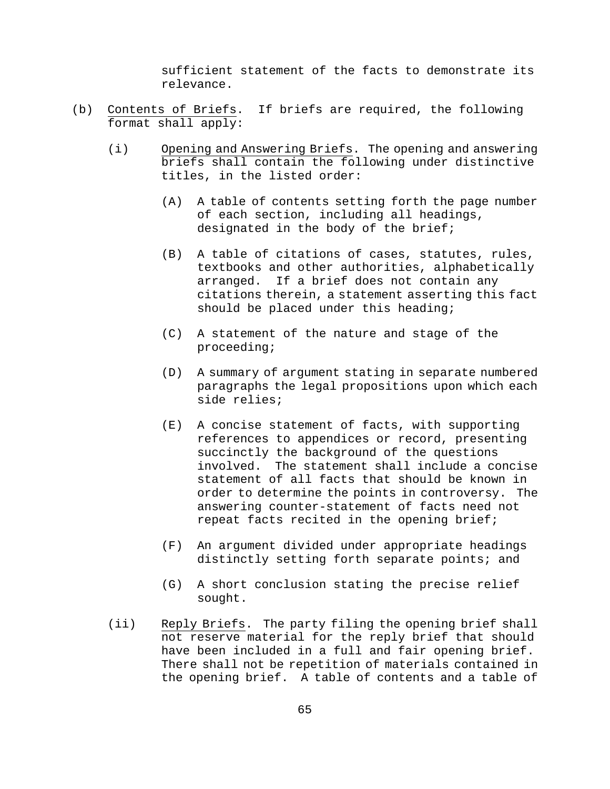sufficient statement of the facts to demonstrate its relevance.

- (b) Contents of Briefs. If briefs are required, the following format shall apply:
	- (i) Opening and Answering Briefs. The opening and answering briefs shall contain the following under distinctive titles, in the listed order:
		- (A) A table of contents setting forth the page number of each section, including all headings, designated in the body of the brief;
		- (B) A table of citations of cases, statutes, rules, textbooks and other authorities, alphabetically arranged. If a brief does not contain any citations therein, a statement asserting this fact should be placed under this heading;
		- (C) A statement of the nature and stage of the proceeding;
		- (D) A summary of argument stating in separate numbered paragraphs the legal propositions upon which each side relies;
		- (E) A concise statement of facts, with supporting references to appendices or record, presenting succinctly the background of the questions involved. The statement shall include a concise statement of all facts that should be known in order to determine the points in controversy. The answering counter-statement of facts need not repeat facts recited in the opening brief;
		- (F) An argument divided under appropriate headings distinctly setting forth separate points; and
		- (G) A short conclusion stating the precise relief sought.
	- (ii) Reply Briefs. The party filing the opening brief shall not reserve material for the reply brief that should have been included in a full and fair opening brief. There shall not be repetition of materials contained in the opening brief. A table of contents and a table of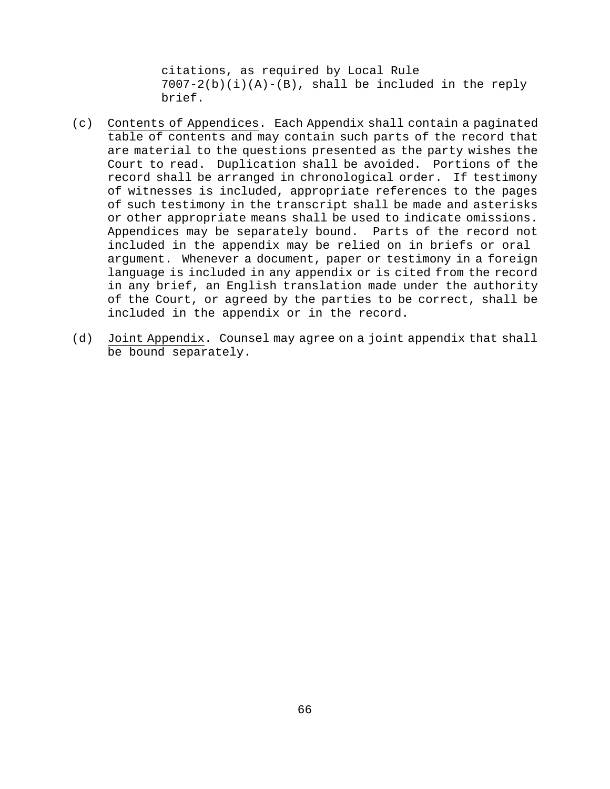citations, as required by Local Rule  $7007-2(b)(i)(A)-(B)$ , shall be included in the reply brief.

- (c) Contents of Appendices. Each Appendix shall contain a paginated table of contents and may contain such parts of the record that are material to the questions presented as the party wishes the Court to read. Duplication shall be avoided. Portions of the record shall be arranged in chronological order. If testimony of witnesses is included, appropriate references to the pages of such testimony in the transcript shall be made and asterisks or other appropriate means shall be used to indicate omissions. Appendices may be separately bound. Parts of the record not included in the appendix may be relied on in briefs or oral argument. Whenever a document, paper or testimony in a foreign language is included in any appendix or is cited from the record in any brief, an English translation made under the authority of the Court, or agreed by the parties to be correct, shall be included in the appendix or in the record.
- (d) Joint Appendix. Counsel may agree on a joint appendix that shall be bound separately.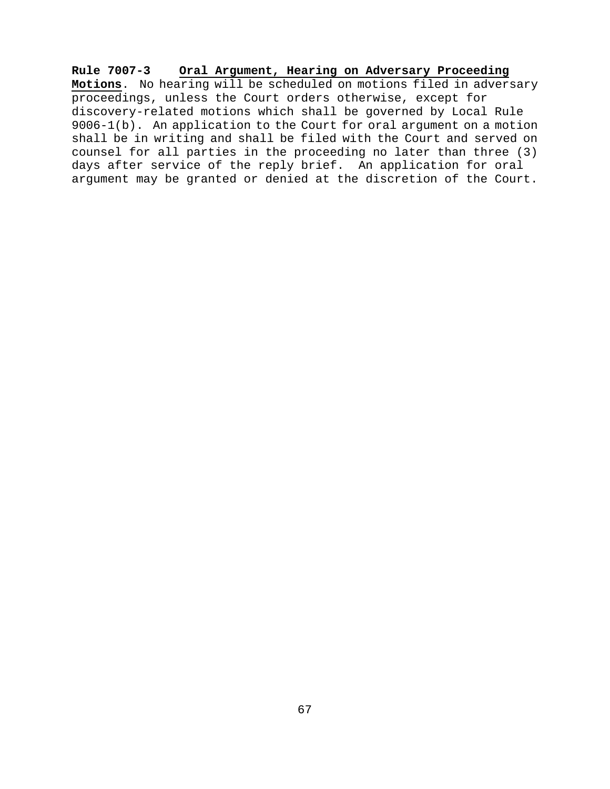**Rule 7007-3 Oral Argument, Hearing on Adversary Proceeding Motions**. No hearing will be scheduled on motions filed in adversary proceedings, unless the Court orders otherwise, except for discovery-related motions which shall be governed by Local Rule 9006-1(b). An application to the Court for oral argument on a motion shall be in writing and shall be filed with the Court and served on counsel for all parties in the proceeding no later than three (3) days after service of the reply brief. An application for oral argument may be granted or denied at the discretion of the Court.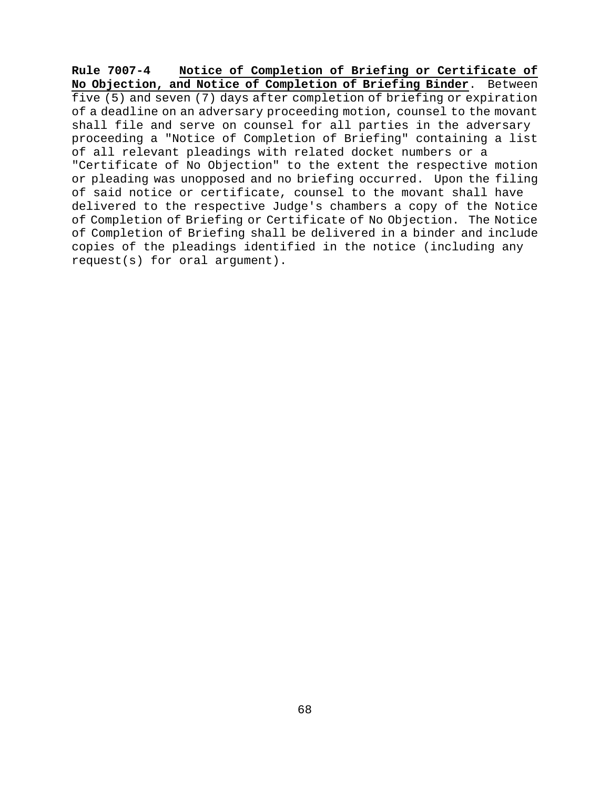**Rule 7007-4 Notice of Completion of Briefing or Certificate of No Objection, and Notice of Completion of Briefing Binder**. Between five (5) and seven (7) days after completion of briefing or expiration of a deadline on an adversary proceeding motion, counsel to the movant shall file and serve on counsel for all parties in the adversary proceeding a "Notice of Completion of Briefing" containing a list of all relevant pleadings with related docket numbers or a "Certificate of No Objection" to the extent the respective motion or pleading was unopposed and no briefing occurred. Upon the filing of said notice or certificate, counsel to the movant shall have delivered to the respective Judge's chambers a copy of the Notice of Completion of Briefing or Certificate of No Objection. The Notice of Completion of Briefing shall be delivered in a binder and include copies of the pleadings identified in the notice (including any request(s) for oral argument).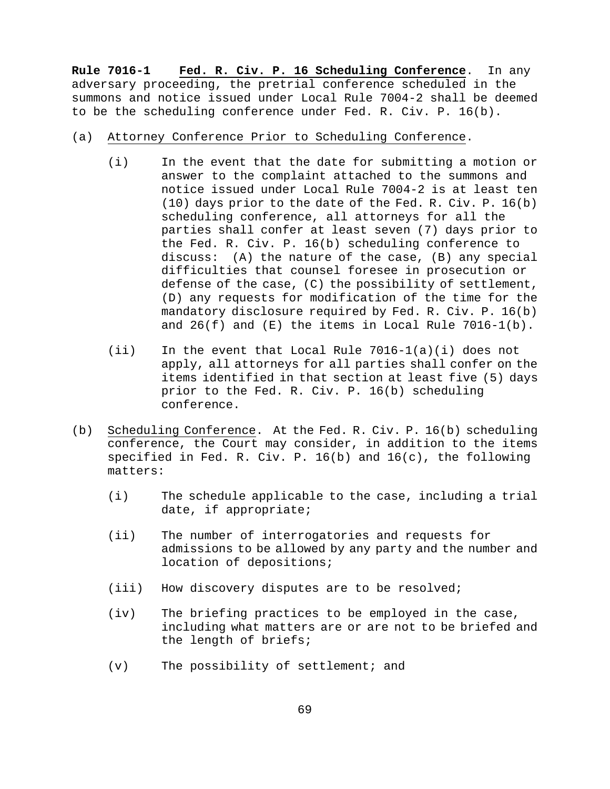**Rule 7016-1 Fed. R. Civ. P. 16 Scheduling Conference**. In any adversary proceeding, the pretrial conference scheduled in the summons and notice issued under Local Rule 7004-2 shall be deemed to be the scheduling conference under Fed. R. Civ. P. 16(b).

- (a) Attorney Conference Prior to Scheduling Conference.
	- (i) In the event that the date for submitting a motion or answer to the complaint attached to the summons and notice issued under Local Rule 7004-2 is at least ten (10) days prior to the date of the Fed. R. Civ. P. 16(b) scheduling conference, all attorneys for all the parties shall confer at least seven (7) days prior to the Fed. R. Civ. P. 16(b) scheduling conference to discuss: (A) the nature of the case, (B) any special difficulties that counsel foresee in prosecution or defense of the case, (C) the possibility of settlement, (D) any requests for modification of the time for the mandatory disclosure required by Fed. R. Civ. P. 16(b) and  $26(f)$  and  $(E)$  the items in Local Rule 7016-1(b).
	- (ii) In the event that Local Rule 7016-1(a)(i) does not apply, all attorneys for all parties shall confer on the items identified in that section at least five (5) days prior to the Fed. R. Civ. P. 16(b) scheduling conference.
- (b) Scheduling Conference. At the Fed. R. Civ. P. 16(b) scheduling conference, the Court may consider, in addition to the items specified in Fed. R. Civ. P. 16(b) and 16(c), the following matters:
	- (i) The schedule applicable to the case, including a trial date, if appropriate;
	- (ii) The number of interrogatories and requests for admissions to be allowed by any party and the number and location of depositions;
	- (iii) How discovery disputes are to be resolved;
	- (iv) The briefing practices to be employed in the case, including what matters are or are not to be briefed and the length of briefs;
	- (v) The possibility of settlement; and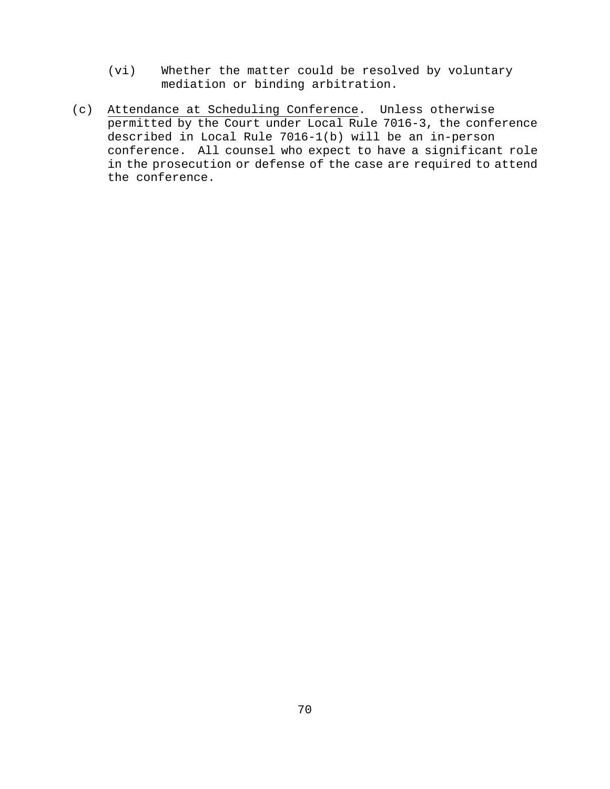- (vi) Whether the matter could be resolved by voluntary mediation or binding arbitration.
- (c) Attendance at Scheduling Conference. Unless otherwise permitted by the Court under Local Rule 7016-3, the conference described in Local Rule 7016-1(b) will be an in-person conference. All counsel who expect to have a significant role in the prosecution or defense of the case are required to attend the conference.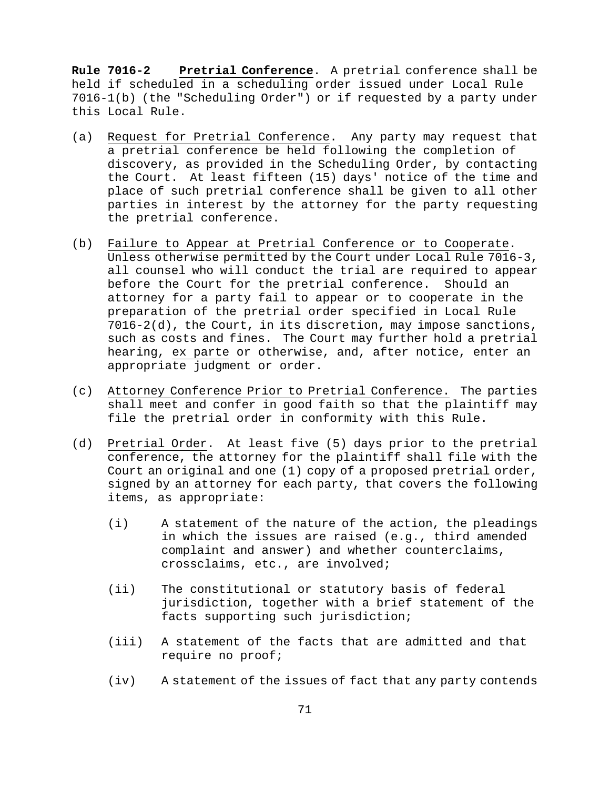**Rule 7016-2 Pretrial Conference**. A pretrial conference shall be held if scheduled in a scheduling order issued under Local Rule 7016-1(b) (the "Scheduling Order") or if requested by a party under this Local Rule.

- (a) Request for Pretrial Conference. Any party may request that a pretrial conference be held following the completion of discovery, as provided in the Scheduling Order, by contacting the Court. At least fifteen (15) days' notice of the time and place of such pretrial conference shall be given to all other parties in interest by the attorney for the party requesting the pretrial conference.
- (b) Failure to Appear at Pretrial Conference or to Cooperate. Unless otherwise permitted by the Court under Local Rule 7016-3, all counsel who will conduct the trial are required to appear before the Court for the pretrial conference. Should an attorney for a party fail to appear or to cooperate in the preparation of the pretrial order specified in Local Rule 7016-2(d), the Court, in its discretion, may impose sanctions, such as costs and fines. The Court may further hold a pretrial hearing, ex parte or otherwise, and, after notice, enter an appropriate judgment or order.
- (c) Attorney Conference Prior to Pretrial Conference. The parties shall meet and confer in good faith so that the plaintiff may file the pretrial order in conformity with this Rule.
- (d) Pretrial Order. At least five (5) days prior to the pretrial conference, the attorney for the plaintiff shall file with the Court an original and one (1) copy of a proposed pretrial order, signed by an attorney for each party, that covers the following items, as appropriate:
	- (i) A statement of the nature of the action, the pleadings in which the issues are raised (e.g., third amended complaint and answer) and whether counterclaims, crossclaims, etc., are involved;
	- (ii) The constitutional or statutory basis of federal jurisdiction, together with a brief statement of the facts supporting such jurisdiction;
	- (iii) A statement of the facts that are admitted and that require no proof;
	- (iv) A statement of the issues of fact that any party contends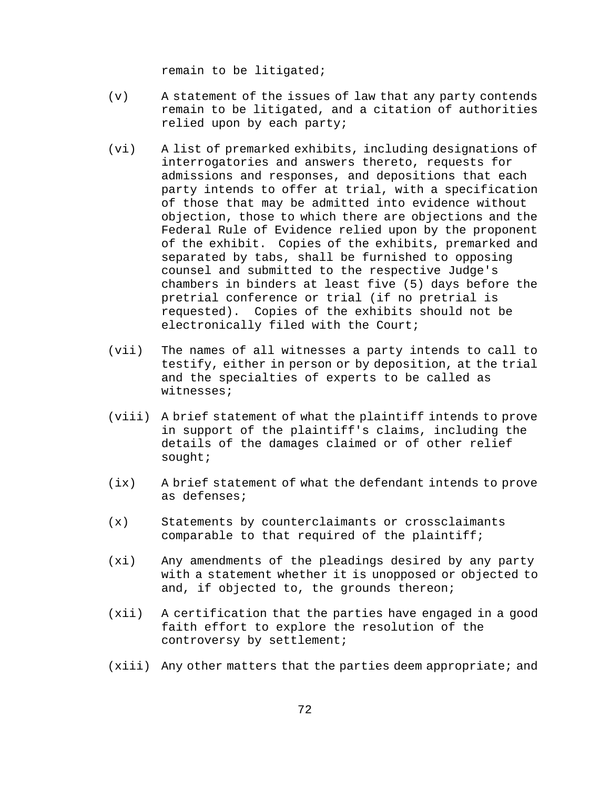remain to be litigated;

- (v) A statement of the issues of law that any party contends remain to be litigated, and a citation of authorities relied upon by each party;
- (vi) A list of premarked exhibits, including designations of interrogatories and answers thereto, requests for admissions and responses, and depositions that each party intends to offer at trial, with a specification of those that may be admitted into evidence without objection, those to which there are objections and the Federal Rule of Evidence relied upon by the proponent of the exhibit. Copies of the exhibits, premarked and separated by tabs, shall be furnished to opposing counsel and submitted to the respective Judge's chambers in binders at least five (5) days before the pretrial conference or trial (if no pretrial is requested). Copies of the exhibits should not be electronically filed with the Court;
- (vii) The names of all witnesses a party intends to call to testify, either in person or by deposition, at the trial and the specialties of experts to be called as witnesses;
- (viii) A brief statement of what the plaintiff intends to prove in support of the plaintiff's claims, including the details of the damages claimed or of other relief sought;
- (ix) A brief statement of what the defendant intends to prove as defenses;
- (x) Statements by counterclaimants or crossclaimants comparable to that required of the plaintiff;
- (xi) Any amendments of the pleadings desired by any party with a statement whether it is unopposed or objected to and, if objected to, the grounds thereon;
- (xii) A certification that the parties have engaged in a good faith effort to explore the resolution of the controversy by settlement;
- (xiii) Any other matters that the parties deem appropriate; and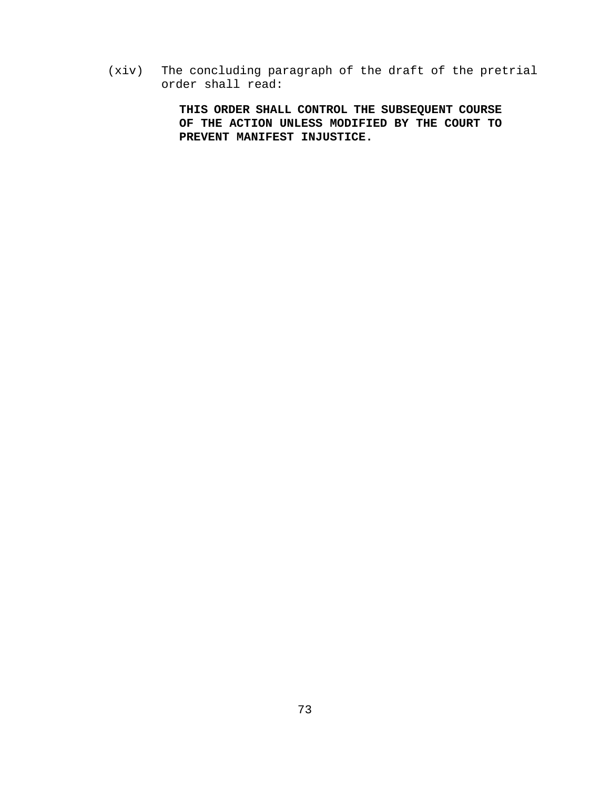(xiv) The concluding paragraph of the draft of the pretrial order shall read:

> **THIS ORDER SHALL CONTROL THE SUBSEQUENT COURSE OF THE ACTION UNLESS MODIFIED BY THE COURT TO PREVENT MANIFEST INJUSTICE.**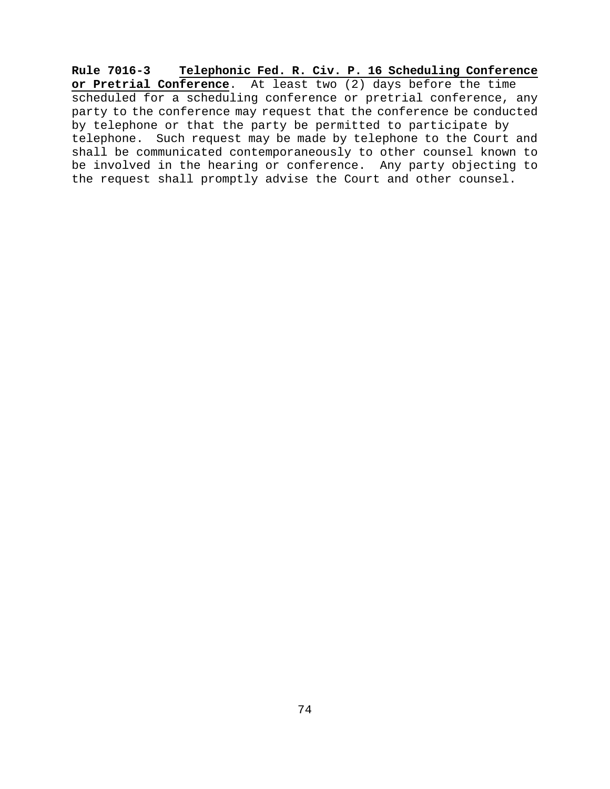**Rule 7016-3 Telephonic Fed. R. Civ. P. 16 Scheduling Conference or Pretrial Conference**. At least two (2) days before the time scheduled for a scheduling conference or pretrial conference, any party to the conference may request that the conference be conducted by telephone or that the party be permitted to participate by telephone. Such request may be made by telephone to the Court and shall be communicated contemporaneously to other counsel known to be involved in the hearing or conference. Any party objecting to the request shall promptly advise the Court and other counsel.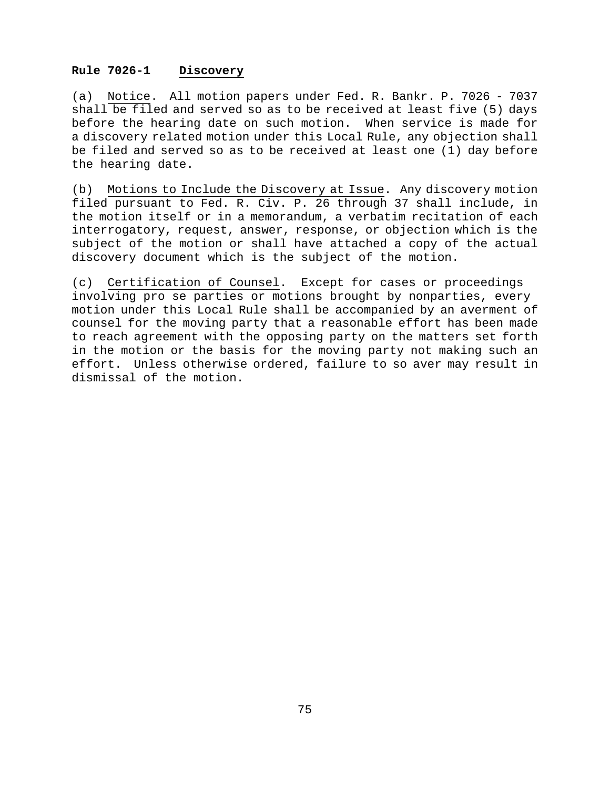## **Rule 7026-1 Discovery**

(a) Notice. All motion papers under Fed. R. Bankr. P. 7026 - 7037 shall be filed and served so as to be received at least five (5) days before the hearing date on such motion. When service is made for a discovery related motion under this Local Rule, any objection shall be filed and served so as to be received at least one (1) day before the hearing date.

(b) Motions to Include the Discovery at Issue. Any discovery motion filed pursuant to Fed. R. Civ. P. 26 through 37 shall include, in the motion itself or in a memorandum, a verbatim recitation of each interrogatory, request, answer, response, or objection which is the subject of the motion or shall have attached a copy of the actual discovery document which is the subject of the motion.

(c) Certification of Counsel. Except for cases or proceedings involving pro se parties or motions brought by nonparties, every motion under this Local Rule shall be accompanied by an averment of counsel for the moving party that a reasonable effort has been made to reach agreement with the opposing party on the matters set forth in the motion or the basis for the moving party not making such an effort. Unless otherwise ordered, failure to so aver may result in dismissal of the motion.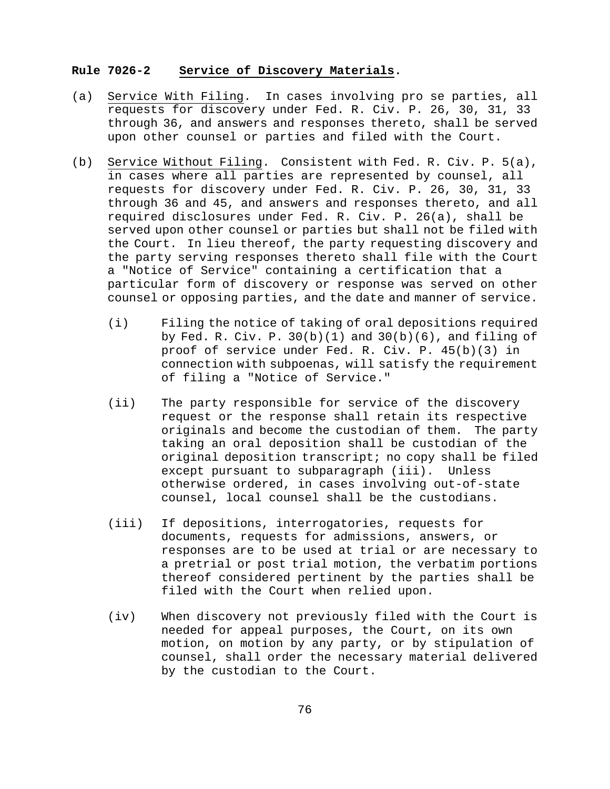## **Rule 7026-2 Service of Discovery Materials.**

- (a) Service With Filing. In cases involving pro se parties, all requests for discovery under Fed. R. Civ. P. 26, 30, 31, 33 through 36, and answers and responses thereto, shall be served upon other counsel or parties and filed with the Court.
- (b) Service Without Filing. Consistent with Fed. R. Civ. P. 5(a), in cases where all parties are represented by counsel, all requests for discovery under Fed. R. Civ. P. 26, 30, 31, 33 through 36 and 45, and answers and responses thereto, and all required disclosures under Fed. R. Civ. P. 26(a), shall be served upon other counsel or parties but shall not be filed with the Court. In lieu thereof, the party requesting discovery and the party serving responses thereto shall file with the Court a "Notice of Service" containing a certification that a particular form of discovery or response was served on other counsel or opposing parties, and the date and manner of service.
	- (i) Filing the notice of taking of oral depositions required by Fed. R. Civ. P.  $30(b)(1)$  and  $30(b)(6)$ , and filing of proof of service under Fed. R. Civ. P. 45(b)(3) in connection with subpoenas, will satisfy the requirement of filing a "Notice of Service."
	- (ii) The party responsible for service of the discovery request or the response shall retain its respective originals and become the custodian of them. The party taking an oral deposition shall be custodian of the original deposition transcript; no copy shall be filed except pursuant to subparagraph (iii). Unless otherwise ordered, in cases involving out-of-state counsel, local counsel shall be the custodians.
	- (iii) If depositions, interrogatories, requests for documents, requests for admissions, answers, or responses are to be used at trial or are necessary to a pretrial or post trial motion, the verbatim portions thereof considered pertinent by the parties shall be filed with the Court when relied upon.
	- (iv) When discovery not previously filed with the Court is needed for appeal purposes, the Court, on its own motion, on motion by any party, or by stipulation of counsel, shall order the necessary material delivered by the custodian to the Court.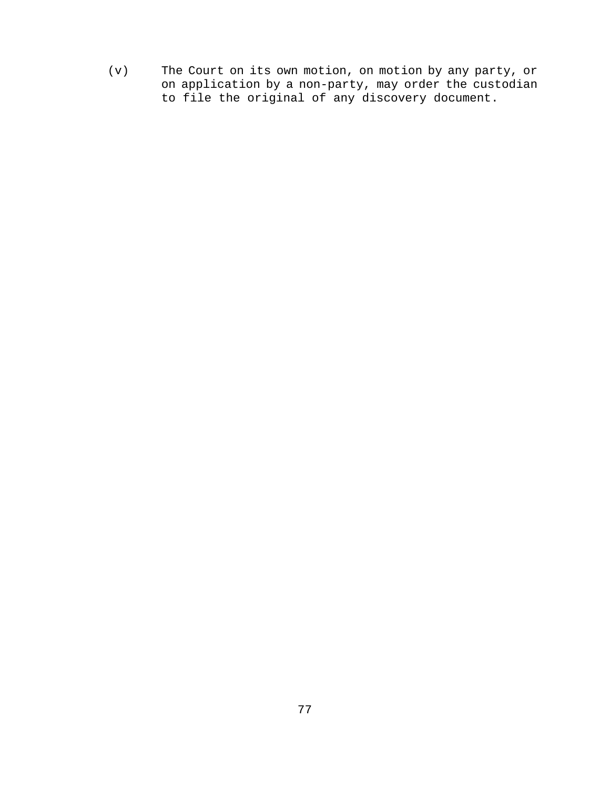(v) The Court on its own motion, on motion by any party, or on application by a non-party, may order the custodian to file the original of any discovery document.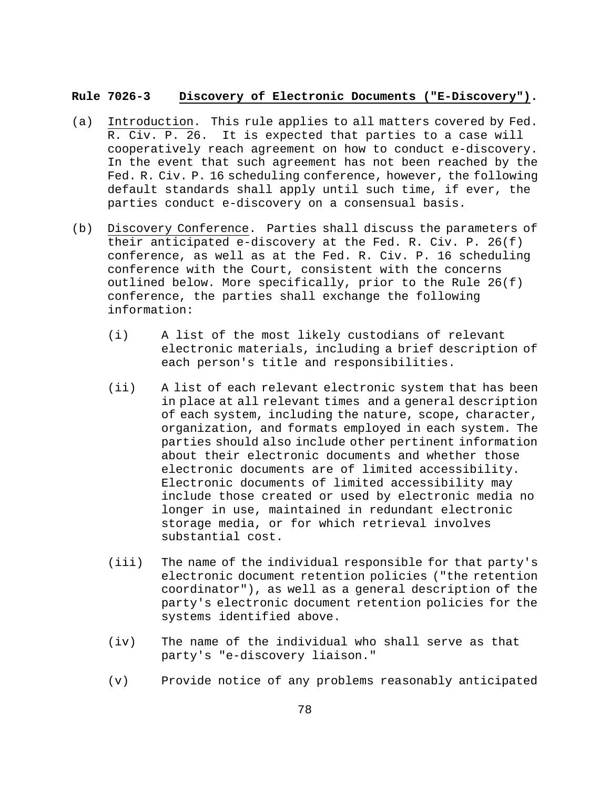#### **Rule 7026-3 Discovery of Electronic Documents ("E-Discovery").**

- (a) Introduction. This rule applies to all matters covered by Fed. R. Civ. P. 26. It is expected that parties to a case will cooperatively reach agreement on how to conduct e-discovery. In the event that such agreement has not been reached by the Fed. R. Civ. P. 16 scheduling conference, however, the following default standards shall apply until such time, if ever, the parties conduct e-discovery on a consensual basis.
- (b) Discovery Conference. Parties shall discuss the parameters of their anticipated e-discovery at the Fed. R. Civ. P. 26(f) conference, as well as at the Fed. R. Civ. P. 16 scheduling conference with the Court, consistent with the concerns outlined below. More specifically, prior to the Rule 26(f) conference, the parties shall exchange the following information:
	- (i) A list of the most likely custodians of relevant electronic materials, including a brief description of each person's title and responsibilities.
	- (ii) A list of each relevant electronic system that has been in place at all relevant times and a general description of each system, including the nature, scope, character, organization, and formats employed in each system. The parties should also include other pertinent information about their electronic documents and whether those electronic documents are of limited accessibility. Electronic documents of limited accessibility may include those created or used by electronic media no longer in use, maintained in redundant electronic storage media, or for which retrieval involves substantial cost.
	- (iii) The name of the individual responsible for that party's electronic document retention policies ("the retention coordinator"), as well as a general description of the party's electronic document retention policies for the systems identified above.
	- (iv) The name of the individual who shall serve as that party's "e-discovery liaison."
	- (v) Provide notice of any problems reasonably anticipated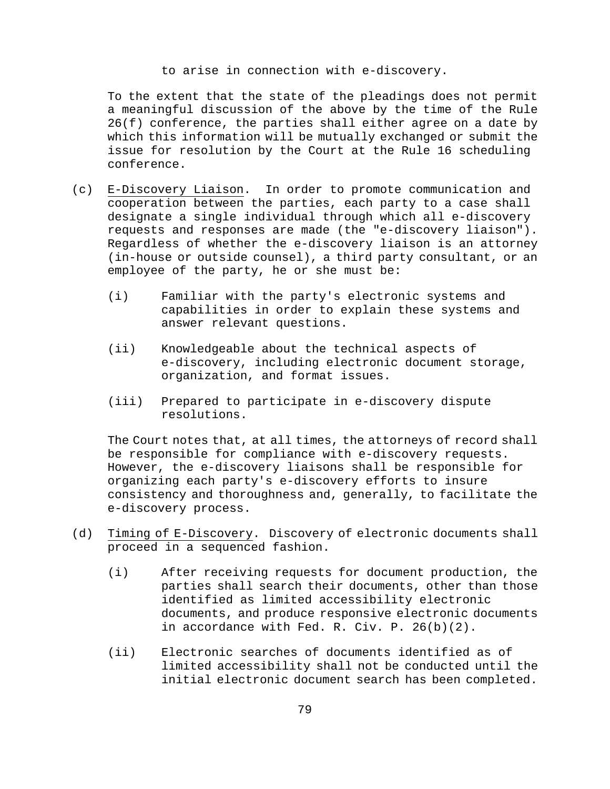#### to arise in connection with e-discovery.

To the extent that the state of the pleadings does not permit a meaningful discussion of the above by the time of the Rule 26(f) conference, the parties shall either agree on a date by which this information will be mutually exchanged or submit the issue for resolution by the Court at the Rule 16 scheduling conference.

- (c) E-Discovery Liaison. In order to promote communication and cooperation between the parties, each party to a case shall designate a single individual through which all e-discovery requests and responses are made (the "e-discovery liaison"). Regardless of whether the e-discovery liaison is an attorney (in-house or outside counsel), a third party consultant, or an employee of the party, he or she must be:
	- (i) Familiar with the party's electronic systems and capabilities in order to explain these systems and answer relevant questions.
	- (ii) Knowledgeable about the technical aspects of e-discovery, including electronic document storage, organization, and format issues.
	- (iii) Prepared to participate in e-discovery dispute resolutions.

The Court notes that, at all times, the attorneys of record shall be responsible for compliance with e-discovery requests. However, the e-discovery liaisons shall be responsible for organizing each party's e-discovery efforts to insure consistency and thoroughness and, generally, to facilitate the e-discovery process.

- (d) Timing of E-Discovery. Discovery of electronic documents shall proceed in a sequenced fashion.
	- (i) After receiving requests for document production, the parties shall search their documents, other than those identified as limited accessibility electronic documents, and produce responsive electronic documents in accordance with Fed. R. Civ. P. 26(b)(2).
	- (ii) Electronic searches of documents identified as of limited accessibility shall not be conducted until the initial electronic document search has been completed.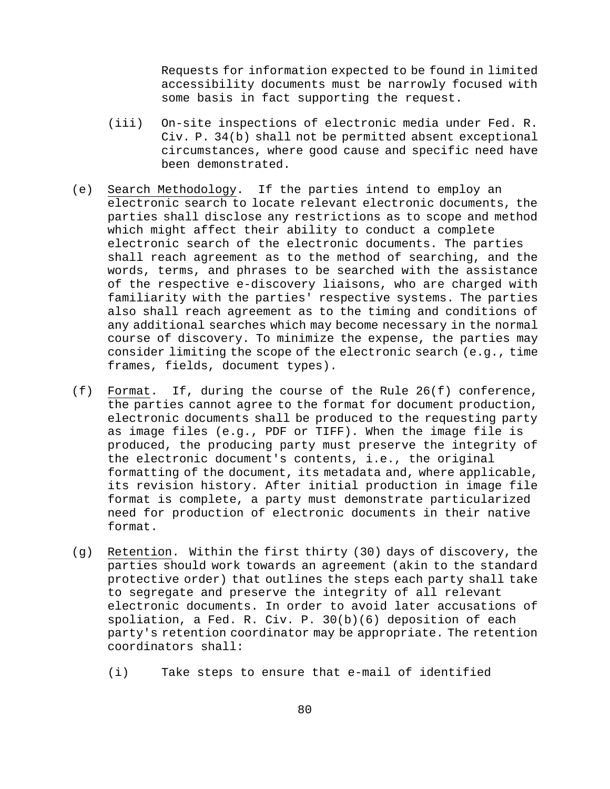Requests for information expected to be found in limited accessibility documents must be narrowly focused with some basis in fact supporting the request.

- (iii) On-site inspections of electronic media under Fed. R. Civ. P. 34(b) shall not be permitted absent exceptional circumstances, where good cause and specific need have been demonstrated.
- (e) Search Methodology. If the parties intend to employ an electronic search to locate relevant electronic documents, the parties shall disclose any restrictions as to scope and method which might affect their ability to conduct a complete electronic search of the electronic documents. The parties shall reach agreement as to the method of searching, and the words, terms, and phrases to be searched with the assistance of the respective e-discovery liaisons, who are charged with familiarity with the parties' respective systems. The parties also shall reach agreement as to the timing and conditions of any additional searches which may become necessary in the normal course of discovery. To minimize the expense, the parties may consider limiting the scope of the electronic search (e.g., time frames, fields, document types).
- (f) Format. If, during the course of the Rule 26(f) conference, the parties cannot agree to the format for document production, electronic documents shall be produced to the requesting party as image files (e.g., PDF or TIFF). When the image file is produced, the producing party must preserve the integrity of the electronic document's contents, i.e., the original formatting of the document, its metadata and, where applicable, its revision history. After initial production in image file format is complete, a party must demonstrate particularized need for production of electronic documents in their native format.
- (g) Retention. Within the first thirty (30) days of discovery, the parties should work towards an agreement (akin to the standard protective order) that outlines the steps each party shall take to segregate and preserve the integrity of all relevant electronic documents. In order to avoid later accusations of spoliation, a Fed. R. Civ. P. 30(b)(6) deposition of each party's retention coordinator may be appropriate. The retention coordinators shall:
	- (i) Take steps to ensure that e-mail of identified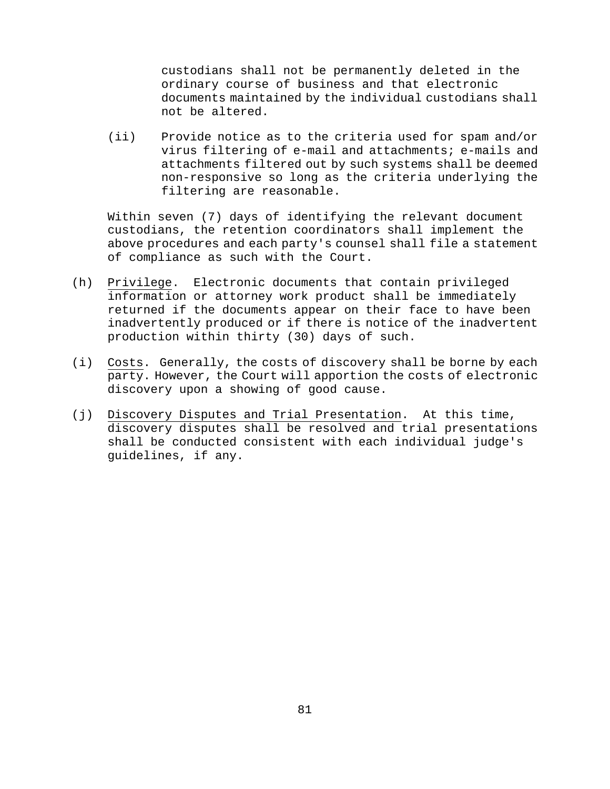custodians shall not be permanently deleted in the ordinary course of business and that electronic documents maintained by the individual custodians shall not be altered.

(ii) Provide notice as to the criteria used for spam and/or virus filtering of e-mail and attachments; e-mails and attachments filtered out by such systems shall be deemed non-responsive so long as the criteria underlying the filtering are reasonable.

Within seven (7) days of identifying the relevant document custodians, the retention coordinators shall implement the above procedures and each party's counsel shall file a statement of compliance as such with the Court.

- (h) Privilege. Electronic documents that contain privileged information or attorney work product shall be immediately returned if the documents appear on their face to have been inadvertently produced or if there is notice of the inadvertent production within thirty (30) days of such.
- (i) Costs. Generally, the costs of discovery shall be borne by each party. However, the Court will apportion the costs of electronic discovery upon a showing of good cause.
- (j) Discovery Disputes and Trial Presentation. At this time, discovery disputes shall be resolved and trial presentations shall be conducted consistent with each individual judge's guidelines, if any.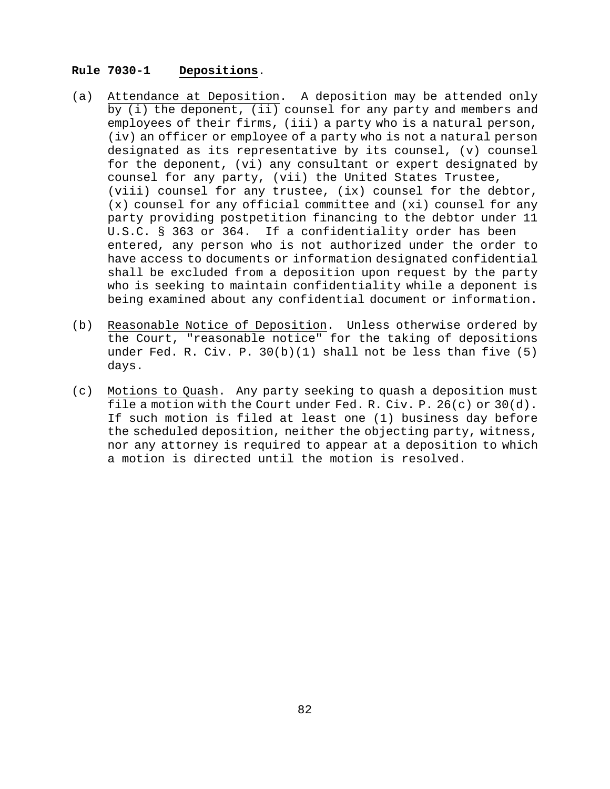## **Rule 7030-1 Depositions**.

- (a) Attendance at Deposition. A deposition may be attended only by (i) the deponent, (ii) counsel for any party and members and employees of their firms, (iii) a party who is a natural person, (iv) an officer or employee of a party who is not a natural person designated as its representative by its counsel, (v) counsel for the deponent, (vi) any consultant or expert designated by counsel for any party, (vii) the United States Trustee, (viii) counsel for any trustee, (ix) counsel for the debtor, (x) counsel for any official committee and (xi) counsel for any party providing postpetition financing to the debtor under 11 U.S.C. § 363 or 364. If a confidentiality order has been entered, any person who is not authorized under the order to have access to documents or information designated confidential shall be excluded from a deposition upon request by the party who is seeking to maintain confidentiality while a deponent is being examined about any confidential document or information.
- (b) Reasonable Notice of Deposition. Unless otherwise ordered by the Court, "reasonable notice" for the taking of depositions under Fed. R. Civ. P.  $30(b)(1)$  shall not be less than five (5) days.
- (c) Motions to Quash. Any party seeking to quash a deposition must file a motion with the Court under Fed. R. Civ. P. 26(c) or 30(d). If such motion is filed at least one (1) business day before the scheduled deposition, neither the objecting party, witness, nor any attorney is required to appear at a deposition to which a motion is directed until the motion is resolved.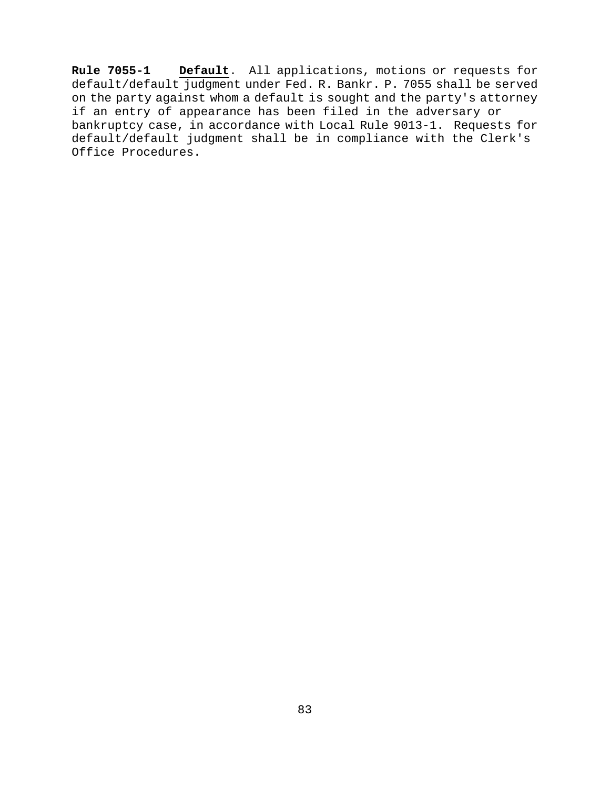**Rule 7055-1 Default**. All applications, motions or requests for default/default judgment under Fed. R. Bankr. P. 7055 shall be served on the party against whom a default is sought and the party's attorney if an entry of appearance has been filed in the adversary or bankruptcy case, in accordance with Local Rule 9013-1. Requests for default/default judgment shall be in compliance with the Clerk's Office Procedures.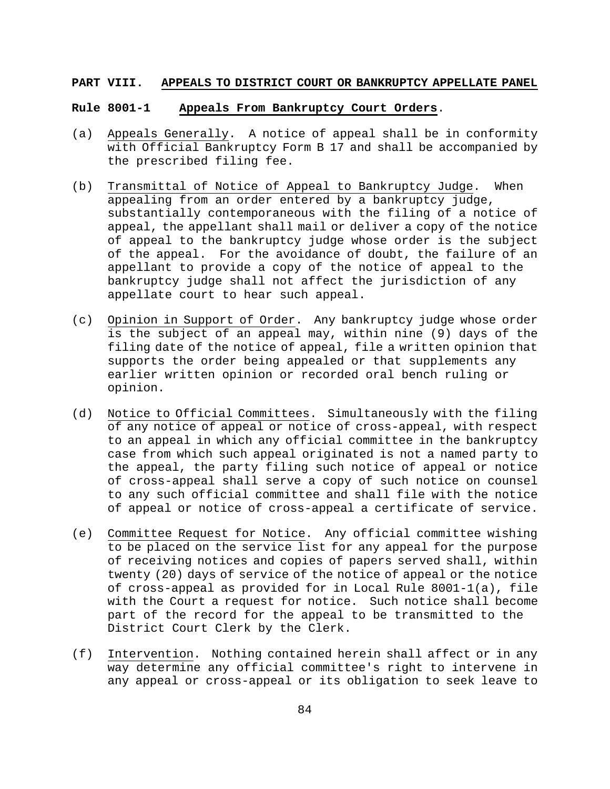#### **PART VIII. APPEALS TO DISTRICT COURT OR BANKRUPTCY APPELLATE PANEL**

#### **Rule 8001-1 Appeals From Bankruptcy Court Orders**.

- (a) Appeals Generally. A notice of appeal shall be in conformity with Official Bankruptcy Form B 17 and shall be accompanied by the prescribed filing fee.
- (b) Transmittal of Notice of Appeal to Bankruptcy Judge. When appealing from an order entered by a bankruptcy judge, substantially contemporaneous with the filing of a notice of appeal, the appellant shall mail or deliver a copy of the notice of appeal to the bankruptcy judge whose order is the subject of the appeal. For the avoidance of doubt, the failure of an appellant to provide a copy of the notice of appeal to the bankruptcy judge shall not affect the jurisdiction of any appellate court to hear such appeal.
- (c) Opinion in Support of Order. Any bankruptcy judge whose order is the subject of an appeal may, within nine (9) days of the filing date of the notice of appeal, file a written opinion that supports the order being appealed or that supplements any earlier written opinion or recorded oral bench ruling or opinion.
- (d) Notice to Official Committees. Simultaneously with the filing of any notice of appeal or notice of cross-appeal, with respect to an appeal in which any official committee in the bankruptcy case from which such appeal originated is not a named party to the appeal, the party filing such notice of appeal or notice of cross-appeal shall serve a copy of such notice on counsel to any such official committee and shall file with the notice of appeal or notice of cross-appeal a certificate of service.
- (e) Committee Request for Notice. Any official committee wishing to be placed on the service list for any appeal for the purpose of receiving notices and copies of papers served shall, within twenty (20) days of service of the notice of appeal or the notice of cross-appeal as provided for in Local Rule 8001-1(a), file with the Court a request for notice. Such notice shall become part of the record for the appeal to be transmitted to the District Court Clerk by the Clerk.
- (f) Intervention. Nothing contained herein shall affect or in any way determine any official committee's right to intervene in any appeal or cross-appeal or its obligation to seek leave to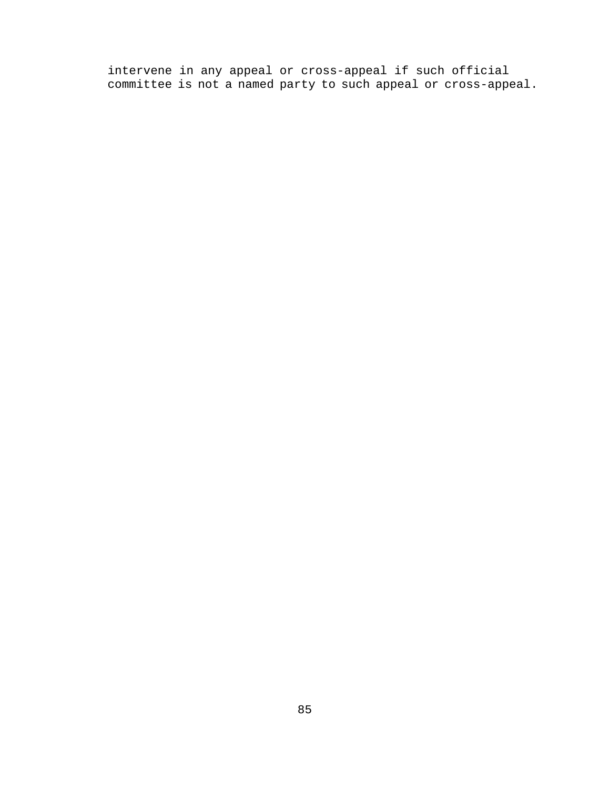intervene in any appeal or cross-appeal if such official committee is not a named party to such appeal or cross-appeal.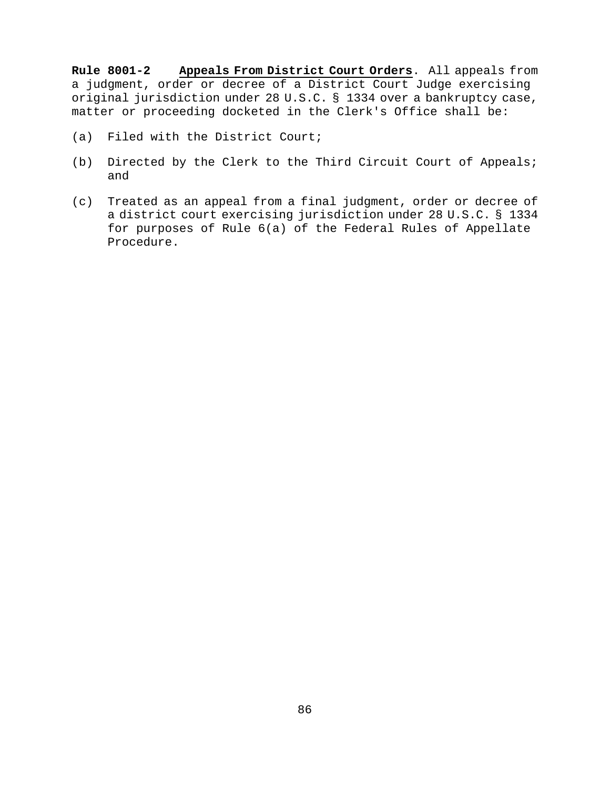**Rule 8001-2 Appeals From District Court Orders**. All appeals from a judgment, order or decree of a District Court Judge exercising original jurisdiction under 28 U.S.C. § 1334 over a bankruptcy case, matter or proceeding docketed in the Clerk's Office shall be:

- (a) Filed with the District Court;
- (b) Directed by the Clerk to the Third Circuit Court of Appeals; and
- (c) Treated as an appeal from a final judgment, order or decree of a district court exercising jurisdiction under 28 U.S.C. § 1334 for purposes of Rule 6(a) of the Federal Rules of Appellate Procedure.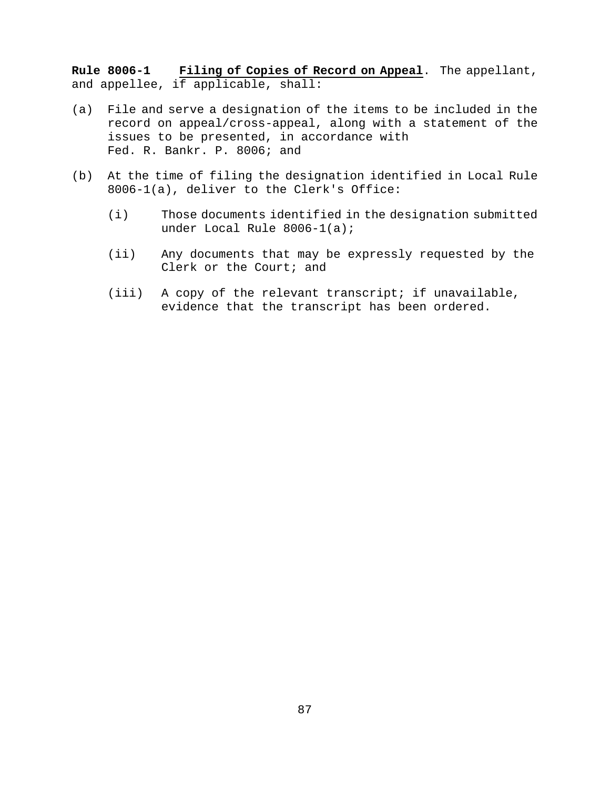**Rule 8006-1 Filing of Copies of Record on Appeal**. The appellant, and appellee, if applicable, shall:

- (a) File and serve a designation of the items to be included in the record on appeal/cross-appeal, along with a statement of the issues to be presented, in accordance with Fed. R. Bankr. P. 8006; and
- (b) At the time of filing the designation identified in Local Rule 8006-1(a), deliver to the Clerk's Office:
	- (i) Those documents identified in the designation submitted under Local Rule 8006-1(a);
	- (ii) Any documents that may be expressly requested by the Clerk or the Court; and
	- (iii) A copy of the relevant transcript; if unavailable, evidence that the transcript has been ordered.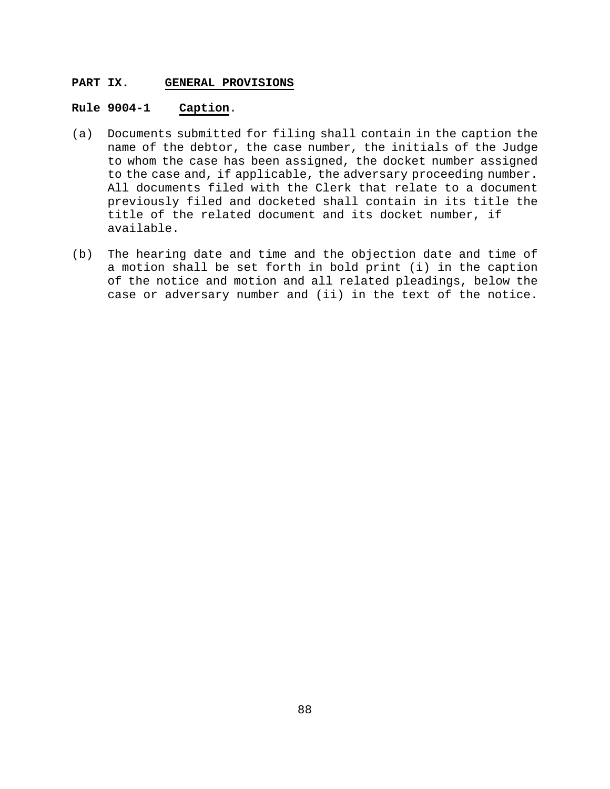### **PART IX. GENERAL PROVISIONS**

## **Rule 9004-1 Caption**.

- (a) Documents submitted for filing shall contain in the caption the name of the debtor, the case number, the initials of the Judge to whom the case has been assigned, the docket number assigned to the case and, if applicable, the adversary proceeding number. All documents filed with the Clerk that relate to a document previously filed and docketed shall contain in its title the title of the related document and its docket number, if available.
- (b) The hearing date and time and the objection date and time of a motion shall be set forth in bold print (i) in the caption of the notice and motion and all related pleadings, below the case or adversary number and (ii) in the text of the notice.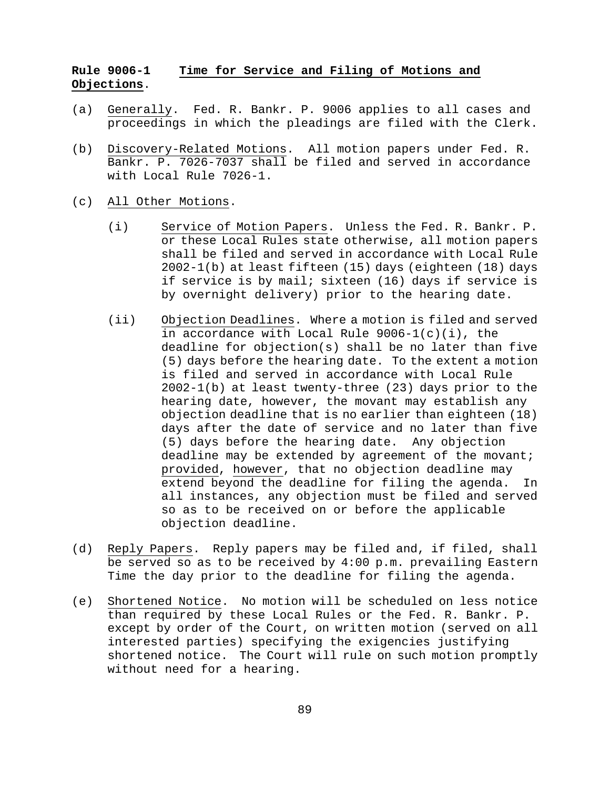## **Rule 9006-1 Time for Service and Filing of Motions and Objections**.

- (a) Generally. Fed. R. Bankr. P. 9006 applies to all cases and proceedings in which the pleadings are filed with the Clerk.
- (b) Discovery-Related Motions. All motion papers under Fed. R. Bankr. P. 7026-7037 shall be filed and served in accordance with Local Rule 7026-1.
- (c) All Other Motions.
	- (i) Service of Motion Papers. Unless the Fed. R. Bankr. P. or these Local Rules state otherwise, all motion papers shall be filed and served in accordance with Local Rule 2002-1(b) at least fifteen (15) days (eighteen (18) days if service is by mail; sixteen (16) days if service is by overnight delivery) prior to the hearing date.
	- (ii) Objection Deadlines. Where a motion is filed and served in accordance with Local Rule 9006-1(c)(i), the deadline for objection(s) shall be no later than five (5) days before the hearing date. To the extent a motion is filed and served in accordance with Local Rule 2002-1(b) at least twenty-three (23) days prior to the hearing date, however, the movant may establish any objection deadline that is no earlier than eighteen (18) days after the date of service and no later than five (5) days before the hearing date. Any objection deadline may be extended by agreement of the movant; provided, however, that no objection deadline may extend beyond the deadline for filing the agenda. In all instances, any objection must be filed and served so as to be received on or before the applicable objection deadline.
- (d) Reply Papers. Reply papers may be filed and, if filed, shall be served so as to be received by 4:00 p.m. prevailing Eastern Time the day prior to the deadline for filing the agenda.
- (e) Shortened Notice. No motion will be scheduled on less notice than required by these Local Rules or the Fed. R. Bankr. P. except by order of the Court, on written motion (served on all interested parties) specifying the exigencies justifying shortened notice. The Court will rule on such motion promptly without need for a hearing.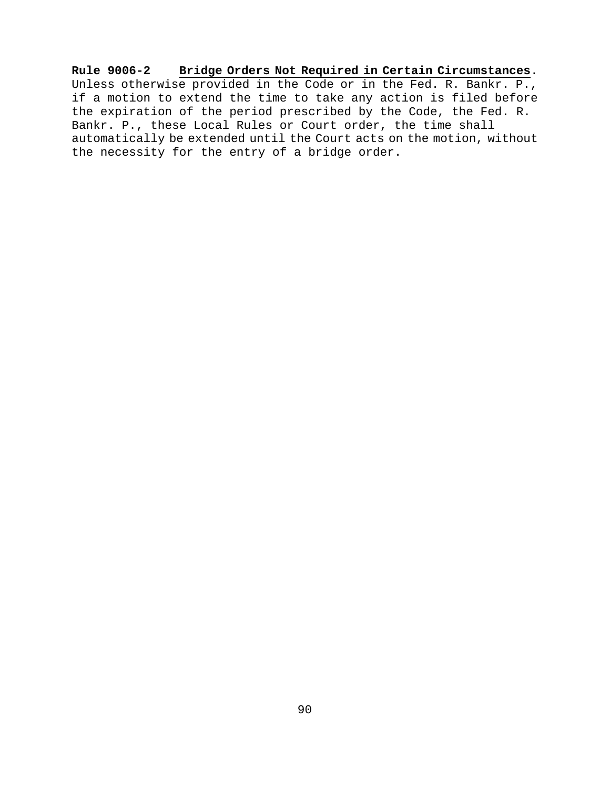**Rule 9006-2 Bridge Orders Not Required in Certain Circumstances**. Unless otherwise provided in the Code or in the Fed. R. Bankr. P., if a motion to extend the time to take any action is filed before the expiration of the period prescribed by the Code, the Fed. R. Bankr. P., these Local Rules or Court order, the time shall automatically be extended until the Court acts on the motion, without the necessity for the entry of a bridge order.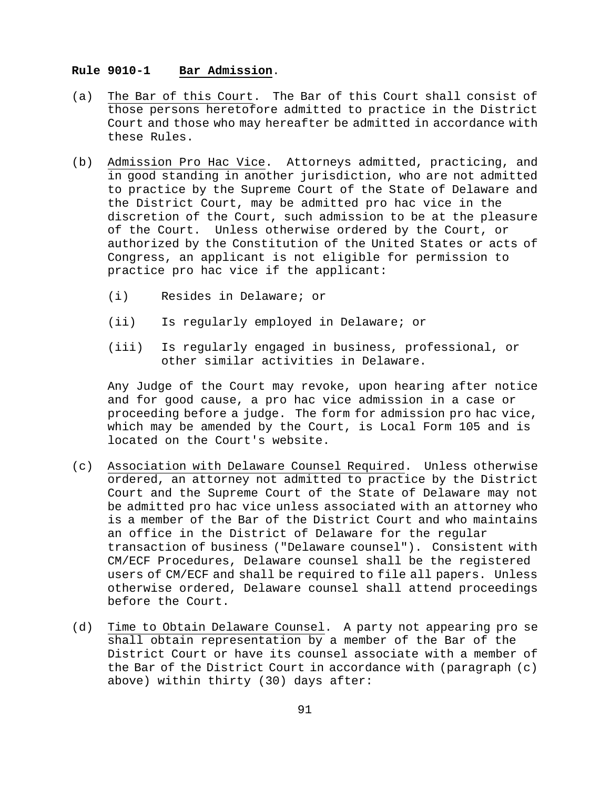### **Rule 9010-1 Bar Admission**.

- (a) The Bar of this Court. The Bar of this Court shall consist of those persons heretofore admitted to practice in the District Court and those who may hereafter be admitted in accordance with these Rules.
- (b) Admission Pro Hac Vice. Attorneys admitted, practicing, and in good standing in another jurisdiction, who are not admitted to practice by the Supreme Court of the State of Delaware and the District Court, may be admitted pro hac vice in the discretion of the Court, such admission to be at the pleasure of the Court. Unless otherwise ordered by the Court, or authorized by the Constitution of the United States or acts of Congress, an applicant is not eligible for permission to practice pro hac vice if the applicant:
	- (i) Resides in Delaware; or
	- (ii) Is regularly employed in Delaware; or
	- (iii) Is regularly engaged in business, professional, or other similar activities in Delaware.

Any Judge of the Court may revoke, upon hearing after notice and for good cause, a pro hac vice admission in a case or proceeding before a judge. The form for admission pro hac vice, which may be amended by the Court, is Local Form 105 and is located on the Court's website.

- (c) Association with Delaware Counsel Required. Unless otherwise ordered, an attorney not admitted to practice by the District Court and the Supreme Court of the State of Delaware may not be admitted pro hac vice unless associated with an attorney who is a member of the Bar of the District Court and who maintains an office in the District of Delaware for the regular transaction of business ("Delaware counsel"). Consistent with CM/ECF Procedures, Delaware counsel shall be the registered users of CM/ECF and shall be required to file all papers. Unless otherwise ordered, Delaware counsel shall attend proceedings before the Court.
- (d) Time to Obtain Delaware Counsel. A party not appearing pro se shall obtain representation by a member of the Bar of the District Court or have its counsel associate with a member of the Bar of the District Court in accordance with (paragraph (c) above) within thirty (30) days after: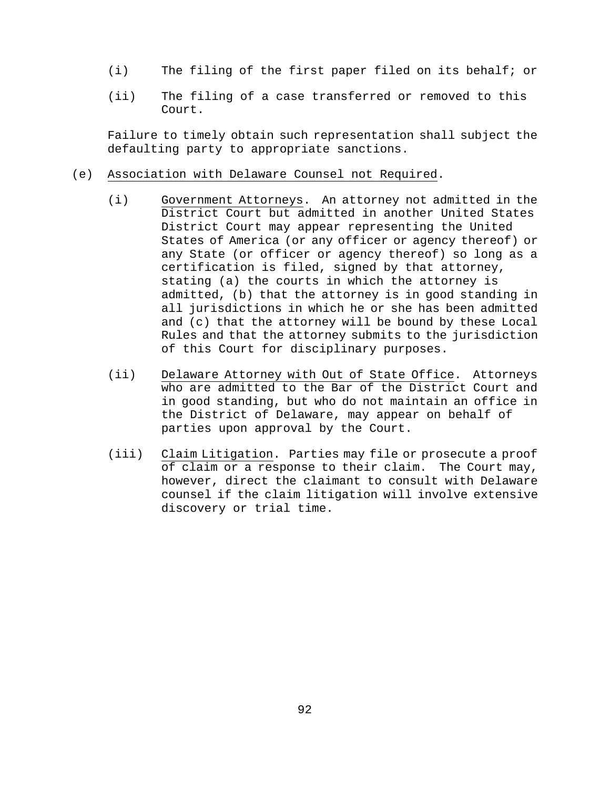- (i) The filing of the first paper filed on its behalf; or
- (ii) The filing of a case transferred or removed to this Court.

Failure to timely obtain such representation shall subject the defaulting party to appropriate sanctions.

- (e) Association with Delaware Counsel not Required.
	- (i) Government Attorneys. An attorney not admitted in the District Court but admitted in another United States District Court may appear representing the United States of America (or any officer or agency thereof) or any State (or officer or agency thereof) so long as a certification is filed, signed by that attorney, stating (a) the courts in which the attorney is admitted, (b) that the attorney is in good standing in all jurisdictions in which he or she has been admitted and (c) that the attorney will be bound by these Local Rules and that the attorney submits to the jurisdiction of this Court for disciplinary purposes.
	- (ii) Delaware Attorney with Out of State Office. Attorneys who are admitted to the Bar of the District Court and in good standing, but who do not maintain an office in the District of Delaware, may appear on behalf of parties upon approval by the Court.
	- (iii) Claim Litigation. Parties may file or prosecute a proof of claim or a response to their claim. The Court may, however, direct the claimant to consult with Delaware counsel if the claim litigation will involve extensive discovery or trial time.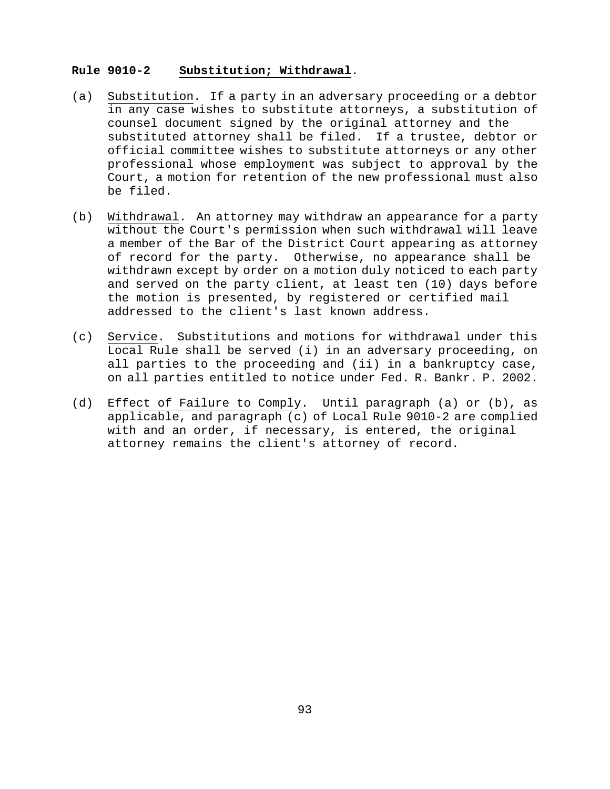## **Rule 9010-2 Substitution; Withdrawal**.

- (a) Substitution. If a party in an adversary proceeding or a debtor in any case wishes to substitute attorneys, a substitution of counsel document signed by the original attorney and the substituted attorney shall be filed. If a trustee, debtor or official committee wishes to substitute attorneys or any other professional whose employment was subject to approval by the Court, a motion for retention of the new professional must also be filed.
- (b) Withdrawal. An attorney may withdraw an appearance for a party without the Court's permission when such withdrawal will leave a member of the Bar of the District Court appearing as attorney of record for the party. Otherwise, no appearance shall be withdrawn except by order on a motion duly noticed to each party and served on the party client, at least ten (10) days before the motion is presented, by registered or certified mail addressed to the client's last known address.
- (c) Service. Substitutions and motions for withdrawal under this Local Rule shall be served (i) in an adversary proceeding, on all parties to the proceeding and (ii) in a bankruptcy case, on all parties entitled to notice under Fed. R. Bankr. P. 2002.
- (d) Effect of Failure to Comply. Until paragraph (a) or (b), as applicable, and paragraph (c) of Local Rule 9010-2 are complied with and an order, if necessary, is entered, the original attorney remains the client's attorney of record.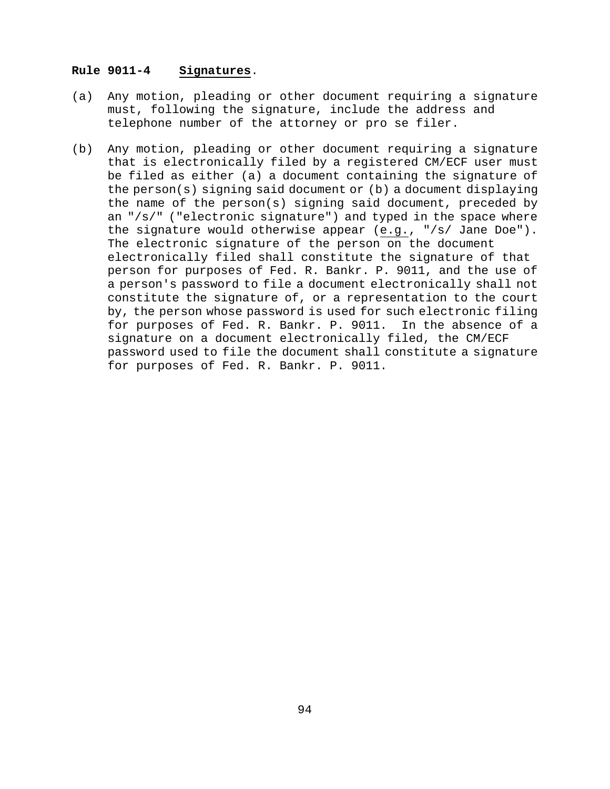### **Rule 9011-4 Signatures**.

- (a) Any motion, pleading or other document requiring a signature must, following the signature, include the address and telephone number of the attorney or pro se filer.
- (b) Any motion, pleading or other document requiring a signature that is electronically filed by a registered CM/ECF user must be filed as either (a) a document containing the signature of the person(s) signing said document or (b) a document displaying the name of the person(s) signing said document, preceded by an "/s/" ("electronic signature") and typed in the space where the signature would otherwise appear (e.g., "/s/ Jane Doe"). The electronic signature of the person on the document electronically filed shall constitute the signature of that person for purposes of Fed. R. Bankr. P. 9011, and the use of a person's password to file a document electronically shall not constitute the signature of, or a representation to the court by, the person whose password is used for such electronic filing for purposes of Fed. R. Bankr. P. 9011. In the absence of a signature on a document electronically filed, the CM/ECF password used to file the document shall constitute a signature for purposes of Fed. R. Bankr. P. 9011.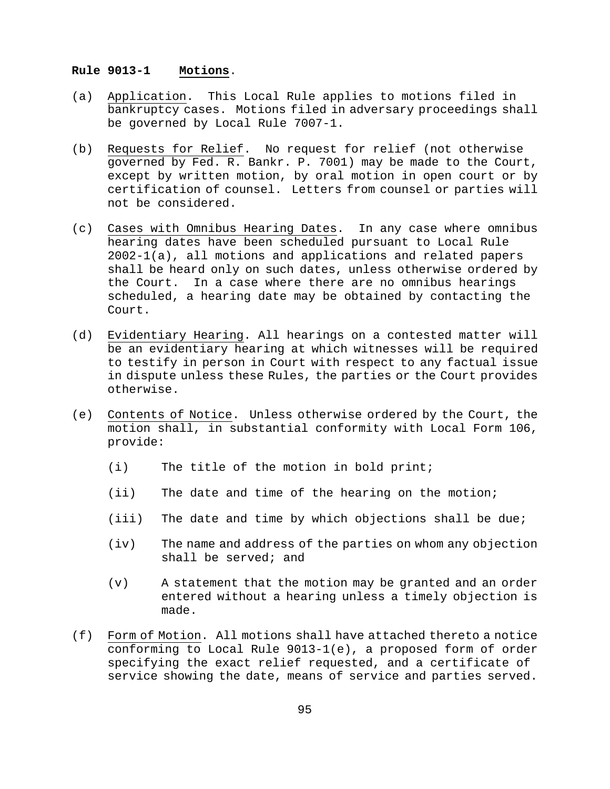#### **Rule 9013-1 Motions**.

- (a) Application. This Local Rule applies to motions filed in bankruptcy cases. Motions filed in adversary proceedings shall be governed by Local Rule 7007-1.
- (b) Requests for Relief. No request for relief (not otherwise governed by Fed. R. Bankr. P. 7001) may be made to the Court, except by written motion, by oral motion in open court or by certification of counsel. Letters from counsel or parties will not be considered.
- (c) Cases with Omnibus Hearing Dates. In any case where omnibus hearing dates have been scheduled pursuant to Local Rule 2002-1(a), all motions and applications and related papers shall be heard only on such dates, unless otherwise ordered by the Court. In a case where there are no omnibus hearings scheduled, a hearing date may be obtained by contacting the Court.
- (d) Evidentiary Hearing. All hearings on a contested matter will be an evidentiary hearing at which witnesses will be required to testify in person in Court with respect to any factual issue in dispute unless these Rules, the parties or the Court provides otherwise.
- (e) Contents of Notice. Unless otherwise ordered by the Court, the motion shall, in substantial conformity with Local Form 106, provide:
	- (i) The title of the motion in bold print;
	- (ii) The date and time of the hearing on the motion;
	- (iii) The date and time by which objections shall be due;
	- (iv) The name and address of the parties on whom any objection shall be served; and
	- (v) A statement that the motion may be granted and an order entered without a hearing unless a timely objection is made.
- (f) Form of Motion. All motions shall have attached thereto a notice conforming to Local Rule 9013-1(e), a proposed form of order specifying the exact relief requested, and a certificate of service showing the date, means of service and parties served.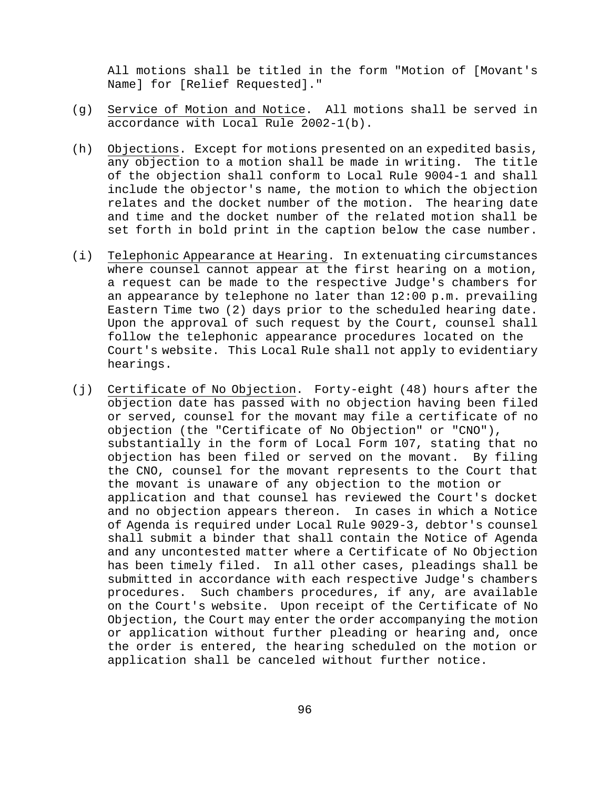All motions shall be titled in the form "Motion of [Movant's Name] for [Relief Requested]."

- (g) Service of Motion and Notice. All motions shall be served in accordance with Local Rule 2002-1(b).
- (h) Objections. Except for motions presented on an expedited basis, any objection to a motion shall be made in writing. The title of the objection shall conform to Local Rule 9004-1 and shall include the objector's name, the motion to which the objection relates and the docket number of the motion. The hearing date and time and the docket number of the related motion shall be set forth in bold print in the caption below the case number.
- (i) Telephonic Appearance at Hearing. In extenuating circumstances where counsel cannot appear at the first hearing on a motion, a request can be made to the respective Judge's chambers for an appearance by telephone no later than 12:00 p.m. prevailing Eastern Time two (2) days prior to the scheduled hearing date. Upon the approval of such request by the Court, counsel shall follow the telephonic appearance procedures located on the Court's website. This Local Rule shall not apply to evidentiary hearings.
- (j) Certificate of No Objection. Forty-eight (48) hours after the objection date has passed with no objection having been filed or served, counsel for the movant may file a certificate of no objection (the "Certificate of No Objection" or "CNO"), substantially in the form of Local Form 107, stating that no objection has been filed or served on the movant. By filing the CNO, counsel for the movant represents to the Court that the movant is unaware of any objection to the motion or application and that counsel has reviewed the Court's docket and no objection appears thereon. In cases in which a Notice of Agenda is required under Local Rule 9029-3, debtor's counsel shall submit a binder that shall contain the Notice of Agenda and any uncontested matter where a Certificate of No Objection has been timely filed. In all other cases, pleadings shall be submitted in accordance with each respective Judge's chambers procedures. Such chambers procedures, if any, are available on the Court's website. Upon receipt of the Certificate of No Objection, the Court may enter the order accompanying the motion or application without further pleading or hearing and, once the order is entered, the hearing scheduled on the motion or application shall be canceled without further notice.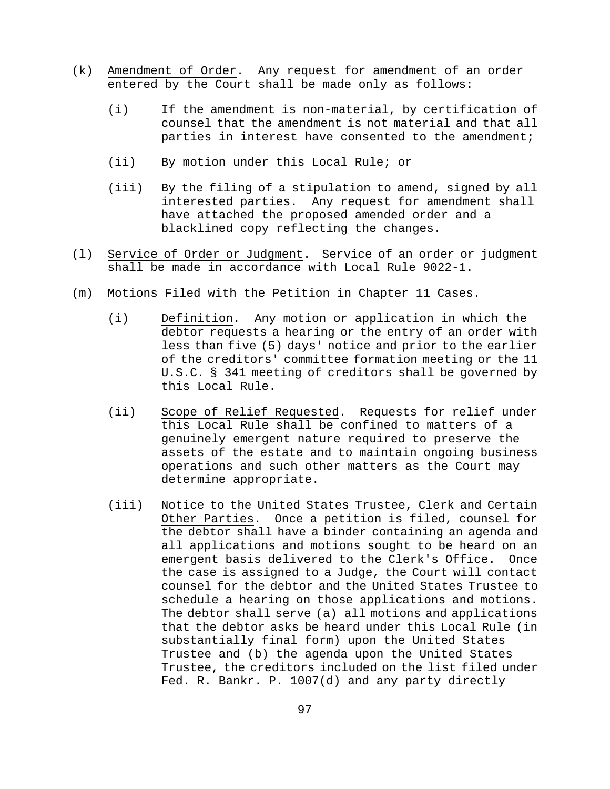- (k) Amendment of Order. Any request for amendment of an order entered by the Court shall be made only as follows:
	- (i) If the amendment is non-material, by certification of counsel that the amendment is not material and that all parties in interest have consented to the amendment;
	- (ii) By motion under this Local Rule; or
	- (iii) By the filing of a stipulation to amend, signed by all interested parties. Any request for amendment shall have attached the proposed amended order and a blacklined copy reflecting the changes.
- (l) Service of Order or Judgment. Service of an order or judgment shall be made in accordance with Local Rule 9022-1.
- (m) Motions Filed with the Petition in Chapter 11 Cases.
	- (i) Definition. Any motion or application in which the debtor requests a hearing or the entry of an order with less than five (5) days' notice and prior to the earlier of the creditors' committee formation meeting or the 11 U.S.C. § 341 meeting of creditors shall be governed by this Local Rule.
	- (ii) Scope of Relief Requested. Requests for relief under this Local Rule shall be confined to matters of a genuinely emergent nature required to preserve the assets of the estate and to maintain ongoing business operations and such other matters as the Court may determine appropriate.
	- (iii) Notice to the United States Trustee, Clerk and Certain Other Parties. Once a petition is filed, counsel for the debtor shall have a binder containing an agenda and all applications and motions sought to be heard on an emergent basis delivered to the Clerk's Office. Once the case is assigned to a Judge, the Court will contact counsel for the debtor and the United States Trustee to schedule a hearing on those applications and motions. The debtor shall serve (a) all motions and applications that the debtor asks be heard under this Local Rule (in substantially final form) upon the United States Trustee and (b) the agenda upon the United States Trustee, the creditors included on the list filed under Fed. R. Bankr. P. 1007(d) and any party directly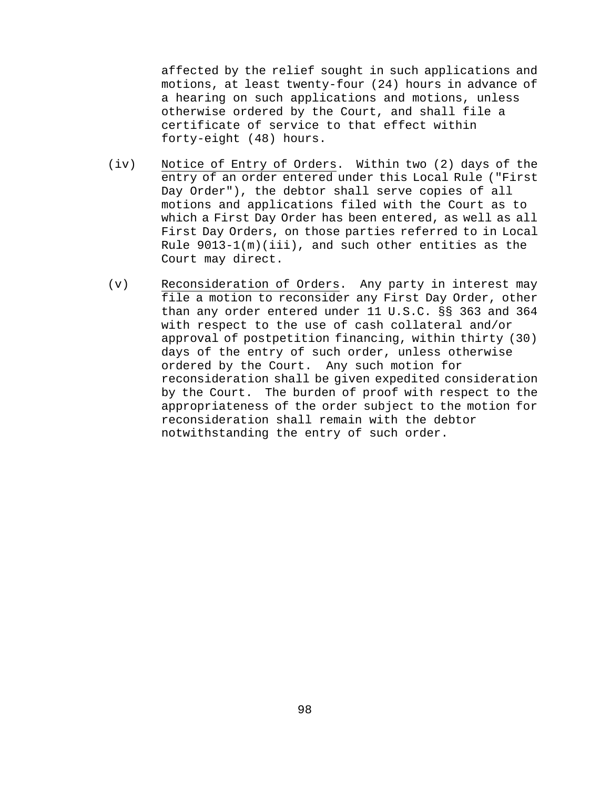affected by the relief sought in such applications and motions, at least twenty-four (24) hours in advance of a hearing on such applications and motions, unless otherwise ordered by the Court, and shall file a certificate of service to that effect within forty-eight (48) hours.

- (iv) Notice of Entry of Orders. Within two (2) days of the entry of an order entered under this Local Rule ("First Day Order"), the debtor shall serve copies of all motions and applications filed with the Court as to which a First Day Order has been entered, as well as all First Day Orders, on those parties referred to in Local Rule 9013-1(m)(iii), and such other entities as the Court may direct.
- (v) Reconsideration of Orders. Any party in interest may file a motion to reconsider any First Day Order, other than any order entered under 11 U.S.C. §§ 363 and 364 with respect to the use of cash collateral and/or approval of postpetition financing, within thirty (30) days of the entry of such order, unless otherwise ordered by the Court. Any such motion for reconsideration shall be given expedited consideration by the Court. The burden of proof with respect to the appropriateness of the order subject to the motion for reconsideration shall remain with the debtor notwithstanding the entry of such order.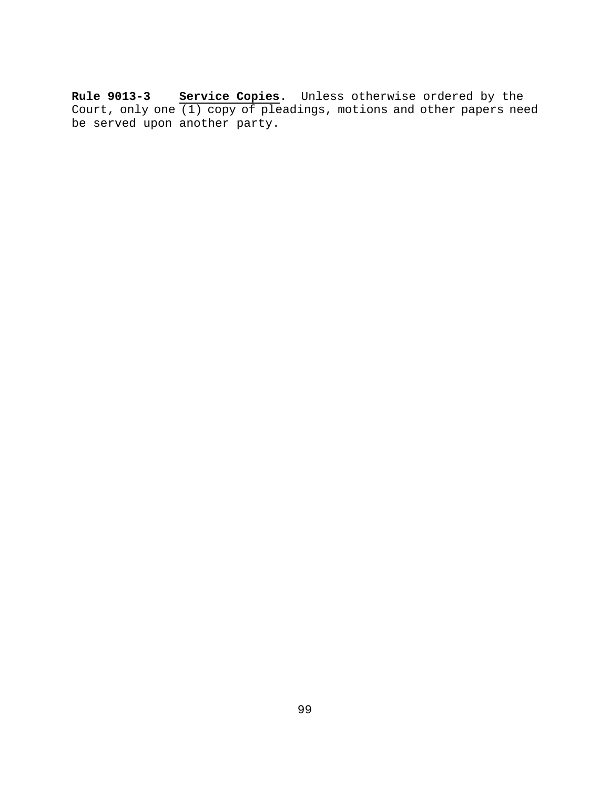**Rule 9013-3 Service Copies**. Unless otherwise ordered by the Court, only one (1) copy of pleadings, motions and other papers need be served upon another party.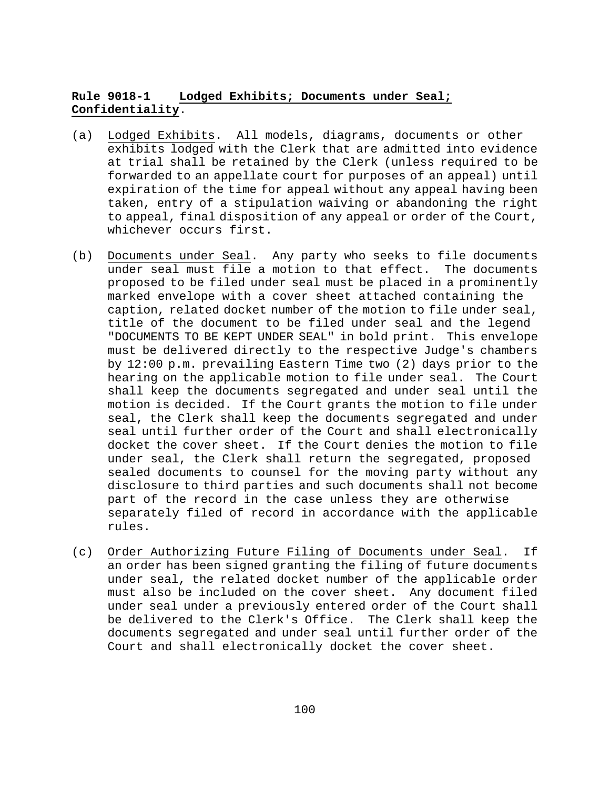# **Rule 9018-1 Lodged Exhibits; Documents under Seal; Confidentiality**.

- (a) Lodged Exhibits. All models, diagrams, documents or other exhibits lodged with the Clerk that are admitted into evidence at trial shall be retained by the Clerk (unless required to be forwarded to an appellate court for purposes of an appeal) until expiration of the time for appeal without any appeal having been taken, entry of a stipulation waiving or abandoning the right to appeal, final disposition of any appeal or order of the Court, whichever occurs first.
- (b) Documents under Seal. Any party who seeks to file documents under seal must file a motion to that effect. The documents proposed to be filed under seal must be placed in a prominently marked envelope with a cover sheet attached containing the caption, related docket number of the motion to file under seal, title of the document to be filed under seal and the legend "DOCUMENTS TO BE KEPT UNDER SEAL" in bold print. This envelope must be delivered directly to the respective Judge's chambers by 12:00 p.m. prevailing Eastern Time two (2) days prior to the hearing on the applicable motion to file under seal. The Court shall keep the documents segregated and under seal until the motion is decided. If the Court grants the motion to file under seal, the Clerk shall keep the documents segregated and under seal until further order of the Court and shall electronically docket the cover sheet. If the Court denies the motion to file under seal, the Clerk shall return the segregated, proposed sealed documents to counsel for the moving party without any disclosure to third parties and such documents shall not become part of the record in the case unless they are otherwise separately filed of record in accordance with the applicable rules.
- (c) Order Authorizing Future Filing of Documents under Seal. If an order has been signed granting the filing of future documents under seal, the related docket number of the applicable order must also be included on the cover sheet. Any document filed under seal under a previously entered order of the Court shall be delivered to the Clerk's Office. The Clerk shall keep the documents segregated and under seal until further order of the Court and shall electronically docket the cover sheet.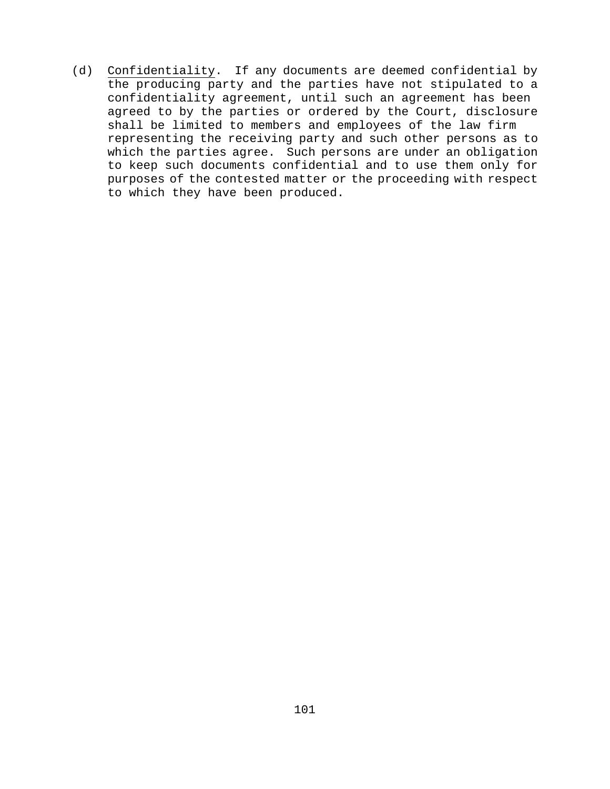(d) Confidentiality. If any documents are deemed confidential by the producing party and the parties have not stipulated to a confidentiality agreement, until such an agreement has been agreed to by the parties or ordered by the Court, disclosure shall be limited to members and employees of the law firm representing the receiving party and such other persons as to which the parties agree. Such persons are under an obligation to keep such documents confidential and to use them only for purposes of the contested matter or the proceeding with respect to which they have been produced.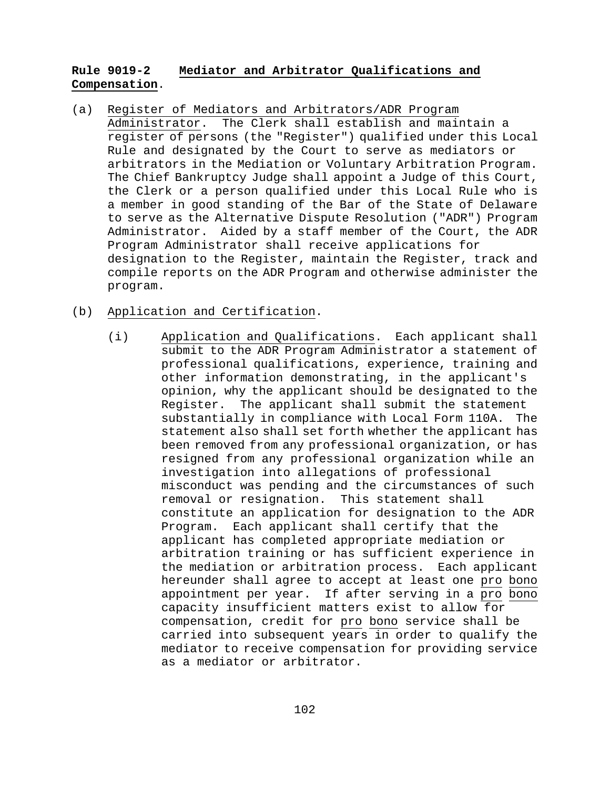# **Rule 9019-2 Mediator and Arbitrator Qualifications and Compensation**.

(a) Register of Mediators and Arbitrators/ADR Program Administrator. The Clerk shall establish and maintain a register of persons (the "Register") qualified under this Local Rule and designated by the Court to serve as mediators or arbitrators in the Mediation or Voluntary Arbitration Program. The Chief Bankruptcy Judge shall appoint a Judge of this Court, the Clerk or a person qualified under this Local Rule who is a member in good standing of the Bar of the State of Delaware to serve as the Alternative Dispute Resolution ("ADR") Program Administrator. Aided by a staff member of the Court, the ADR Program Administrator shall receive applications for designation to the Register, maintain the Register, track and compile reports on the ADR Program and otherwise administer the program.

# (b) Application and Certification.

(i) Application and Qualifications. Each applicant shall submit to the ADR Program Administrator a statement of professional qualifications, experience, training and other information demonstrating, in the applicant's opinion, why the applicant should be designated to the Register. The applicant shall submit the statement substantially in compliance with Local Form 110A. The statement also shall set forth whether the applicant has been removed from any professional organization, or has resigned from any professional organization while an investigation into allegations of professional misconduct was pending and the circumstances of such removal or resignation. This statement shall constitute an application for designation to the ADR Program. Each applicant shall certify that the applicant has completed appropriate mediation or arbitration training or has sufficient experience in the mediation or arbitration process. Each applicant hereunder shall agree to accept at least one pro bono appointment per year. If after serving in a pro bono capacity insufficient matters exist to allow for compensation, credit for pro bono service shall be carried into subsequent years in order to qualify the mediator to receive compensation for providing service as a mediator or arbitrator.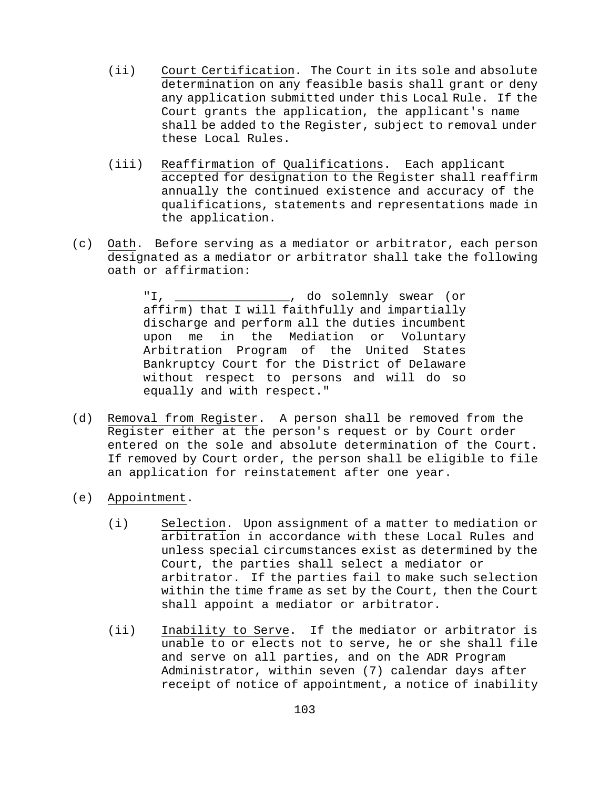- (ii) Court Certification. The Court in its sole and absolute determination on any feasible basis shall grant or deny any application submitted under this Local Rule. If the Court grants the application, the applicant's name shall be added to the Register, subject to removal under these Local Rules.
- (iii) Reaffirmation of Qualifications. Each applicant accepted for designation to the Register shall reaffirm annually the continued existence and accuracy of the qualifications, statements and representations made in the application.
- (c) Oath. Before serving as a mediator or arbitrator, each person designated as a mediator or arbitrator shall take the following oath or affirmation:

"I, \_\_\_\_\_\_\_\_\_\_\_\_\_\_\_\_, do solemnly swear (or affirm) that I will faithfully and impartially discharge and perform all the duties incumbent upon me in the Mediation or Voluntary Arbitration Program of the United States Bankruptcy Court for the District of Delaware without respect to persons and will do so equally and with respect."

- (d) Removal from Register. A person shall be removed from the Register either at the person's request or by Court order entered on the sole and absolute determination of the Court. If removed by Court order, the person shall be eligible to file an application for reinstatement after one year.
- (e) Appointment.
	- (i) Selection. Upon assignment of a matter to mediation or arbitration in accordance with these Local Rules and unless special circumstances exist as determined by the Court, the parties shall select a mediator or arbitrator. If the parties fail to make such selection within the time frame as set by the Court, then the Court shall appoint a mediator or arbitrator.
	- (ii) Inability to Serve. If the mediator or arbitrator is unable to or elects not to serve, he or she shall file and serve on all parties, and on the ADR Program Administrator, within seven (7) calendar days after receipt of notice of appointment, a notice of inability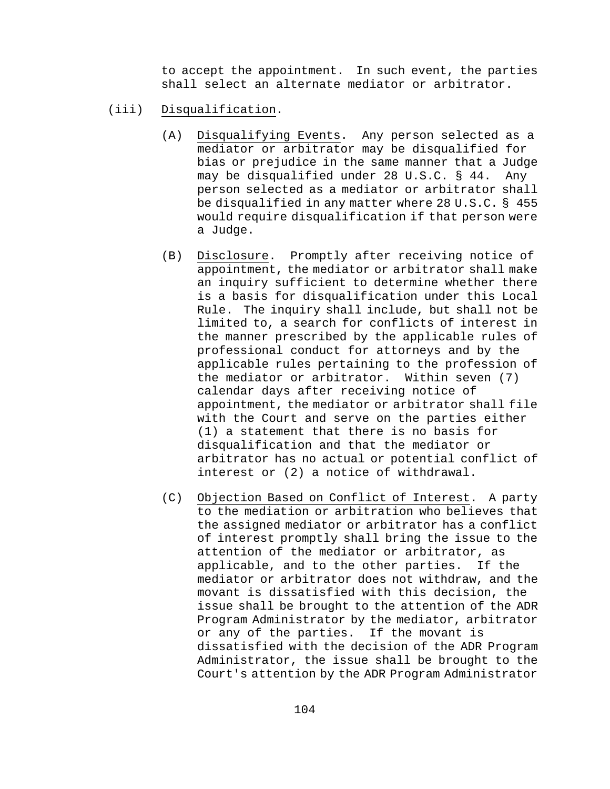to accept the appointment. In such event, the parties shall select an alternate mediator or arbitrator.

- (iii) Disqualification.
	- (A) Disqualifying Events. Any person selected as a mediator or arbitrator may be disqualified for bias or prejudice in the same manner that a Judge may be disqualified under 28 U.S.C. § 44. Any person selected as a mediator or arbitrator shall be disqualified in any matter where 28 U.S.C. § 455 would require disqualification if that person were a Judge.
	- (B) Disclosure. Promptly after receiving notice of appointment, the mediator or arbitrator shall make an inquiry sufficient to determine whether there is a basis for disqualification under this Local Rule. The inquiry shall include, but shall not be limited to, a search for conflicts of interest in the manner prescribed by the applicable rules of professional conduct for attorneys and by the applicable rules pertaining to the profession of the mediator or arbitrator. Within seven (7) calendar days after receiving notice of appointment, the mediator or arbitrator shall file with the Court and serve on the parties either (1) a statement that there is no basis for disqualification and that the mediator or arbitrator has no actual or potential conflict of interest or (2) a notice of withdrawal.
	- (C) Objection Based on Conflict of Interest. A party to the mediation or arbitration who believes that the assigned mediator or arbitrator has a conflict of interest promptly shall bring the issue to the attention of the mediator or arbitrator, as applicable, and to the other parties. If the mediator or arbitrator does not withdraw, and the movant is dissatisfied with this decision, the issue shall be brought to the attention of the ADR Program Administrator by the mediator, arbitrator or any of the parties. If the movant is dissatisfied with the decision of the ADR Program Administrator, the issue shall be brought to the Court's attention by the ADR Program Administrator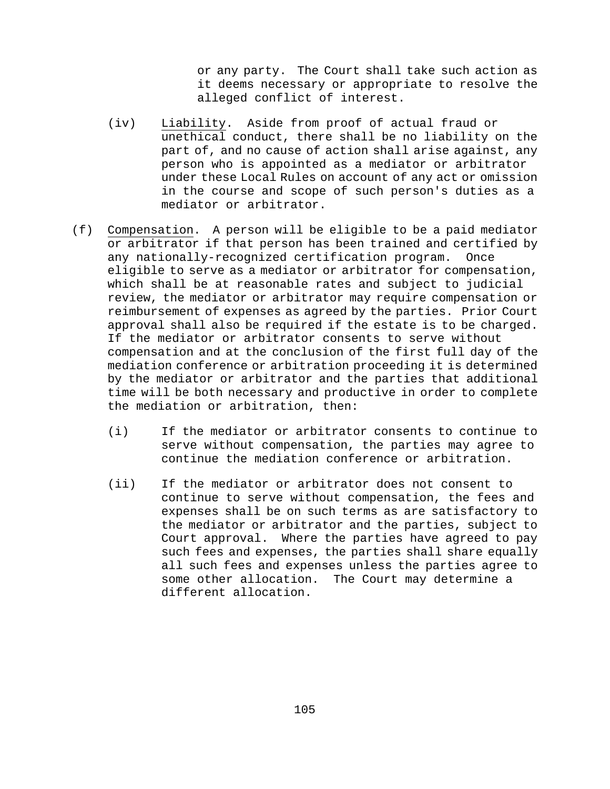or any party. The Court shall take such action as it deems necessary or appropriate to resolve the alleged conflict of interest.

- (iv) Liability. Aside from proof of actual fraud or unethical conduct, there shall be no liability on the part of, and no cause of action shall arise against, any person who is appointed as a mediator or arbitrator under these Local Rules on account of any act or omission in the course and scope of such person's duties as a mediator or arbitrator.
- (f) Compensation. A person will be eligible to be a paid mediator or arbitrator if that person has been trained and certified by any nationally-recognized certification program. Once eligible to serve as a mediator or arbitrator for compensation, which shall be at reasonable rates and subject to judicial review, the mediator or arbitrator may require compensation or reimbursement of expenses as agreed by the parties. Prior Court approval shall also be required if the estate is to be charged. If the mediator or arbitrator consents to serve without compensation and at the conclusion of the first full day of the mediation conference or arbitration proceeding it is determined by the mediator or arbitrator and the parties that additional time will be both necessary and productive in order to complete the mediation or arbitration, then:
	- (i) If the mediator or arbitrator consents to continue to serve without compensation, the parties may agree to continue the mediation conference or arbitration.
	- (ii) If the mediator or arbitrator does not consent to continue to serve without compensation, the fees and expenses shall be on such terms as are satisfactory to the mediator or arbitrator and the parties, subject to Court approval. Where the parties have agreed to pay such fees and expenses, the parties shall share equally all such fees and expenses unless the parties agree to some other allocation. The Court may determine a different allocation.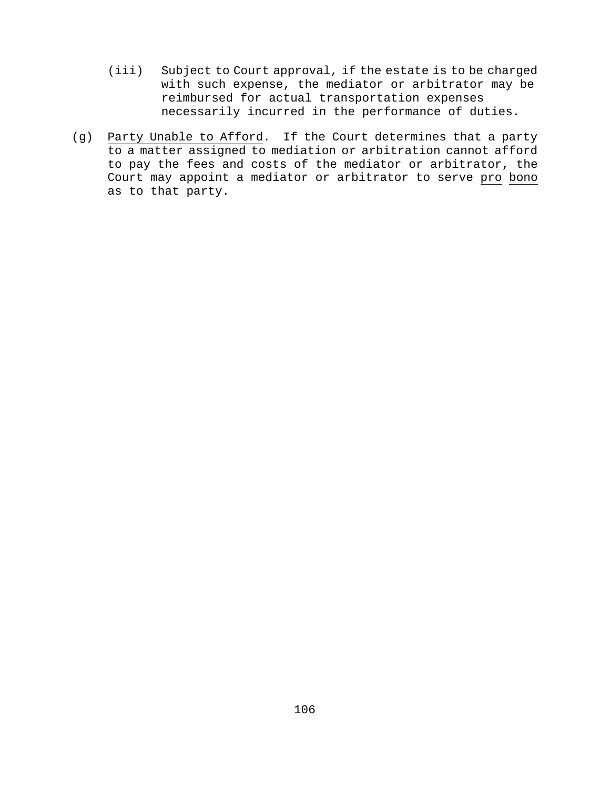- (iii) Subject to Court approval, if the estate is to be charged with such expense, the mediator or arbitrator may be reimbursed for actual transportation expenses necessarily incurred in the performance of duties.
- (g) Party Unable to Afford. If the Court determines that a party to a matter assigned to mediation or arbitration cannot afford to pay the fees and costs of the mediator or arbitrator, the Court may appoint a mediator or arbitrator to serve pro bono as to that party.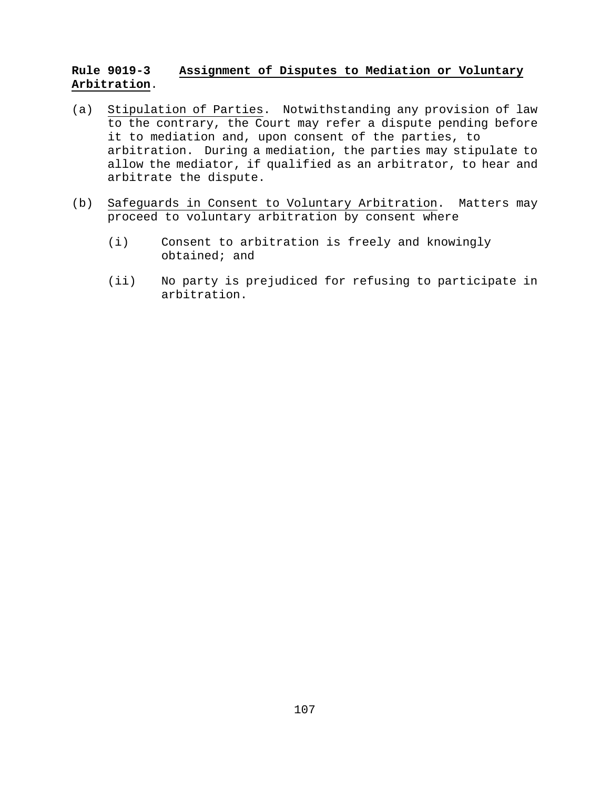## **Rule 9019-3 Assignment of Disputes to Mediation or Voluntary Arbitration**.

- (a) Stipulation of Parties. Notwithstanding any provision of law to the contrary, the Court may refer a dispute pending before it to mediation and, upon consent of the parties, to arbitration. During a mediation, the parties may stipulate to allow the mediator, if qualified as an arbitrator, to hear and arbitrate the dispute.
- (b) Safeguards in Consent to Voluntary Arbitration. Matters may proceed to voluntary arbitration by consent where
	- (i) Consent to arbitration is freely and knowingly obtained; and
	- (ii) No party is prejudiced for refusing to participate in arbitration.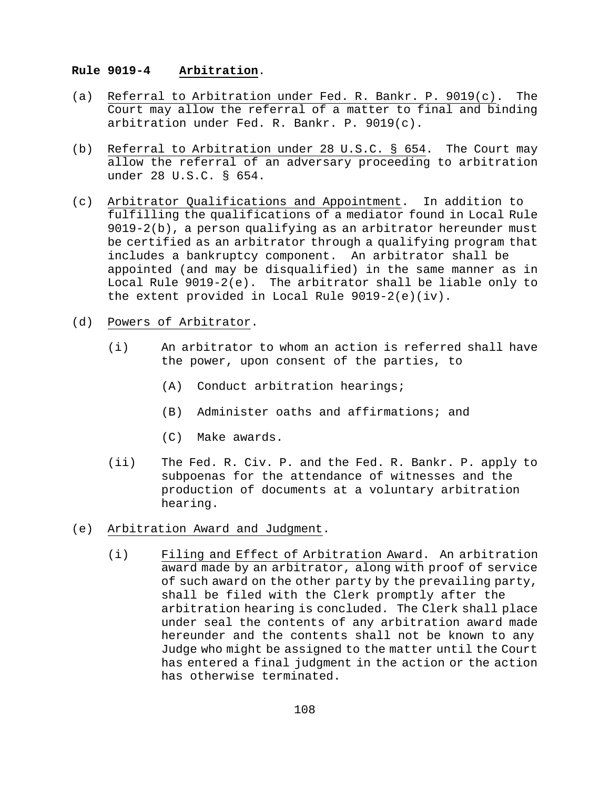### **Rule 9019-4 Arbitration**.

- (a) Referral to Arbitration under Fed. R. Bankr. P.  $9019(c)$ . The Court may allow the referral of a matter to final and binding arbitration under Fed. R. Bankr. P. 9019(c).
- (b) Referral to Arbitration under 28 U.S.C. § 654. The Court may allow the referral of an adversary proceeding to arbitration under 28 U.S.C. § 654.
- (c) Arbitrator Qualifications and Appointment. In addition to fulfilling the qualifications of a mediator found in Local Rule 9019-2(b), a person qualifying as an arbitrator hereunder must be certified as an arbitrator through a qualifying program that includes a bankruptcy component. An arbitrator shall be appointed (and may be disqualified) in the same manner as in Local Rule 9019-2(e). The arbitrator shall be liable only to the extent provided in Local Rule 9019-2(e)(iv).
- (d) Powers of Arbitrator.
	- (i) An arbitrator to whom an action is referred shall have the power, upon consent of the parties, to
		- (A) Conduct arbitration hearings;
		- (B) Administer oaths and affirmations; and
		- (C) Make awards.
	- (ii) The Fed. R. Civ. P. and the Fed. R. Bankr. P. apply to subpoenas for the attendance of witnesses and the production of documents at a voluntary arbitration hearing.
- (e) Arbitration Award and Judgment.
	- (i) Filing and Effect of Arbitration Award. An arbitration award made by an arbitrator, along with proof of service of such award on the other party by the prevailing party, shall be filed with the Clerk promptly after the arbitration hearing is concluded. The Clerk shall place under seal the contents of any arbitration award made hereunder and the contents shall not be known to any Judge who might be assigned to the matter until the Court has entered a final judgment in the action or the action has otherwise terminated.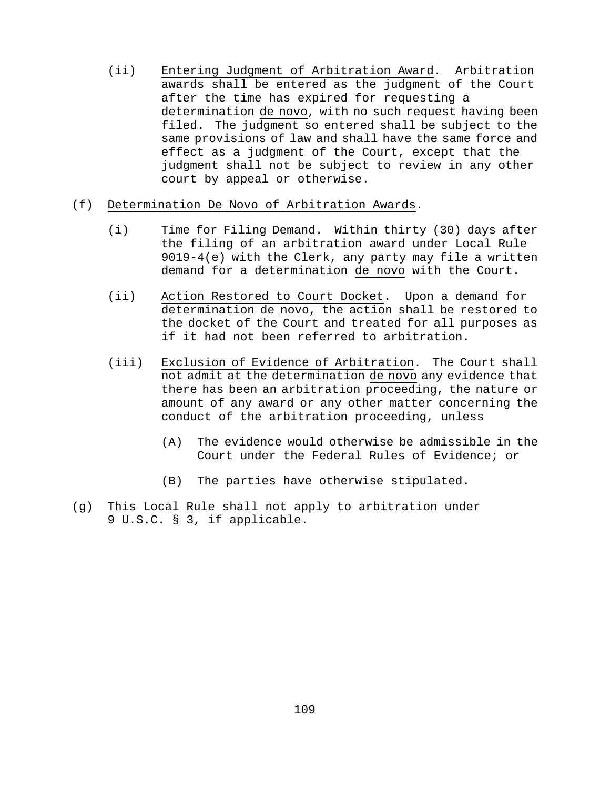- (ii) Entering Judgment of Arbitration Award. Arbitration awards shall be entered as the judgment of the Court after the time has expired for requesting a determination de novo, with no such request having been filed. The judgment so entered shall be subject to the same provisions of law and shall have the same force and effect as a judgment of the Court, except that the judgment shall not be subject to review in any other court by appeal or otherwise.
- (f) Determination De Novo of Arbitration Awards.
	- (i) Time for Filing Demand. Within thirty (30) days after the filing of an arbitration award under Local Rule 9019-4(e) with the Clerk, any party may file a written demand for a determination de novo with the Court.
	- (ii) Action Restored to Court Docket. Upon a demand for determination de novo, the action shall be restored to the docket of the Court and treated for all purposes as if it had not been referred to arbitration.
	- (iii) Exclusion of Evidence of Arbitration. The Court shall not admit at the determination de novo any evidence that there has been an arbitration proceeding, the nature or amount of any award or any other matter concerning the conduct of the arbitration proceeding, unless
		- (A) The evidence would otherwise be admissible in the Court under the Federal Rules of Evidence; or
		- (B) The parties have otherwise stipulated.
- (g) This Local Rule shall not apply to arbitration under 9 U.S.C. § 3, if applicable.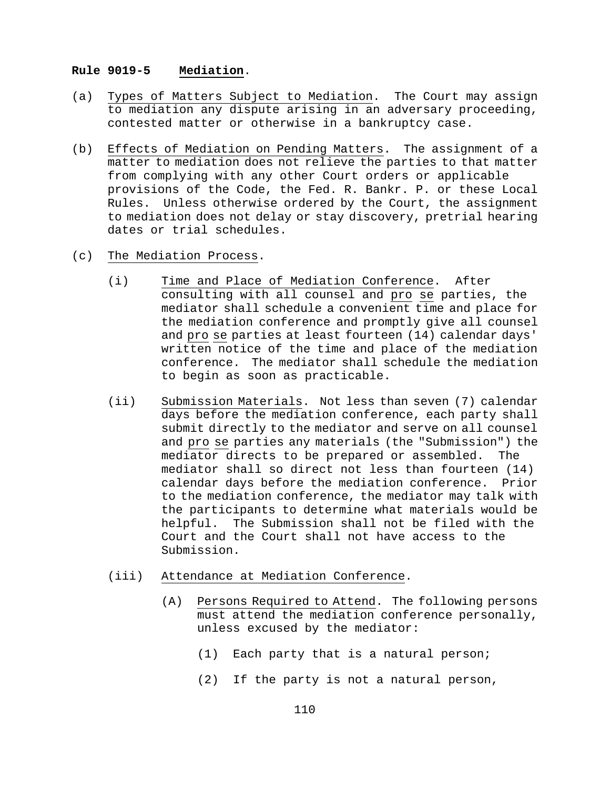#### **Rule 9019-5 Mediation**.

- (a) Types of Matters Subject to Mediation. The Court may assign to mediation any dispute arising in an adversary proceeding, contested matter or otherwise in a bankruptcy case.
- (b) Effects of Mediation on Pending Matters. The assignment of a matter to mediation does not relieve the parties to that matter from complying with any other Court orders or applicable provisions of the Code, the Fed. R. Bankr. P. or these Local Rules. Unless otherwise ordered by the Court, the assignment to mediation does not delay or stay discovery, pretrial hearing dates or trial schedules.
- (c) The Mediation Process.
	- (i) Time and Place of Mediation Conference. After consulting with all counsel and pro se parties, the mediator shall schedule a convenient time and place for the mediation conference and promptly give all counsel and pro se parties at least fourteen (14) calendar days' written notice of the time and place of the mediation conference. The mediator shall schedule the mediation to begin as soon as practicable.
	- (ii) Submission Materials. Not less than seven (7) calendar days before the mediation conference, each party shall submit directly to the mediator and serve on all counsel and pro se parties any materials (the "Submission") the mediator directs to be prepared or assembled. The mediator shall so direct not less than fourteen (14) calendar days before the mediation conference. Prior to the mediation conference, the mediator may talk with the participants to determine what materials would be helpful. The Submission shall not be filed with the Court and the Court shall not have access to the Submission.
	- (iii) Attendance at Mediation Conference.
		- (A) Persons Required to Attend. The following persons must attend the mediation conference personally, unless excused by the mediator:
			- (1) Each party that is a natural person;
			- (2) If the party is not a natural person,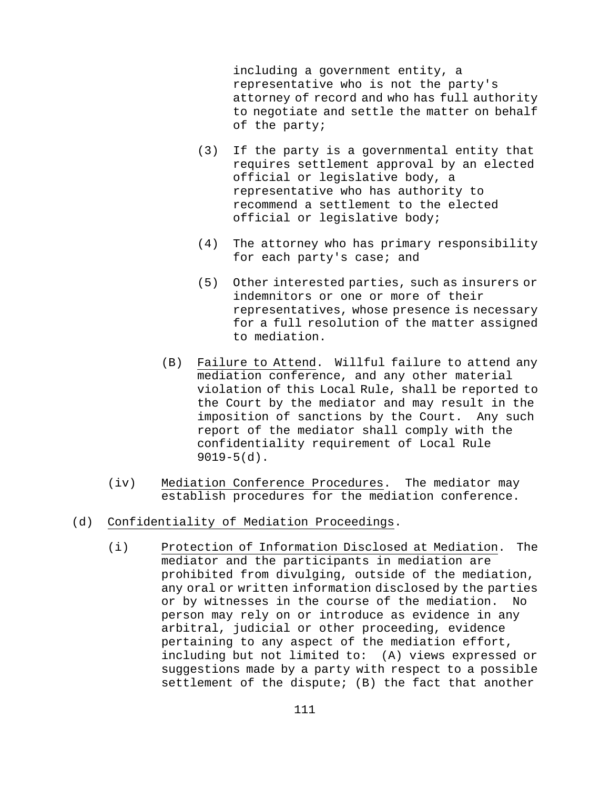including a government entity, a representative who is not the party's attorney of record and who has full authority to negotiate and settle the matter on behalf of the party;

- (3) If the party is a governmental entity that requires settlement approval by an elected official or legislative body, a representative who has authority to recommend a settlement to the elected official or legislative body;
- (4) The attorney who has primary responsibility for each party's case; and
- (5) Other interested parties, such as insurers or indemnitors or one or more of their representatives, whose presence is necessary for a full resolution of the matter assigned to mediation.
- (B) Failure to Attend. Willful failure to attend any mediation conference, and any other material violation of this Local Rule, shall be reported to the Court by the mediator and may result in the imposition of sanctions by the Court. Any such report of the mediator shall comply with the confidentiality requirement of Local Rule  $9019-5(d)$ .
- (iv) Mediation Conference Procedures. The mediator may establish procedures for the mediation conference.
- (d) Confidentiality of Mediation Proceedings.
	- (i) Protection of Information Disclosed at Mediation. The mediator and the participants in mediation are prohibited from divulging, outside of the mediation, any oral or written information disclosed by the parties or by witnesses in the course of the mediation. No person may rely on or introduce as evidence in any arbitral, judicial or other proceeding, evidence pertaining to any aspect of the mediation effort, including but not limited to: (A) views expressed or suggestions made by a party with respect to a possible settlement of the dispute; (B) the fact that another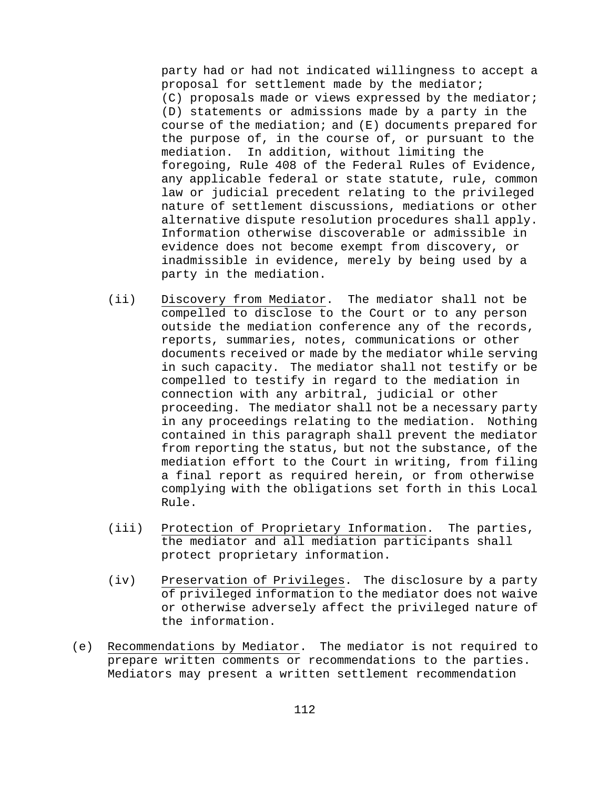party had or had not indicated willingness to accept a proposal for settlement made by the mediator; (C) proposals made or views expressed by the mediator; (D) statements or admissions made by a party in the course of the mediation; and (E) documents prepared for the purpose of, in the course of, or pursuant to the mediation. In addition, without limiting the foregoing, Rule 408 of the Federal Rules of Evidence, any applicable federal or state statute, rule, common law or judicial precedent relating to the privileged nature of settlement discussions, mediations or other alternative dispute resolution procedures shall apply. Information otherwise discoverable or admissible in evidence does not become exempt from discovery, or inadmissible in evidence, merely by being used by a party in the mediation.

- (ii) Discovery from Mediator. The mediator shall not be compelled to disclose to the Court or to any person outside the mediation conference any of the records, reports, summaries, notes, communications or other documents received or made by the mediator while serving in such capacity. The mediator shall not testify or be compelled to testify in regard to the mediation in connection with any arbitral, judicial or other proceeding. The mediator shall not be a necessary party in any proceedings relating to the mediation. Nothing contained in this paragraph shall prevent the mediator from reporting the status, but not the substance, of the mediation effort to the Court in writing, from filing a final report as required herein, or from otherwise complying with the obligations set forth in this Local Rule.
- (iii) Protection of Proprietary Information. The parties, the mediator and all mediation participants shall protect proprietary information.
- (iv) Preservation of Privileges. The disclosure by a party of privileged information to the mediator does not waive or otherwise adversely affect the privileged nature of the information.
- (e) Recommendations by Mediator. The mediator is not required to prepare written comments or recommendations to the parties. Mediators may present a written settlement recommendation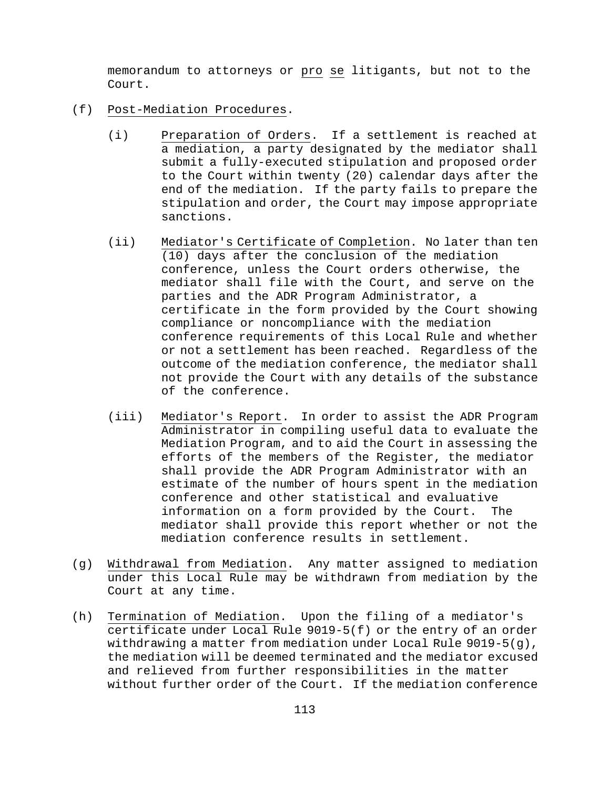memorandum to attorneys or pro se litigants, but not to the Court.

- (f) Post-Mediation Procedures.
	- (i) Preparation of Orders. If a settlement is reached at a mediation, a party designated by the mediator shall submit a fully-executed stipulation and proposed order to the Court within twenty (20) calendar days after the end of the mediation. If the party fails to prepare the stipulation and order, the Court may impose appropriate sanctions.
	- (ii) Mediator's Certificate of Completion. No later than ten (10) days after the conclusion of the mediation conference, unless the Court orders otherwise, the mediator shall file with the Court, and serve on the parties and the ADR Program Administrator, a certificate in the form provided by the Court showing compliance or noncompliance with the mediation conference requirements of this Local Rule and whether or not a settlement has been reached. Regardless of the outcome of the mediation conference, the mediator shall not provide the Court with any details of the substance of the conference.
	- (iii) Mediator's Report. In order to assist the ADR Program Administrator in compiling useful data to evaluate the Mediation Program, and to aid the Court in assessing the efforts of the members of the Register, the mediator shall provide the ADR Program Administrator with an estimate of the number of hours spent in the mediation conference and other statistical and evaluative information on a form provided by the Court. The mediator shall provide this report whether or not the mediation conference results in settlement.
- (g) Withdrawal from Mediation. Any matter assigned to mediation under this Local Rule may be withdrawn from mediation by the Court at any time.
- (h) Termination of Mediation. Upon the filing of a mediator's certificate under Local Rule 9019-5(f) or the entry of an order withdrawing a matter from mediation under Local Rule 9019-5(g), the mediation will be deemed terminated and the mediator excused and relieved from further responsibilities in the matter without further order of the Court. If the mediation conference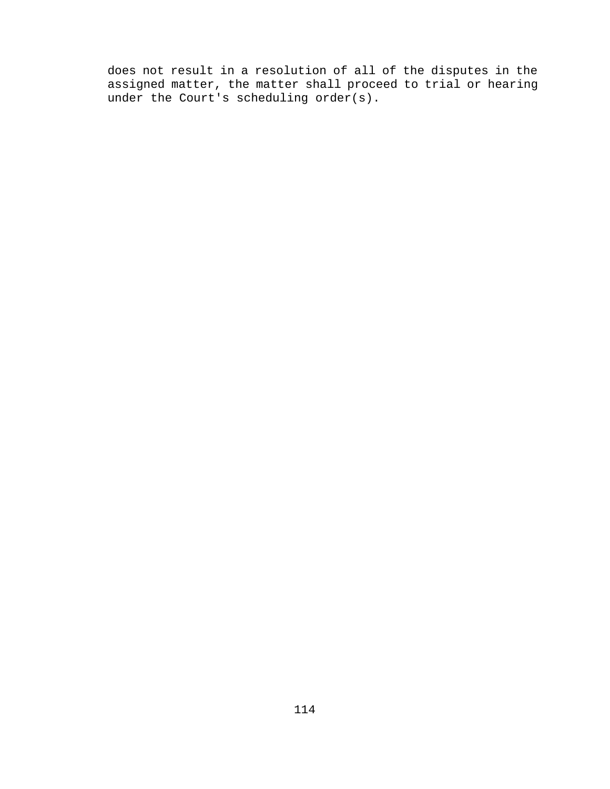does not result in a resolution of all of the disputes in the assigned matter, the matter shall proceed to trial or hearing under the Court's scheduling order(s).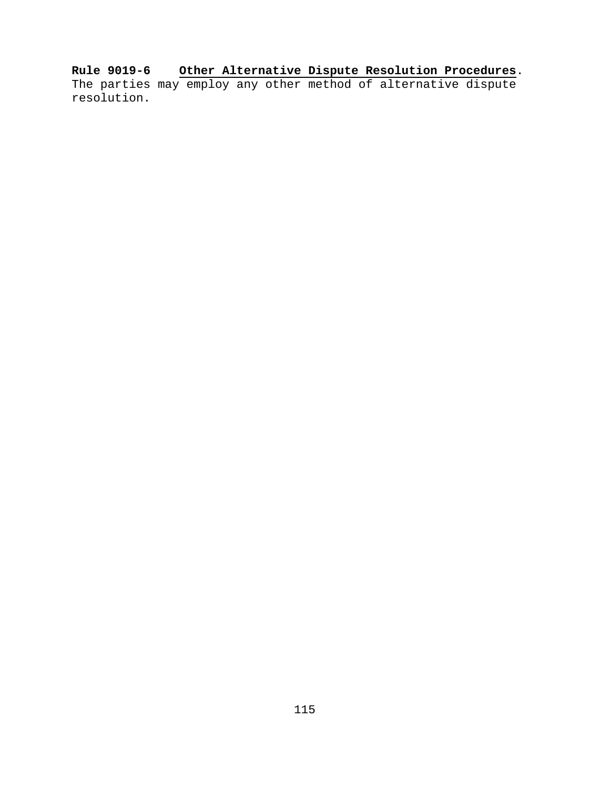**Rule 9019-6 Other Alternative Dispute Resolution Procedures**. The parties may employ any other method of alternative dispute resolution.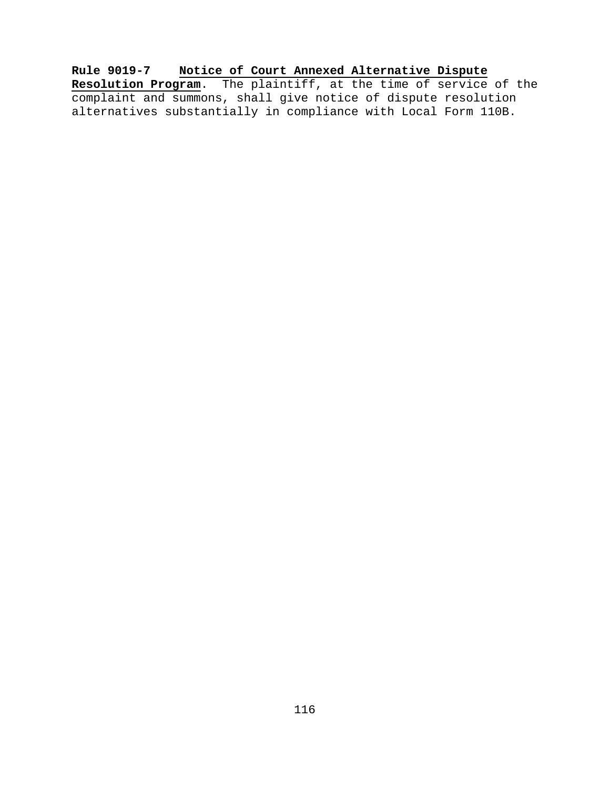**Rule 9019-7 Notice of Court Annexed Alternative Dispute Resolution Program**. The plaintiff, at the time of service of the complaint and summons, shall give notice of dispute resolution alternatives substantially in compliance with Local Form 110B.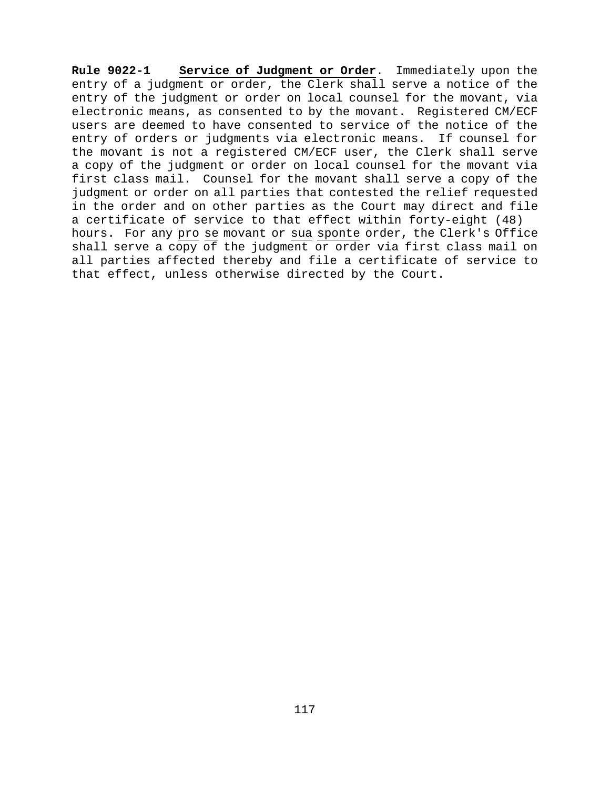**Rule 9022-1 Service of Judgment or Order**. Immediately upon the entry of a judgment or order, the Clerk shall serve a notice of the entry of the judgment or order on local counsel for the movant, via electronic means, as consented to by the movant. Registered CM/ECF users are deemed to have consented to service of the notice of the entry of orders or judgments via electronic means. If counsel for the movant is not a registered CM/ECF user, the Clerk shall serve a copy of the judgment or order on local counsel for the movant via first class mail. Counsel for the movant shall serve a copy of the judgment or order on all parties that contested the relief requested in the order and on other parties as the Court may direct and file a certificate of service to that effect within forty-eight (48) hours. For any pro se movant or sua sponte order, the Clerk's Office shall serve a copy of the judgment or order via first class mail on all parties affected thereby and file a certificate of service to that effect, unless otherwise directed by the Court.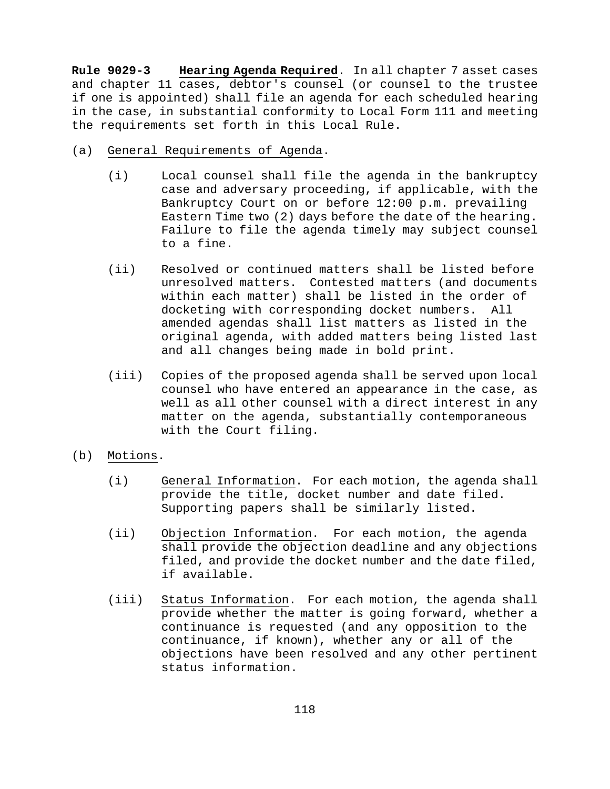**Rule 9029-3 Hearing Agenda Required**. In all chapter 7 asset cases and chapter 11 cases, debtor's counsel (or counsel to the trustee if one is appointed) shall file an agenda for each scheduled hearing in the case, in substantial conformity to Local Form 111 and meeting the requirements set forth in this Local Rule.

- (a) General Requirements of Agenda.
	- (i) Local counsel shall file the agenda in the bankruptcy case and adversary proceeding, if applicable, with the Bankruptcy Court on or before 12:00 p.m. prevailing Eastern Time two (2) days before the date of the hearing. Failure to file the agenda timely may subject counsel to a fine.
	- (ii) Resolved or continued matters shall be listed before unresolved matters. Contested matters (and documents within each matter) shall be listed in the order of docketing with corresponding docket numbers. All amended agendas shall list matters as listed in the original agenda, with added matters being listed last and all changes being made in bold print.
	- (iii) Copies of the proposed agenda shall be served upon local counsel who have entered an appearance in the case, as well as all other counsel with a direct interest in any matter on the agenda, substantially contemporaneous with the Court filing.
- (b) Motions.
	- (i) General Information. For each motion, the agenda shall provide the title, docket number and date filed. Supporting papers shall be similarly listed.
	- (ii) Objection Information. For each motion, the agenda shall provide the objection deadline and any objections filed, and provide the docket number and the date filed, if available.
	- (iii) Status Information. For each motion, the agenda shall provide whether the matter is going forward, whether a continuance is requested (and any opposition to the continuance, if known), whether any or all of the objections have been resolved and any other pertinent status information.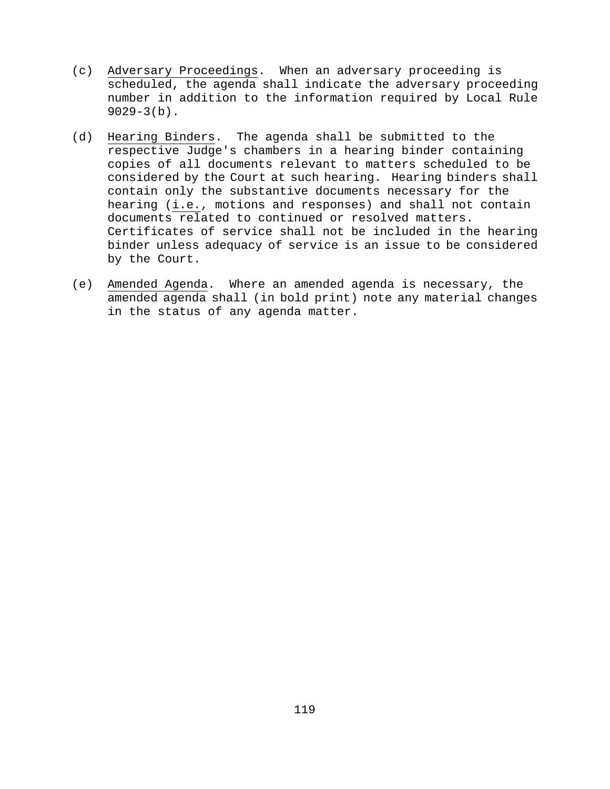- (c) Adversary Proceedings. When an adversary proceeding is scheduled, the agenda shall indicate the adversary proceeding number in addition to the information required by Local Rule  $9029-3(b)$ .
- (d) Hearing Binders. The agenda shall be submitted to the respective Judge's chambers in a hearing binder containing copies of all documents relevant to matters scheduled to be considered by the Court at such hearing. Hearing binders shall contain only the substantive documents necessary for the hearing (i.e., motions and responses) and shall not contain documents related to continued or resolved matters. Certificates of service shall not be included in the hearing binder unless adequacy of service is an issue to be considered by the Court.
- (e) Amended Agenda. Where an amended agenda is necessary, the amended agenda shall (in bold print) note any material changes in the status of any agenda matter.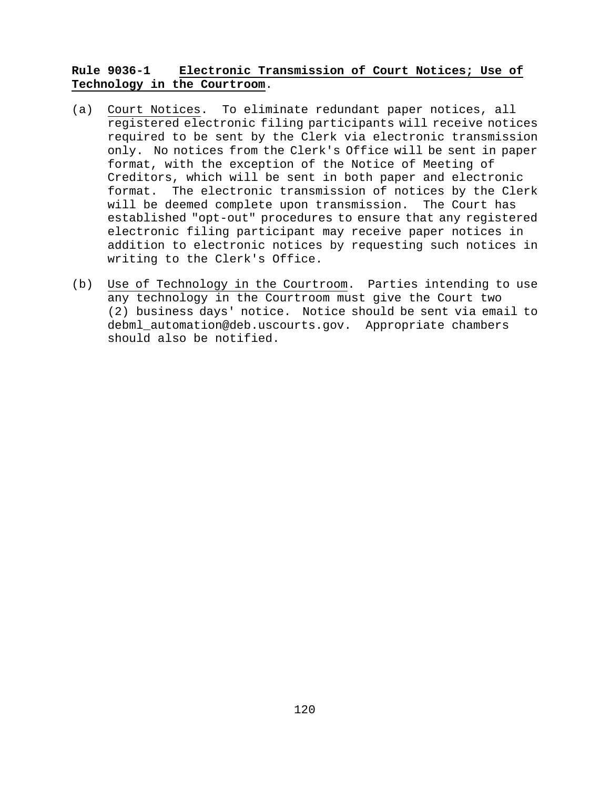## **Rule 9036-1 Electronic Transmission of Court Notices; Use of Technology in the Courtroom**.

- (a) Court Notices. To eliminate redundant paper notices, all registered electronic filing participants will receive notices required to be sent by the Clerk via electronic transmission only. No notices from the Clerk's Office will be sent in paper format, with the exception of the Notice of Meeting of Creditors, which will be sent in both paper and electronic format. The electronic transmission of notices by the Clerk will be deemed complete upon transmission. The Court has established "opt-out" procedures to ensure that any registered electronic filing participant may receive paper notices in addition to electronic notices by requesting such notices in writing to the Clerk's Office.
- (b) Use of Technology in the Courtroom. Parties intending to use any technology in the Courtroom must give the Court two (2) business days' notice. Notice should be sent via email to debml automation@deb.uscourts.gov. Appropriate chambers should also be notified.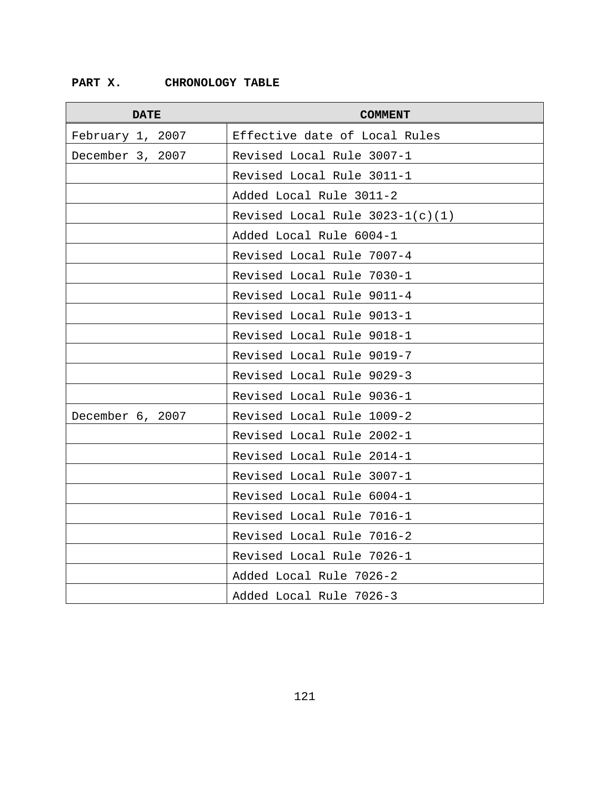# **PART X. CHRONOLOGY TABLE**

| <b>DATE</b>      | <b>COMMENT</b>                    |
|------------------|-----------------------------------|
| February 1, 2007 | Effective date of Local Rules     |
| December 3, 2007 | Revised Local Rule 3007-1         |
|                  | Revised Local Rule 3011-1         |
|                  | Added Local Rule 3011-2           |
|                  | Revised Local Rule $3023-1(c)(1)$ |
|                  | Added Local Rule 6004-1           |
|                  | Revised Local Rule 7007-4         |
|                  | Revised Local Rule 7030-1         |
|                  | Revised Local Rule 9011-4         |
|                  | Revised Local Rule 9013-1         |
|                  | Revised Local Rule 9018-1         |
|                  | Revised Local Rule 9019-7         |
|                  | Revised Local Rule 9029-3         |
|                  | Revised Local Rule 9036-1         |
| December 6, 2007 | Revised Local Rule 1009-2         |
|                  | Revised Local Rule 2002-1         |
|                  | Revised Local Rule 2014-1         |
|                  | Revised Local Rule 3007-1         |
|                  | Revised Local Rule 6004-1         |
|                  | Revised Local Rule 7016-1         |
|                  | Revised Local Rule 7016-2         |
|                  | Revised Local Rule 7026-1         |
|                  | Added Local Rule 7026-2           |
|                  | Added Local Rule 7026-3           |